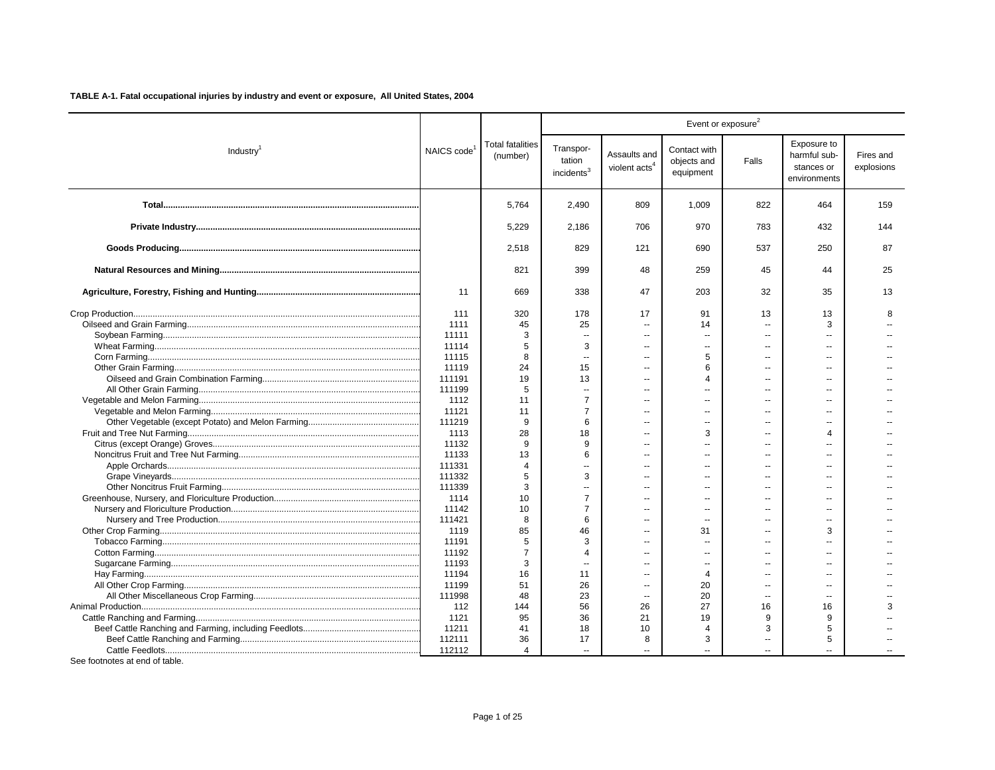|                       |            |                                     | Event or exposure <sup>2</sup>                |                                           |                                          |                          |                                                           |                         |  |
|-----------------------|------------|-------------------------------------|-----------------------------------------------|-------------------------------------------|------------------------------------------|--------------------------|-----------------------------------------------------------|-------------------------|--|
| Industry <sup>1</sup> | NAICS code | <b>Total fatalities</b><br>(number) | Transpor-<br>tation<br>incidents <sup>3</sup> | Assaults and<br>violent acts <sup>4</sup> | Contact with<br>objects and<br>equipment | Falls                    | Exposure to<br>harmful sub-<br>stances or<br>environments | Fires and<br>explosions |  |
|                       |            | 5.764                               | 2,490                                         | 809                                       | 1.009                                    | 822                      | 464                                                       | 159                     |  |
|                       |            | 5,229                               | 2,186                                         | 706                                       | 970                                      | 783                      | 432                                                       | 144                     |  |
|                       |            | 2.518                               | 829                                           | 121                                       | 690                                      | 537                      | 250                                                       | 87                      |  |
|                       |            | 821                                 | 399                                           | 48                                        | 259                                      | 45                       | 44                                                        | 25                      |  |
|                       | 11         | 669                                 | 338                                           | 47                                        | 203                                      | 32                       | 35                                                        | 13                      |  |
|                       | 111        | 320                                 | 178                                           | 17                                        | 91                                       | 13                       | 13                                                        | R                       |  |
|                       | 1111       | 45                                  | 25                                            | $\sim$                                    | 14                                       | $\sim$                   | 3                                                         |                         |  |
|                       | 11111      | 3                                   | $\sim$                                        | $\sim$                                    | $\overline{a}$                           | $\overline{a}$           |                                                           |                         |  |
|                       | 11114      | 5                                   | 3                                             | $\sim$                                    | $\overline{a}$                           | $\sim$ $\sim$            | $\sim$                                                    |                         |  |
|                       | 11115      | 8                                   |                                               |                                           | 5<br>6                                   |                          |                                                           |                         |  |
|                       | 11119      | 24                                  | 15                                            |                                           |                                          |                          | $\overline{a}$                                            |                         |  |
|                       | 111191     | 19                                  | 13                                            |                                           | $\boldsymbol{\Delta}$                    |                          |                                                           |                         |  |
|                       | 111199     | 5                                   |                                               |                                           |                                          |                          |                                                           |                         |  |
|                       | 1112       | 11                                  | 7                                             | $\sim$                                    | $\overline{a}$                           | $\sim$                   | ш.                                                        |                         |  |
|                       | 11121      | 11                                  | $\overline{7}$                                |                                           | $\overline{a}$                           |                          |                                                           |                         |  |
|                       | 111219     | 9                                   | 6                                             | $\sim$                                    | $\overline{a}$                           | $\overline{a}$           | $\overline{a}$                                            |                         |  |
|                       | 1113       | 28                                  | 18                                            |                                           | 3                                        | $\overline{a}$           | 4                                                         |                         |  |
|                       | 11132      | 9                                   | 9                                             | $\sim$                                    | $\overline{a}$                           | $\overline{a}$           | $\sim$                                                    |                         |  |
|                       | 11133      | 13                                  | 6                                             | $\sim$                                    | $\sim$                                   | $-$                      | $\sim$                                                    |                         |  |
|                       | 111331     | $\overline{4}$                      |                                               | $\overline{\phantom{a}}$                  | $\overline{\phantom{a}}$                 | $\overline{\phantom{a}}$ | $\overline{\phantom{a}}$                                  |                         |  |
|                       | 111332     | 5                                   | 3                                             | $\overline{a}$                            | $\sim$                                   | $-$                      | $\sim$                                                    |                         |  |
|                       | 111339     | 3                                   | $\overline{a}$                                | $\sim$                                    | $\overline{a}$                           | $\overline{a}$           | $\overline{a}$                                            |                         |  |
|                       | 1114       | 10                                  | $\overline{7}$                                |                                           | $\overline{\phantom{a}}$                 | --                       | $\overline{\phantom{a}}$                                  |                         |  |
|                       | 11142      | 10                                  | $\overline{7}$                                |                                           | $\overline{\phantom{a}}$                 |                          |                                                           |                         |  |
|                       | 111421     | 8                                   | 6                                             |                                           | $\overline{a}$                           |                          |                                                           |                         |  |
|                       | 1119       | 85                                  | 46                                            | $\overline{a}$                            | 31                                       | $\overline{a}$           | 3                                                         |                         |  |
|                       | 11191      | 5                                   | 3                                             |                                           | $\overline{\phantom{a}}$                 |                          |                                                           |                         |  |
|                       | 11192      | $\overline{7}$                      | 4                                             |                                           | $\overline{\phantom{a}}$                 |                          |                                                           |                         |  |
|                       | 11193      | 3                                   |                                               | $\sim$                                    | $\overline{\phantom{a}}$                 |                          | $\sim$                                                    |                         |  |
|                       | 11194      | 16                                  | 11                                            | $\overline{a}$                            | $\overline{4}$                           | $\overline{a}$           | $\mathbf{u}$                                              |                         |  |
|                       | 11199      | 51                                  | 26                                            | $\sim$                                    | 20                                       | $\overline{a}$           | $\sim$                                                    |                         |  |
|                       | 111998     | 48                                  | 23                                            | $\sim$                                    | 20                                       | $\overline{\phantom{a}}$ | $\sim$                                                    |                         |  |
|                       | 112        | 144                                 | 56                                            | 26                                        | 27                                       | 16                       | 16                                                        |                         |  |
|                       | 1121       | 95                                  | 36                                            | 21                                        | 19                                       | 9                        | 9                                                         |                         |  |
|                       | 11211      | 41                                  | 18                                            | 10                                        | $\overline{4}$                           | 3                        | 5                                                         |                         |  |
|                       | 112111     | 36                                  | 17                                            | 8                                         | 3                                        | $\sim$                   | 5                                                         |                         |  |
|                       | 112112     | 4                                   |                                               |                                           |                                          |                          |                                                           |                         |  |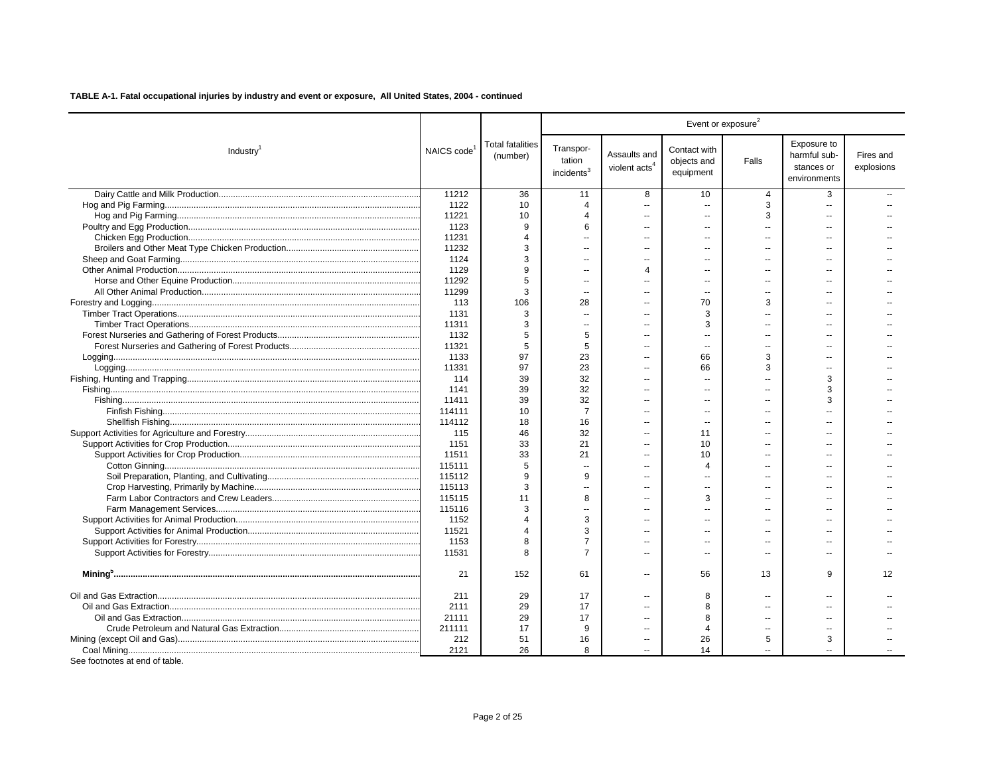|                       |                         | Event or exposure <sup>2</sup>      |                                               |                                           |                                          |                          |                                                           |                         |
|-----------------------|-------------------------|-------------------------------------|-----------------------------------------------|-------------------------------------------|------------------------------------------|--------------------------|-----------------------------------------------------------|-------------------------|
| Industry <sup>1</sup> | NAICS code <sup>1</sup> | <b>Total fatalities</b><br>(number) | Transpor-<br>tation<br>incidents <sup>3</sup> | Assaults and<br>violent acts <sup>4</sup> | Contact with<br>objects and<br>equipment | Falls                    | Exposure to<br>harmful sub-<br>stances or<br>environments | Fires and<br>explosions |
|                       | 11212                   | 36                                  | 11                                            | 8                                         | 10                                       | 4                        | 3                                                         |                         |
|                       | 1122                    | 10                                  | $\overline{4}$                                | $\overline{a}$                            | $\sim$                                   | 3                        | $\overline{a}$                                            |                         |
|                       | 11221                   | 10                                  | $\Delta$                                      | $\overline{a}$                            | $\sim$                                   | 3                        | $\overline{a}$                                            |                         |
|                       | 1123                    | 9                                   | 6                                             |                                           |                                          | $\overline{a}$           |                                                           |                         |
|                       | 11231                   | $\Delta$                            | $\overline{a}$                                | Ξ.                                        | $\overline{\phantom{a}}$                 | $\overline{a}$           | $\overline{a}$                                            |                         |
|                       | 11232                   | 3                                   |                                               |                                           |                                          |                          |                                                           |                         |
|                       | 1124                    | 3                                   |                                               |                                           |                                          |                          |                                                           |                         |
|                       | 1129                    | q                                   | $\overline{\phantom{a}}$                      | $\Delta$                                  | --                                       | --                       |                                                           |                         |
|                       | 11292                   | 5                                   | $\sim$                                        | Ξ.                                        | $\sim$                                   | $\overline{a}$           |                                                           |                         |
|                       | 11299                   | 3                                   |                                               |                                           |                                          |                          |                                                           |                         |
|                       | 113                     | 106                                 | 28                                            | --                                        | 70                                       | 3                        |                                                           |                         |
|                       | 1131                    | 3                                   | $\sim$                                        | $\overline{a}$                            | 3                                        | $\overline{a}$           | $\sim$                                                    |                         |
|                       | 11311                   | 3                                   | --                                            | Ξ.                                        | 3                                        | $\overline{a}$           |                                                           |                         |
|                       | 1132                    | 5                                   | 5                                             | $\sim$                                    | $\sim$                                   | $\overline{a}$           | $\sim$                                                    |                         |
|                       | 11321                   | 5                                   | 5                                             | $\overline{a}$                            | $\sim$                                   | $\overline{a}$           | $\sim$                                                    |                         |
|                       | 1133                    | 97                                  | 23                                            | --                                        | 66                                       | 3                        |                                                           |                         |
|                       | 11331                   | 97                                  | 23                                            | $\overline{a}$                            | 66                                       | 3                        | $\sim$                                                    |                         |
|                       | 114                     | 39                                  | 32                                            |                                           |                                          |                          | 3                                                         |                         |
|                       | 1141                    | 39                                  | 32                                            | --                                        | $\sim$ $\sim$                            | $\sim$                   | 3                                                         |                         |
|                       | 11411                   | 39                                  | 32                                            |                                           |                                          |                          | 3                                                         |                         |
|                       | 114111                  | 10                                  | $\overline{7}$                                | $\overline{a}$                            | $\sim$                                   | $\overline{a}$           |                                                           |                         |
|                       | 114112                  | 18                                  | 16                                            |                                           | $\overline{\phantom{a}}$                 |                          |                                                           |                         |
|                       | 115                     | 46                                  | 32                                            | --                                        | 11                                       | --                       |                                                           |                         |
|                       | 1151                    | 33                                  | 21                                            |                                           | 10                                       |                          |                                                           |                         |
|                       | 11511                   | 33                                  | 21                                            |                                           | 10                                       | $\overline{a}$           |                                                           |                         |
|                       | 115111                  | 5                                   | ä.                                            | $\overline{a}$                            | Δ                                        |                          |                                                           |                         |
|                       | 115112                  | 9                                   | 9                                             | --                                        |                                          | $\overline{a}$           | $\overline{a}$                                            |                         |
|                       | 115113                  | 3                                   |                                               | --                                        | $\overline{a}$                           |                          |                                                           |                         |
|                       | 115115                  | 11                                  | 8                                             | $\overline{a}$                            | 3                                        | $\overline{a}$           | $\overline{a}$                                            |                         |
|                       | 115116                  | 3                                   | $\sim$                                        | $\sim$                                    |                                          | $-$                      | $\sim$                                                    |                         |
|                       | 1152                    | $\Delta$                            | 3                                             | $\overline{a}$                            |                                          | --                       | $\overline{a}$                                            |                         |
|                       | 11521                   | 4                                   | 3                                             | $\overline{a}$                            | $\sim$                                   | $\overline{a}$           |                                                           |                         |
|                       | 1153                    | 8                                   | $\overline{7}$                                | $\overline{a}$                            |                                          | $\overline{a}$           | ш.                                                        |                         |
|                       | 11531                   | 8                                   | $\overline{7}$                                | $\overline{a}$                            | $\overline{\phantom{a}}$                 | --                       | $\overline{a}$                                            |                         |
|                       |                         |                                     |                                               |                                           |                                          |                          |                                                           |                         |
|                       | 21                      | 152                                 | 61                                            | --                                        | 56                                       | 13                       | 9                                                         | $12 \overline{ }$       |
|                       | 211                     | 29                                  | 17                                            | --                                        | 8                                        | $\overline{a}$           | $\sim$                                                    |                         |
|                       | 2111                    | 29                                  | 17                                            | $\overline{a}$                            | 8                                        | --                       | $\overline{a}$                                            |                         |
|                       | 21111                   | 29                                  | 17                                            | $\overline{a}$                            | 8                                        | $\sim$                   | $\sim$                                                    |                         |
|                       | 211111                  | 17                                  | 9                                             | --                                        | 4                                        | $\overline{\phantom{a}}$ | $\overline{a}$                                            |                         |
|                       | 212                     | 51                                  | 16                                            | Ξ.                                        | 26                                       | 5                        | 3                                                         |                         |
|                       | 2121                    | 26                                  | 8                                             |                                           | 14                                       |                          |                                                           |                         |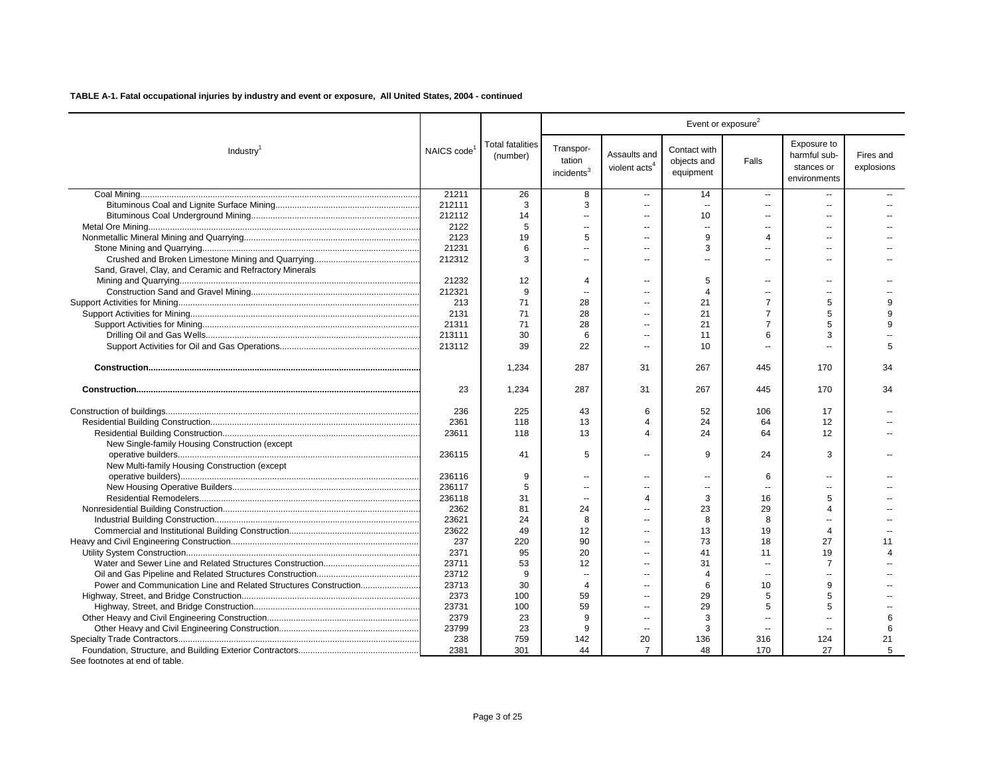|                                                                  |                         |                                     | Event or exposure <sup>2</sup>                |                                           |                                          |                          |                                                           |                         |  |
|------------------------------------------------------------------|-------------------------|-------------------------------------|-----------------------------------------------|-------------------------------------------|------------------------------------------|--------------------------|-----------------------------------------------------------|-------------------------|--|
| Industry <sup>1</sup>                                            | NAICS code <sup>1</sup> | <b>Total fatalities</b><br>(number) | Transpor-<br>tation<br>incidents <sup>3</sup> | Assaults and<br>violent acts <sup>4</sup> | Contact with<br>objects and<br>equipment | Falls                    | Exposure to<br>harmful sub-<br>stances or<br>environments | Fires and<br>explosions |  |
|                                                                  | 21211                   | 26                                  | 8                                             | $\overline{a}$                            | 14                                       | $\overline{\phantom{a}}$ | --                                                        |                         |  |
|                                                                  | 212111                  | 3                                   | 3                                             | $\overline{a}$                            | $\sim$                                   | $\sim$                   | $\overline{a}$                                            |                         |  |
|                                                                  | 212112                  | 14                                  | $\sim$                                        | ä.                                        | 10                                       | $\overline{a}$           | --                                                        |                         |  |
|                                                                  | 2122                    | 5                                   | $\overline{a}$                                |                                           | $\sim$                                   |                          |                                                           |                         |  |
|                                                                  | 2123                    | 19                                  | 5                                             |                                           | 9                                        | $\overline{4}$           |                                                           |                         |  |
|                                                                  | 21231                   | 6                                   | $\sim$                                        | $\overline{a}$                            | 3                                        |                          |                                                           |                         |  |
|                                                                  | 212312                  | 3                                   | $\overline{a}$                                | $\overline{a}$                            | $\overline{a}$                           | $\overline{a}$           | $\overline{a}$                                            |                         |  |
| Sand, Gravel, Clay, and Ceramic and Refractory Minerals          |                         |                                     |                                               |                                           |                                          |                          |                                                           |                         |  |
|                                                                  | 21232                   | 12                                  | 4                                             | $\overline{a}$                            | 5                                        | $\overline{a}$           | $\overline{a}$                                            |                         |  |
|                                                                  | 212321                  | 9                                   | $\sim$                                        | $\overline{a}$                            | 4                                        | $\sim$                   | $\sim$                                                    |                         |  |
|                                                                  | 213                     | 71                                  | 28                                            | $\overline{a}$                            | 21                                       | $\overline{7}$           | 5                                                         | $\mathbf{q}$            |  |
|                                                                  | 2131                    | 71                                  | 28                                            | ÷.                                        | 21                                       | 7                        | 5                                                         | $\mathbf{q}$            |  |
|                                                                  | 21311                   | 71                                  | 28                                            |                                           | 21                                       | $\overline{7}$           | 5                                                         | 9                       |  |
|                                                                  | 213111                  | 30                                  | 6                                             | ä.                                        | 11                                       | 6                        | 3                                                         |                         |  |
|                                                                  | 213112                  | 39                                  | 22                                            | $\overline{a}$                            | 10                                       | $\sim$                   |                                                           | 5                       |  |
|                                                                  |                         | 1,234                               | 287                                           | 31                                        | 267                                      | 445                      | 170                                                       | 34                      |  |
|                                                                  | 23                      | 1,234                               | 287                                           | 31                                        | 267                                      | 445                      | 170                                                       | 34                      |  |
|                                                                  | 236                     | 225                                 | 43                                            | 6                                         | 52                                       | 106                      | 17                                                        |                         |  |
|                                                                  | 2361                    | 118                                 | 13                                            | $\overline{4}$                            | 24                                       | 64                       | 12                                                        |                         |  |
|                                                                  | 23611                   | 118                                 | 13                                            | $\overline{\mathbf{4}}$                   | 24                                       | 64                       | 12                                                        |                         |  |
| New Single-family Housing Construction (except                   |                         |                                     |                                               |                                           |                                          |                          |                                                           |                         |  |
|                                                                  | 236115                  | 41                                  | 5                                             | $\overline{a}$                            | 9                                        | 24                       | 3                                                         |                         |  |
| New Multi-family Housing Construction (except                    |                         |                                     |                                               |                                           |                                          |                          |                                                           |                         |  |
|                                                                  | 236116                  | 9                                   | $\sim$                                        | ä.                                        |                                          | 6                        | $\overline{a}$                                            |                         |  |
|                                                                  | 236117                  | 5                                   | $\overline{a}$                                | $\overline{a}$                            | $\mathbf{u}$                             | $\overline{a}$           | $\overline{a}$                                            |                         |  |
|                                                                  | 236118                  | 31                                  | $\overline{\phantom{a}}$                      | $\overline{\mathbf{4}}$                   | 3                                        | 16                       | 5                                                         |                         |  |
|                                                                  | 2362                    | 81                                  | 24                                            |                                           | 23                                       | 29                       | Δ                                                         |                         |  |
|                                                                  | 23621                   | 24                                  | 8                                             | $\overline{a}$                            | 8                                        | 8                        |                                                           |                         |  |
|                                                                  | 23622                   | 49                                  | 12                                            |                                           | 13                                       | 19                       | $\overline{4}$                                            |                         |  |
|                                                                  | 237                     | 220                                 | 90                                            | ÷.                                        | 73                                       | 18                       | 27                                                        | 11                      |  |
|                                                                  | 2371                    | 95                                  | 20                                            |                                           | 41                                       | 11                       | 19                                                        | $\Delta$                |  |
|                                                                  | 23711                   | 53                                  | 12                                            |                                           | 31                                       | $\overline{\phantom{a}}$ | $\overline{7}$                                            |                         |  |
|                                                                  | 23712                   | 9                                   | $\sim$                                        | $\overline{a}$                            | 4                                        | $\sim$                   | $\overline{a}$                                            |                         |  |
| Power and Communication Line and Related Structures Construction | 23713                   | 30                                  | $\overline{4}$                                | $\overline{a}$                            | 6                                        | 10                       | 9                                                         |                         |  |
|                                                                  | 2373                    | 100                                 | 59                                            | $\overline{a}$                            | 29                                       | 5                        | 5                                                         |                         |  |
|                                                                  | 23731                   | 100                                 | 59                                            | $\overline{a}$                            | 29                                       | 5                        | 5                                                         |                         |  |
|                                                                  | 2379                    | 23                                  | 9                                             | ÷.                                        | 3                                        | $\ddotsc$                | $\overline{a}$                                            | 6                       |  |
|                                                                  | 23799                   | 23                                  | 9                                             |                                           | 3                                        |                          |                                                           | 6                       |  |
|                                                                  | 238                     | 759                                 | 142                                           | 20                                        | 136                                      | 316                      | 124                                                       | 21                      |  |
| See footnotes at end of table.                                   | 2381                    | 301                                 | 44                                            | $\overline{7}$                            | 48                                       | 170                      | 27                                                        | 5                       |  |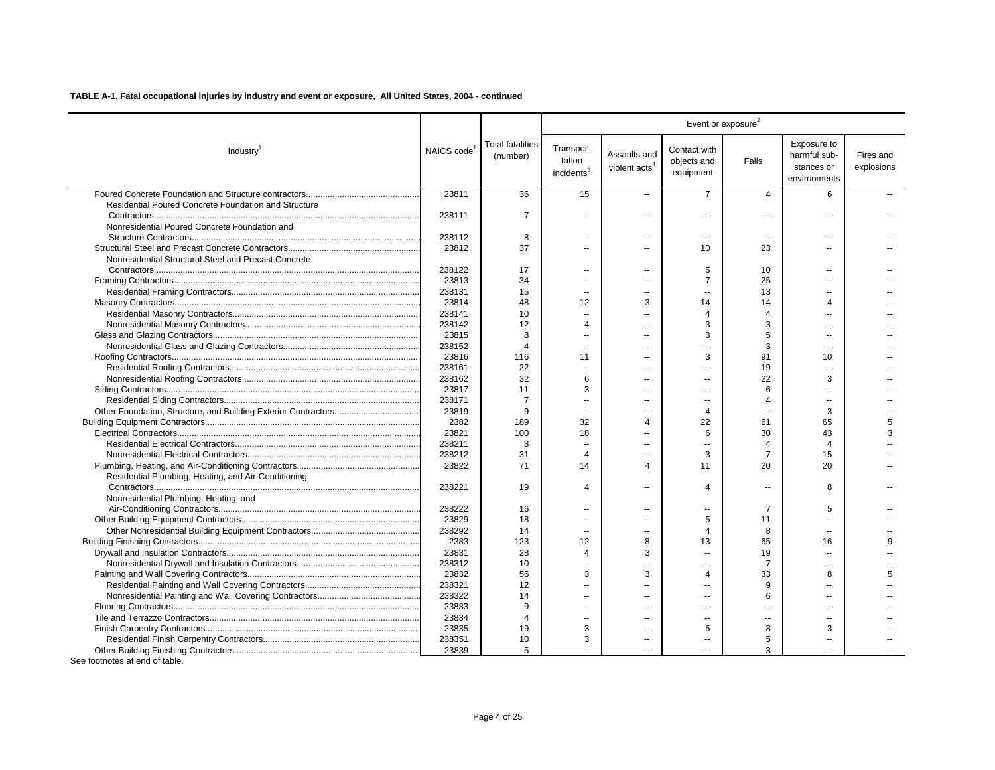|                                                      |                         |                                     |                                               |                                           |                                          | Event or exposure <sup>2</sup> |                                                           |                         |
|------------------------------------------------------|-------------------------|-------------------------------------|-----------------------------------------------|-------------------------------------------|------------------------------------------|--------------------------------|-----------------------------------------------------------|-------------------------|
| Industry <sup>1</sup>                                | NAICS code <sup>1</sup> | <b>Total fatalities</b><br>(number) | Transpor-<br>tation<br>incidents <sup>3</sup> | Assaults and<br>violent acts <sup>4</sup> | Contact with<br>objects and<br>equipment | Falls                          | Exposure to<br>harmful sub-<br>stances or<br>environments | Fires and<br>explosions |
|                                                      | 23811                   | 36                                  | 15                                            | $\overline{\phantom{a}}$                  | $\overline{7}$                           | $\overline{4}$                 | 6                                                         |                         |
| Residential Poured Concrete Foundation and Structure |                         |                                     |                                               |                                           |                                          |                                |                                                           |                         |
|                                                      | 238111                  | $\overline{7}$                      | $\sim$                                        | $\overline{a}$                            | $\overline{a}$                           | $\sim$                         |                                                           |                         |
| Nonresidential Poured Concrete Foundation and        |                         |                                     |                                               |                                           |                                          |                                |                                                           |                         |
|                                                      | 238112                  | 8                                   | --                                            | $\overline{\phantom{a}}$                  | $\overline{\phantom{a}}$                 | $\overline{\phantom{a}}$       | --                                                        |                         |
|                                                      | 23812                   | 37                                  | $\overline{a}$                                | $\overline{a}$                            | 10                                       | 23                             | $\overline{a}$                                            |                         |
| Nonresidential Structural Steel and Precast Concrete |                         |                                     |                                               |                                           |                                          |                                |                                                           |                         |
|                                                      | 238122                  | 17                                  |                                               |                                           | 5                                        | 10                             |                                                           |                         |
|                                                      | 23813                   | 34                                  |                                               | $\overline{\phantom{a}}$                  | $\overline{7}$                           | 25                             |                                                           |                         |
|                                                      | 238131                  | 15                                  | $\sim$                                        | $\overline{a}$                            | $\overline{a}$                           | 13                             | $\sim$                                                    |                         |
|                                                      | 23814                   | 48                                  | 12                                            | 3                                         | 14                                       | 14                             | Δ                                                         |                         |
|                                                      | 238141                  | 10                                  | $\sim$                                        | $\overline{a}$                            | $\overline{\mathbf{4}}$                  | $\overline{4}$                 | ш.                                                        |                         |
|                                                      | 238142                  | 12                                  | 4                                             | $\sim$                                    | 3                                        | 3                              |                                                           |                         |
|                                                      | 23815                   | 8                                   | $\overline{a}$                                | $\overline{a}$                            | 3                                        | 5                              |                                                           |                         |
|                                                      | 238152                  | $\overline{4}$                      | $\sim$                                        | $\sim$                                    | $=$                                      | 3                              | $\sim$                                                    |                         |
|                                                      | 23816                   | 116                                 | 11                                            | $\sim$                                    | 3                                        | 91                             | 10                                                        |                         |
|                                                      | 238161                  | 22                                  | $\sim$                                        | $\sim$                                    | $=$                                      | 19                             |                                                           |                         |
|                                                      | 238162                  | 32                                  | 6                                             | $\overline{a}$                            | $\overline{a}$                           | 22                             | 3                                                         |                         |
|                                                      | 23817                   | 11                                  | 3                                             | $\overline{a}$                            | $\sim$                                   | 6                              |                                                           |                         |
|                                                      | 238171                  | $\overline{7}$                      |                                               | $\overline{a}$                            | $\overline{a}$                           | 4                              |                                                           |                         |
|                                                      | 23819                   | 9                                   | $\sim$                                        | $\sim$                                    | 4                                        | $\overline{a}$                 | 3                                                         |                         |
|                                                      | 2382                    | 189                                 | 32                                            | $\overline{4}$                            | 22                                       | 61                             | 65                                                        | 5                       |
|                                                      | 23821                   | 100                                 | 18                                            |                                           | 6                                        | 30                             | 43                                                        | 3                       |
|                                                      | 238211                  | 8                                   | $\sim$                                        |                                           | ۵.                                       | $\overline{4}$                 | $\boldsymbol{\varDelta}$                                  |                         |
|                                                      | 238212                  | 31                                  | 4                                             |                                           | 3                                        | $\overline{7}$                 | 15                                                        |                         |
|                                                      | 23822                   | 71                                  | 14                                            | $\overline{4}$                            | 11                                       | 20                             | 20                                                        |                         |
| Residential Plumbing, Heating, and Air-Conditioning  |                         |                                     |                                               |                                           |                                          |                                |                                                           |                         |
|                                                      | 238221                  | 19                                  | 4                                             | $\overline{a}$                            | 4                                        | $\sim$                         | 8                                                         |                         |
| Nonresidential Plumbing, Heating, and                |                         |                                     |                                               |                                           |                                          |                                |                                                           |                         |
|                                                      | 238222                  | 16                                  | $\overline{a}$                                | $\overline{a}$                            | $\overline{a}$                           | 7                              | 5                                                         |                         |
|                                                      | 23829                   | 18                                  | $\sim$                                        | $\sim$                                    | 5                                        | 11                             | ш.                                                        |                         |
|                                                      | 238292                  | 14                                  | $\sim$                                        | $\overline{a}$                            | $\overline{4}$                           | 8                              | ш.                                                        |                         |
|                                                      | 2383                    | 123                                 | 12                                            | 8                                         | 13                                       | 65                             | 16                                                        | q                       |
|                                                      | 23831                   | 28                                  | $\overline{4}$                                | 3                                         | $\sim$                                   | 19                             | $\sim$                                                    |                         |
|                                                      | 238312                  | 10                                  |                                               |                                           | $\overline{a}$                           | 7                              |                                                           |                         |
|                                                      | 23832                   | 56                                  | 3                                             | 3                                         | $\Delta$                                 | 33                             | 8                                                         | 5                       |
|                                                      | 238321                  | 12                                  | $\overline{a}$                                | $\overline{a}$                            | $-$                                      | 9                              | $\sim$                                                    |                         |
|                                                      | 238322                  | 14                                  | $\overline{a}$                                | $\overline{a}$                            | $=$                                      | 6                              | $\sim$                                                    |                         |
|                                                      | 23833                   | 9                                   | $\overline{a}$                                | $\overline{a}$                            | $\overline{a}$                           | --                             |                                                           |                         |
|                                                      | 23834                   | $\boldsymbol{\Delta}$               | $\overline{a}$                                | $\overline{a}$                            | $=$                                      | $\overline{a}$                 | $\overline{a}$                                            |                         |
|                                                      | 23835                   | 19                                  | 3                                             | $\sim$                                    | 5                                        | 8                              | 3                                                         |                         |
|                                                      | 238351                  | 10                                  | 3                                             | $\overline{\phantom{a}}$                  | $\overline{\phantom{a}}$                 | 5                              | $\overline{a}$                                            |                         |
|                                                      | 23839                   | 5                                   |                                               |                                           |                                          | 3                              |                                                           |                         |
|                                                      |                         |                                     |                                               |                                           |                                          |                                |                                                           |                         |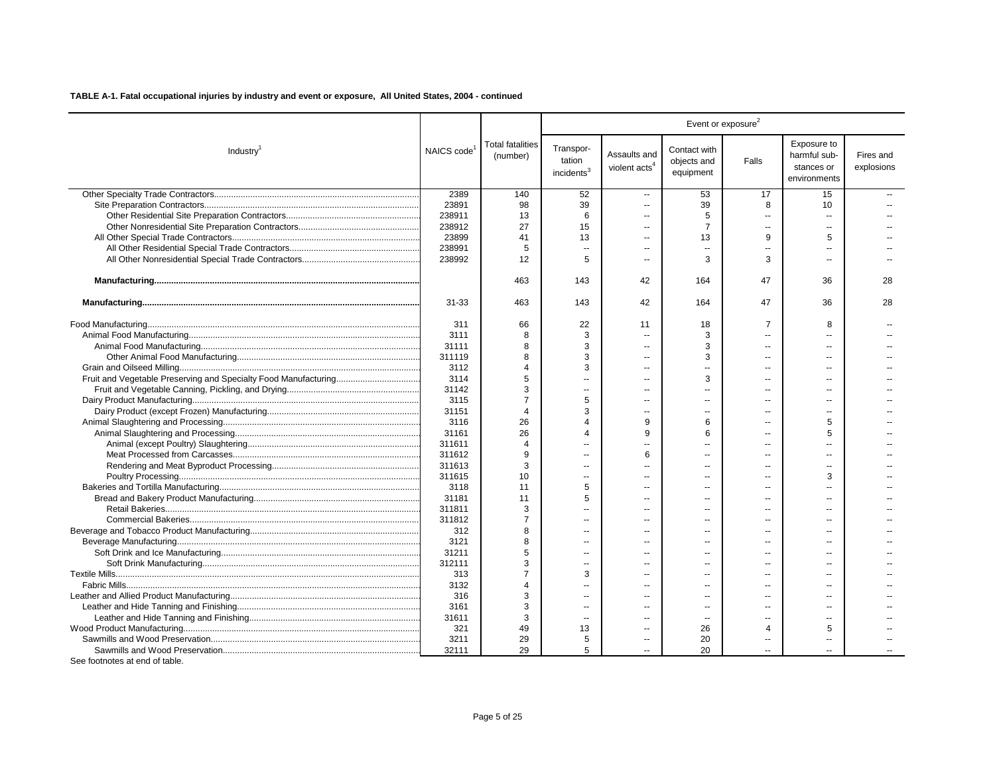|                                    |            | Event or exposure <sup>2</sup>      |                                               |                                           |                                          |                          |                                                           |                         |
|------------------------------------|------------|-------------------------------------|-----------------------------------------------|-------------------------------------------|------------------------------------------|--------------------------|-----------------------------------------------------------|-------------------------|
| Industry <sup>1</sup>              | NAICS code | <b>Total fatalities</b><br>(number) | Transpor-<br>tation<br>incidents <sup>3</sup> | Assaults and<br>violent acts <sup>4</sup> | Contact with<br>objects and<br>equipment | Falls                    | Exposure to<br>harmful sub-<br>stances or<br>environments | Fires and<br>explosions |
|                                    | 2389       | 140                                 | 52                                            | $\overline{\phantom{a}}$                  | 53                                       | 17                       | 15                                                        |                         |
|                                    | 23891      | 98                                  | 39                                            | ٠.                                        | 39                                       | 8                        | 10                                                        |                         |
|                                    | 238911     | 13                                  | 6                                             | $\overline{a}$                            | 5                                        | $\overline{a}$           | $\sim$                                                    |                         |
|                                    | 238912     | 27                                  | 15                                            | --                                        | $\overline{7}$                           | $\overline{a}$           | $\sim$                                                    |                         |
|                                    | 23899      | 41                                  | 13                                            | $\overline{a}$                            | 13                                       | 9                        | 5                                                         |                         |
|                                    | 238991     | 5                                   | $\sim$                                        | --                                        | $\sim$                                   | $\sim$                   |                                                           |                         |
|                                    | 238992     | 12                                  | 5                                             | $\overline{a}$                            | 3                                        | 3                        | $\sim$                                                    |                         |
|                                    |            | 463                                 | 143                                           | 42                                        | 164                                      | 47                       | 36                                                        | 28                      |
|                                    | $31 - 33$  | 463                                 | 143                                           | 42                                        | 164                                      | 47                       | 36                                                        | 28                      |
|                                    | 311        | 66                                  | 22                                            | 11                                        | 18                                       | $\overline{7}$           | 8                                                         |                         |
|                                    | 3111       | 8                                   | 3                                             | $\overline{a}$                            | 3                                        |                          |                                                           |                         |
|                                    | 31111      | 8                                   | 3                                             | $\overline{a}$                            | 3                                        | $\overline{a}$           |                                                           |                         |
|                                    | 311119     | 8                                   | 3                                             | $\overline{a}$                            | 3                                        | $\overline{a}$           | ست                                                        |                         |
|                                    | 3112       | Δ                                   | 3                                             | --                                        |                                          | $\overline{a}$           |                                                           |                         |
|                                    | 3114       | 5                                   | $\overline{a}$                                | --                                        | 3                                        |                          | $\sim$                                                    |                         |
|                                    | 31142      | 3                                   | $\sim$                                        | --                                        |                                          | $-$                      |                                                           |                         |
|                                    | 3115       | 7                                   | 5                                             | $\overline{a}$                            |                                          |                          | $\overline{a}$                                            |                         |
|                                    | 31151      | $\overline{4}$                      | 3                                             | $\overline{a}$                            | $\sim$                                   | $\overline{a}$           |                                                           |                         |
|                                    | 3116       | 26                                  | $\Delta$                                      | 9                                         | 6                                        |                          | 5                                                         |                         |
|                                    | 31161      | 26                                  | $\overline{4}$                                | 9                                         | 6                                        | $\overline{\phantom{a}}$ | 5                                                         |                         |
|                                    | 311611     | $\overline{4}$                      |                                               |                                           |                                          |                          |                                                           |                         |
|                                    | 311612     | 9                                   |                                               | 6                                         |                                          |                          |                                                           |                         |
|                                    | 311613     | 3                                   | $\sim$                                        | $\overline{a}$                            | $\overline{a}$                           | $\overline{a}$           | $\sim$                                                    |                         |
|                                    | 311615     | 10                                  | $\sim$                                        |                                           |                                          |                          | 3                                                         |                         |
|                                    | 3118       | 11                                  | 5                                             | --                                        |                                          | $\overline{a}$           |                                                           |                         |
|                                    | 31181      | 11                                  | 5                                             | --                                        |                                          |                          |                                                           |                         |
|                                    | 311811     | 3                                   | $\overline{a}$                                | --                                        |                                          |                          |                                                           |                         |
|                                    | 311812     | 7                                   | $\sim$                                        | $\overline{a}$                            | $\overline{a}$                           | $\overline{a}$           |                                                           |                         |
|                                    | 312        | 8                                   | $\sim$                                        | $\overline{a}$                            |                                          | $\overline{a}$           |                                                           |                         |
|                                    | 3121       | 8                                   | ц.                                            | --                                        |                                          |                          |                                                           |                         |
|                                    | 31211      | 5                                   | $\sim$                                        | $\overline{a}$                            | $\overline{a}$                           | $\overline{a}$           | $\overline{\phantom{a}}$                                  |                         |
|                                    | 312111     | 3                                   | $\sim$                                        | $\overline{a}$                            |                                          |                          |                                                           |                         |
|                                    | 313        | $\overline{7}$                      | 3                                             | --                                        |                                          | $-$                      |                                                           |                         |
|                                    | 3132       | 4                                   |                                               |                                           |                                          |                          |                                                           |                         |
|                                    | 316        | 3                                   | $\sim$                                        |                                           |                                          |                          |                                                           |                         |
|                                    | 3161       | 3                                   | $\overline{\phantom{a}}$                      | --                                        |                                          |                          |                                                           |                         |
|                                    | 31611      | 3                                   | $\sim$                                        | --                                        | $\overline{\phantom{a}}$                 | $\overline{a}$           | $\sim$                                                    |                         |
|                                    | 321        | 49                                  | 13                                            | $\overline{a}$                            | 26                                       | 4                        | 5                                                         |                         |
|                                    | 3211       | 29                                  | 5                                             | --                                        | 20                                       | $\overline{\phantom{a}}$ | $\sim$                                                    |                         |
| $0 - 1 - 1$<br>والماسه كساس مرساسة | 32111      | 29                                  | 5                                             | --                                        | 20                                       |                          | $\sim$                                                    |                         |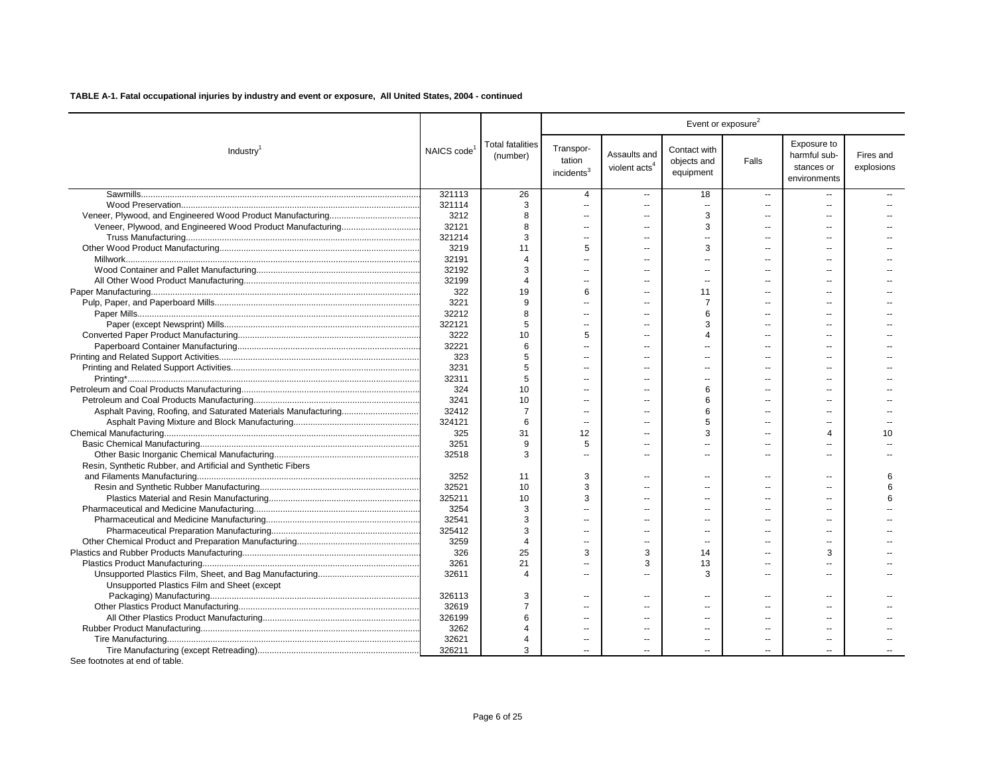| Exposure to<br><b>Total fatalities</b><br>Transpor-<br>Contact with<br>NAICS code<br>Industry <sup>1</sup><br>Assaults and<br>harmful sub-<br>Fires and<br>(number)<br>tation<br>objects and<br>Falls<br>violent acts <sup>4</sup><br>explosions<br>stances or<br>incidents <sup>3</sup><br>equipment<br>environments<br>321113<br>26<br>18<br>4<br>$\overline{a}$<br>$\overline{\phantom{a}}$<br>$\overline{a}$<br>3<br>321114<br>$\sim$<br>$\sim$<br>$\sim$<br>$\overline{a}$<br>3<br>3212<br>8<br>$\sim$<br>ä.<br>$\overline{a}$<br>$\overline{a}$<br>3<br>32121<br>8<br>321214<br>З<br>ä.<br>3219<br>11<br>5<br>3<br>$\overline{a}$<br>32191<br>$\boldsymbol{\Delta}$<br>$\overline{a}$<br>$\sim$<br>--<br>$\overline{a}$<br>32192<br>3<br>32199<br>$\boldsymbol{\Delta}$<br>$\overline{\phantom{a}}$<br>$\overline{a}$<br>322<br>19<br>6<br>11<br>$\sim$<br>--<br>$\sim$<br>3221<br>9<br>$\overline{7}$<br>$\overline{a}$<br>--<br>32212<br>8<br>6<br>$\sim$<br>$\sim$<br>$\sim$<br>$\sim$<br>322121<br>3<br>5<br>$\sim$<br>$\overline{a}$<br>$\overline{a}$<br>$\overline{a}$<br>3222<br>10<br>5<br>4<br>$\sim$<br>32221<br>6<br>$\sim$<br>$\sim$<br>$\sim$<br>323<br>5<br>$\overline{a}$<br>3231<br>5<br>$\sim$<br>$\sim$<br>$\overline{a}$<br>5<br>32311<br>10<br>6<br>324<br>3241<br>10<br>6<br>32412<br>6<br>$\overline{7}$<br>324121<br>5<br>6<br>$\sim$<br>$\overline{a}$<br>325<br>31<br>12<br>3<br>10<br>Δ<br>$\overline{a}$<br>3251<br>9<br>5<br>$\overline{a}$<br>$\sim$<br>$\overline{a}$<br>32518<br>3<br>ш.<br>$\sim$<br>$\sim$<br>Resin, Synthetic Rubber, and Artificial and Synthetic Fibers<br>3252<br>3<br>11<br>6<br>$\overline{a}$<br>$\sim$<br>$\sim$<br>$\sim$<br>32521<br>10<br>3<br>6<br>$\sim$<br>$\sim$<br>$\sim$<br>325211<br>10<br>3<br>6<br>$\overline{a}$<br>3254<br>3<br>$\overline{a}$<br>--<br>32541<br>3<br>$\overline{a}$<br>3<br>325412<br>$\overline{a}$<br>3259<br>$\mathbf{r}$<br>$\overline{a}$<br>25<br>3<br>326<br>3<br>3<br>14<br>3261<br>21<br>3<br>13<br>$\sim$<br>$\overline{\phantom{a}}$<br>--<br>32611<br>3<br>Δ<br>$\sim$<br>Unsupported Plastics Film and Sheet (except<br>326113<br>3<br>$\overline{a}$<br>$\overline{a}$<br>۵.<br>32619<br>$\overline{7}$<br>326199<br>6<br>$\overline{a}$<br>$\overline{a}$<br>ш.<br>$\overline{a}$<br>$\overline{a}$<br>3262<br>$\sim$<br>32621<br>4<br>326211<br>3 |  |  |  | Event or exposure <sup>2</sup> |  |
|------------------------------------------------------------------------------------------------------------------------------------------------------------------------------------------------------------------------------------------------------------------------------------------------------------------------------------------------------------------------------------------------------------------------------------------------------------------------------------------------------------------------------------------------------------------------------------------------------------------------------------------------------------------------------------------------------------------------------------------------------------------------------------------------------------------------------------------------------------------------------------------------------------------------------------------------------------------------------------------------------------------------------------------------------------------------------------------------------------------------------------------------------------------------------------------------------------------------------------------------------------------------------------------------------------------------------------------------------------------------------------------------------------------------------------------------------------------------------------------------------------------------------------------------------------------------------------------------------------------------------------------------------------------------------------------------------------------------------------------------------------------------------------------------------------------------------------------------------------------------------------------------------------------------------------------------------------------------------------------------------------------------------------------------------------------------------------------------------------------------------------------------------------------------------------------------------------------------------------------------------------------------------------------------------------------------------------------------------------------|--|--|--|--------------------------------|--|
|                                                                                                                                                                                                                                                                                                                                                                                                                                                                                                                                                                                                                                                                                                                                                                                                                                                                                                                                                                                                                                                                                                                                                                                                                                                                                                                                                                                                                                                                                                                                                                                                                                                                                                                                                                                                                                                                                                                                                                                                                                                                                                                                                                                                                                                                                                                                                                  |  |  |  |                                |  |
|                                                                                                                                                                                                                                                                                                                                                                                                                                                                                                                                                                                                                                                                                                                                                                                                                                                                                                                                                                                                                                                                                                                                                                                                                                                                                                                                                                                                                                                                                                                                                                                                                                                                                                                                                                                                                                                                                                                                                                                                                                                                                                                                                                                                                                                                                                                                                                  |  |  |  |                                |  |
|                                                                                                                                                                                                                                                                                                                                                                                                                                                                                                                                                                                                                                                                                                                                                                                                                                                                                                                                                                                                                                                                                                                                                                                                                                                                                                                                                                                                                                                                                                                                                                                                                                                                                                                                                                                                                                                                                                                                                                                                                                                                                                                                                                                                                                                                                                                                                                  |  |  |  |                                |  |
|                                                                                                                                                                                                                                                                                                                                                                                                                                                                                                                                                                                                                                                                                                                                                                                                                                                                                                                                                                                                                                                                                                                                                                                                                                                                                                                                                                                                                                                                                                                                                                                                                                                                                                                                                                                                                                                                                                                                                                                                                                                                                                                                                                                                                                                                                                                                                                  |  |  |  |                                |  |
|                                                                                                                                                                                                                                                                                                                                                                                                                                                                                                                                                                                                                                                                                                                                                                                                                                                                                                                                                                                                                                                                                                                                                                                                                                                                                                                                                                                                                                                                                                                                                                                                                                                                                                                                                                                                                                                                                                                                                                                                                                                                                                                                                                                                                                                                                                                                                                  |  |  |  |                                |  |
|                                                                                                                                                                                                                                                                                                                                                                                                                                                                                                                                                                                                                                                                                                                                                                                                                                                                                                                                                                                                                                                                                                                                                                                                                                                                                                                                                                                                                                                                                                                                                                                                                                                                                                                                                                                                                                                                                                                                                                                                                                                                                                                                                                                                                                                                                                                                                                  |  |  |  |                                |  |
|                                                                                                                                                                                                                                                                                                                                                                                                                                                                                                                                                                                                                                                                                                                                                                                                                                                                                                                                                                                                                                                                                                                                                                                                                                                                                                                                                                                                                                                                                                                                                                                                                                                                                                                                                                                                                                                                                                                                                                                                                                                                                                                                                                                                                                                                                                                                                                  |  |  |  |                                |  |
|                                                                                                                                                                                                                                                                                                                                                                                                                                                                                                                                                                                                                                                                                                                                                                                                                                                                                                                                                                                                                                                                                                                                                                                                                                                                                                                                                                                                                                                                                                                                                                                                                                                                                                                                                                                                                                                                                                                                                                                                                                                                                                                                                                                                                                                                                                                                                                  |  |  |  |                                |  |
|                                                                                                                                                                                                                                                                                                                                                                                                                                                                                                                                                                                                                                                                                                                                                                                                                                                                                                                                                                                                                                                                                                                                                                                                                                                                                                                                                                                                                                                                                                                                                                                                                                                                                                                                                                                                                                                                                                                                                                                                                                                                                                                                                                                                                                                                                                                                                                  |  |  |  |                                |  |
|                                                                                                                                                                                                                                                                                                                                                                                                                                                                                                                                                                                                                                                                                                                                                                                                                                                                                                                                                                                                                                                                                                                                                                                                                                                                                                                                                                                                                                                                                                                                                                                                                                                                                                                                                                                                                                                                                                                                                                                                                                                                                                                                                                                                                                                                                                                                                                  |  |  |  |                                |  |
|                                                                                                                                                                                                                                                                                                                                                                                                                                                                                                                                                                                                                                                                                                                                                                                                                                                                                                                                                                                                                                                                                                                                                                                                                                                                                                                                                                                                                                                                                                                                                                                                                                                                                                                                                                                                                                                                                                                                                                                                                                                                                                                                                                                                                                                                                                                                                                  |  |  |  |                                |  |
|                                                                                                                                                                                                                                                                                                                                                                                                                                                                                                                                                                                                                                                                                                                                                                                                                                                                                                                                                                                                                                                                                                                                                                                                                                                                                                                                                                                                                                                                                                                                                                                                                                                                                                                                                                                                                                                                                                                                                                                                                                                                                                                                                                                                                                                                                                                                                                  |  |  |  |                                |  |
|                                                                                                                                                                                                                                                                                                                                                                                                                                                                                                                                                                                                                                                                                                                                                                                                                                                                                                                                                                                                                                                                                                                                                                                                                                                                                                                                                                                                                                                                                                                                                                                                                                                                                                                                                                                                                                                                                                                                                                                                                                                                                                                                                                                                                                                                                                                                                                  |  |  |  |                                |  |
|                                                                                                                                                                                                                                                                                                                                                                                                                                                                                                                                                                                                                                                                                                                                                                                                                                                                                                                                                                                                                                                                                                                                                                                                                                                                                                                                                                                                                                                                                                                                                                                                                                                                                                                                                                                                                                                                                                                                                                                                                                                                                                                                                                                                                                                                                                                                                                  |  |  |  |                                |  |
|                                                                                                                                                                                                                                                                                                                                                                                                                                                                                                                                                                                                                                                                                                                                                                                                                                                                                                                                                                                                                                                                                                                                                                                                                                                                                                                                                                                                                                                                                                                                                                                                                                                                                                                                                                                                                                                                                                                                                                                                                                                                                                                                                                                                                                                                                                                                                                  |  |  |  |                                |  |
|                                                                                                                                                                                                                                                                                                                                                                                                                                                                                                                                                                                                                                                                                                                                                                                                                                                                                                                                                                                                                                                                                                                                                                                                                                                                                                                                                                                                                                                                                                                                                                                                                                                                                                                                                                                                                                                                                                                                                                                                                                                                                                                                                                                                                                                                                                                                                                  |  |  |  |                                |  |
|                                                                                                                                                                                                                                                                                                                                                                                                                                                                                                                                                                                                                                                                                                                                                                                                                                                                                                                                                                                                                                                                                                                                                                                                                                                                                                                                                                                                                                                                                                                                                                                                                                                                                                                                                                                                                                                                                                                                                                                                                                                                                                                                                                                                                                                                                                                                                                  |  |  |  |                                |  |
|                                                                                                                                                                                                                                                                                                                                                                                                                                                                                                                                                                                                                                                                                                                                                                                                                                                                                                                                                                                                                                                                                                                                                                                                                                                                                                                                                                                                                                                                                                                                                                                                                                                                                                                                                                                                                                                                                                                                                                                                                                                                                                                                                                                                                                                                                                                                                                  |  |  |  |                                |  |
|                                                                                                                                                                                                                                                                                                                                                                                                                                                                                                                                                                                                                                                                                                                                                                                                                                                                                                                                                                                                                                                                                                                                                                                                                                                                                                                                                                                                                                                                                                                                                                                                                                                                                                                                                                                                                                                                                                                                                                                                                                                                                                                                                                                                                                                                                                                                                                  |  |  |  |                                |  |
|                                                                                                                                                                                                                                                                                                                                                                                                                                                                                                                                                                                                                                                                                                                                                                                                                                                                                                                                                                                                                                                                                                                                                                                                                                                                                                                                                                                                                                                                                                                                                                                                                                                                                                                                                                                                                                                                                                                                                                                                                                                                                                                                                                                                                                                                                                                                                                  |  |  |  |                                |  |
|                                                                                                                                                                                                                                                                                                                                                                                                                                                                                                                                                                                                                                                                                                                                                                                                                                                                                                                                                                                                                                                                                                                                                                                                                                                                                                                                                                                                                                                                                                                                                                                                                                                                                                                                                                                                                                                                                                                                                                                                                                                                                                                                                                                                                                                                                                                                                                  |  |  |  |                                |  |
|                                                                                                                                                                                                                                                                                                                                                                                                                                                                                                                                                                                                                                                                                                                                                                                                                                                                                                                                                                                                                                                                                                                                                                                                                                                                                                                                                                                                                                                                                                                                                                                                                                                                                                                                                                                                                                                                                                                                                                                                                                                                                                                                                                                                                                                                                                                                                                  |  |  |  |                                |  |
|                                                                                                                                                                                                                                                                                                                                                                                                                                                                                                                                                                                                                                                                                                                                                                                                                                                                                                                                                                                                                                                                                                                                                                                                                                                                                                                                                                                                                                                                                                                                                                                                                                                                                                                                                                                                                                                                                                                                                                                                                                                                                                                                                                                                                                                                                                                                                                  |  |  |  |                                |  |
|                                                                                                                                                                                                                                                                                                                                                                                                                                                                                                                                                                                                                                                                                                                                                                                                                                                                                                                                                                                                                                                                                                                                                                                                                                                                                                                                                                                                                                                                                                                                                                                                                                                                                                                                                                                                                                                                                                                                                                                                                                                                                                                                                                                                                                                                                                                                                                  |  |  |  |                                |  |
|                                                                                                                                                                                                                                                                                                                                                                                                                                                                                                                                                                                                                                                                                                                                                                                                                                                                                                                                                                                                                                                                                                                                                                                                                                                                                                                                                                                                                                                                                                                                                                                                                                                                                                                                                                                                                                                                                                                                                                                                                                                                                                                                                                                                                                                                                                                                                                  |  |  |  |                                |  |
|                                                                                                                                                                                                                                                                                                                                                                                                                                                                                                                                                                                                                                                                                                                                                                                                                                                                                                                                                                                                                                                                                                                                                                                                                                                                                                                                                                                                                                                                                                                                                                                                                                                                                                                                                                                                                                                                                                                                                                                                                                                                                                                                                                                                                                                                                                                                                                  |  |  |  |                                |  |
|                                                                                                                                                                                                                                                                                                                                                                                                                                                                                                                                                                                                                                                                                                                                                                                                                                                                                                                                                                                                                                                                                                                                                                                                                                                                                                                                                                                                                                                                                                                                                                                                                                                                                                                                                                                                                                                                                                                                                                                                                                                                                                                                                                                                                                                                                                                                                                  |  |  |  |                                |  |
|                                                                                                                                                                                                                                                                                                                                                                                                                                                                                                                                                                                                                                                                                                                                                                                                                                                                                                                                                                                                                                                                                                                                                                                                                                                                                                                                                                                                                                                                                                                                                                                                                                                                                                                                                                                                                                                                                                                                                                                                                                                                                                                                                                                                                                                                                                                                                                  |  |  |  |                                |  |
|                                                                                                                                                                                                                                                                                                                                                                                                                                                                                                                                                                                                                                                                                                                                                                                                                                                                                                                                                                                                                                                                                                                                                                                                                                                                                                                                                                                                                                                                                                                                                                                                                                                                                                                                                                                                                                                                                                                                                                                                                                                                                                                                                                                                                                                                                                                                                                  |  |  |  |                                |  |
|                                                                                                                                                                                                                                                                                                                                                                                                                                                                                                                                                                                                                                                                                                                                                                                                                                                                                                                                                                                                                                                                                                                                                                                                                                                                                                                                                                                                                                                                                                                                                                                                                                                                                                                                                                                                                                                                                                                                                                                                                                                                                                                                                                                                                                                                                                                                                                  |  |  |  |                                |  |
|                                                                                                                                                                                                                                                                                                                                                                                                                                                                                                                                                                                                                                                                                                                                                                                                                                                                                                                                                                                                                                                                                                                                                                                                                                                                                                                                                                                                                                                                                                                                                                                                                                                                                                                                                                                                                                                                                                                                                                                                                                                                                                                                                                                                                                                                                                                                                                  |  |  |  |                                |  |
|                                                                                                                                                                                                                                                                                                                                                                                                                                                                                                                                                                                                                                                                                                                                                                                                                                                                                                                                                                                                                                                                                                                                                                                                                                                                                                                                                                                                                                                                                                                                                                                                                                                                                                                                                                                                                                                                                                                                                                                                                                                                                                                                                                                                                                                                                                                                                                  |  |  |  |                                |  |
|                                                                                                                                                                                                                                                                                                                                                                                                                                                                                                                                                                                                                                                                                                                                                                                                                                                                                                                                                                                                                                                                                                                                                                                                                                                                                                                                                                                                                                                                                                                                                                                                                                                                                                                                                                                                                                                                                                                                                                                                                                                                                                                                                                                                                                                                                                                                                                  |  |  |  |                                |  |
|                                                                                                                                                                                                                                                                                                                                                                                                                                                                                                                                                                                                                                                                                                                                                                                                                                                                                                                                                                                                                                                                                                                                                                                                                                                                                                                                                                                                                                                                                                                                                                                                                                                                                                                                                                                                                                                                                                                                                                                                                                                                                                                                                                                                                                                                                                                                                                  |  |  |  |                                |  |
|                                                                                                                                                                                                                                                                                                                                                                                                                                                                                                                                                                                                                                                                                                                                                                                                                                                                                                                                                                                                                                                                                                                                                                                                                                                                                                                                                                                                                                                                                                                                                                                                                                                                                                                                                                                                                                                                                                                                                                                                                                                                                                                                                                                                                                                                                                                                                                  |  |  |  |                                |  |
|                                                                                                                                                                                                                                                                                                                                                                                                                                                                                                                                                                                                                                                                                                                                                                                                                                                                                                                                                                                                                                                                                                                                                                                                                                                                                                                                                                                                                                                                                                                                                                                                                                                                                                                                                                                                                                                                                                                                                                                                                                                                                                                                                                                                                                                                                                                                                                  |  |  |  |                                |  |
|                                                                                                                                                                                                                                                                                                                                                                                                                                                                                                                                                                                                                                                                                                                                                                                                                                                                                                                                                                                                                                                                                                                                                                                                                                                                                                                                                                                                                                                                                                                                                                                                                                                                                                                                                                                                                                                                                                                                                                                                                                                                                                                                                                                                                                                                                                                                                                  |  |  |  |                                |  |
|                                                                                                                                                                                                                                                                                                                                                                                                                                                                                                                                                                                                                                                                                                                                                                                                                                                                                                                                                                                                                                                                                                                                                                                                                                                                                                                                                                                                                                                                                                                                                                                                                                                                                                                                                                                                                                                                                                                                                                                                                                                                                                                                                                                                                                                                                                                                                                  |  |  |  |                                |  |
|                                                                                                                                                                                                                                                                                                                                                                                                                                                                                                                                                                                                                                                                                                                                                                                                                                                                                                                                                                                                                                                                                                                                                                                                                                                                                                                                                                                                                                                                                                                                                                                                                                                                                                                                                                                                                                                                                                                                                                                                                                                                                                                                                                                                                                                                                                                                                                  |  |  |  |                                |  |
|                                                                                                                                                                                                                                                                                                                                                                                                                                                                                                                                                                                                                                                                                                                                                                                                                                                                                                                                                                                                                                                                                                                                                                                                                                                                                                                                                                                                                                                                                                                                                                                                                                                                                                                                                                                                                                                                                                                                                                                                                                                                                                                                                                                                                                                                                                                                                                  |  |  |  |                                |  |
|                                                                                                                                                                                                                                                                                                                                                                                                                                                                                                                                                                                                                                                                                                                                                                                                                                                                                                                                                                                                                                                                                                                                                                                                                                                                                                                                                                                                                                                                                                                                                                                                                                                                                                                                                                                                                                                                                                                                                                                                                                                                                                                                                                                                                                                                                                                                                                  |  |  |  |                                |  |
|                                                                                                                                                                                                                                                                                                                                                                                                                                                                                                                                                                                                                                                                                                                                                                                                                                                                                                                                                                                                                                                                                                                                                                                                                                                                                                                                                                                                                                                                                                                                                                                                                                                                                                                                                                                                                                                                                                                                                                                                                                                                                                                                                                                                                                                                                                                                                                  |  |  |  |                                |  |
|                                                                                                                                                                                                                                                                                                                                                                                                                                                                                                                                                                                                                                                                                                                                                                                                                                                                                                                                                                                                                                                                                                                                                                                                                                                                                                                                                                                                                                                                                                                                                                                                                                                                                                                                                                                                                                                                                                                                                                                                                                                                                                                                                                                                                                                                                                                                                                  |  |  |  |                                |  |
|                                                                                                                                                                                                                                                                                                                                                                                                                                                                                                                                                                                                                                                                                                                                                                                                                                                                                                                                                                                                                                                                                                                                                                                                                                                                                                                                                                                                                                                                                                                                                                                                                                                                                                                                                                                                                                                                                                                                                                                                                                                                                                                                                                                                                                                                                                                                                                  |  |  |  |                                |  |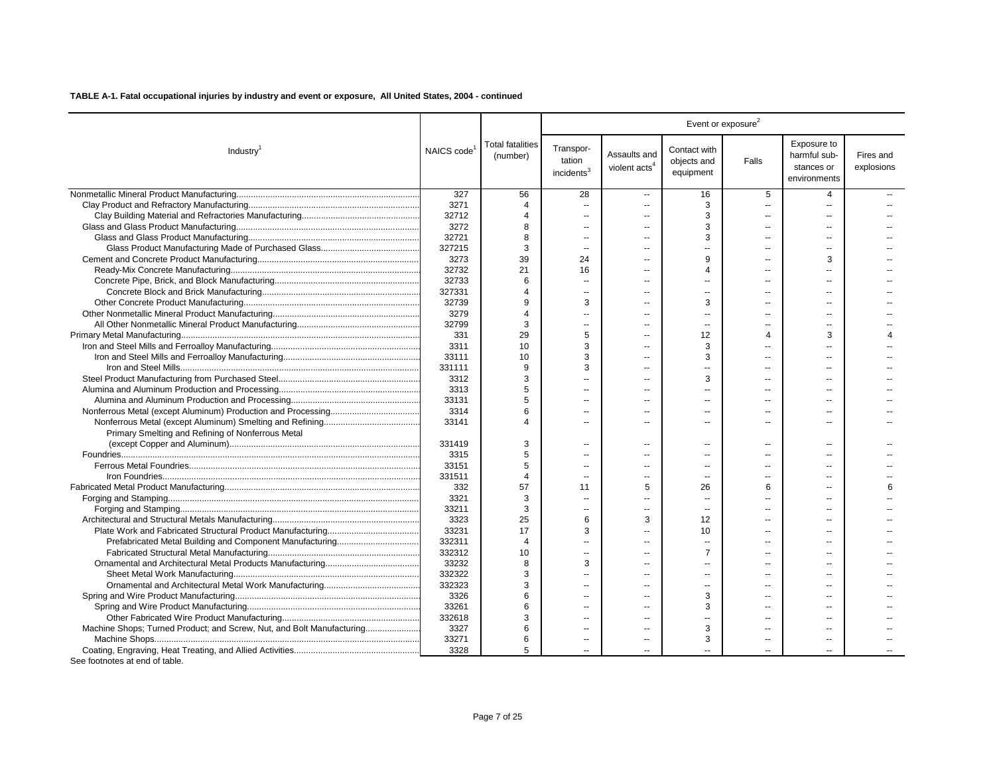| Industry <sup>1</sup>                                                 | NAICS code | <b>Total fatalities</b><br>(number) | Transpor-<br>tation<br>incidents <sup>3</sup> | Assaults and<br>violent acts <sup>4</sup> | Contact with<br>objects and<br>equipment | Falls                    | Exposure to<br>harmful sub-<br>stances or<br>environments | Fires and<br>explosions |
|-----------------------------------------------------------------------|------------|-------------------------------------|-----------------------------------------------|-------------------------------------------|------------------------------------------|--------------------------|-----------------------------------------------------------|-------------------------|
|                                                                       | 327        | 56                                  | 28                                            | $\overline{a}$                            | 16                                       | 5                        | 4                                                         |                         |
|                                                                       | 3271       | $\boldsymbol{\Delta}$               | $\overline{\phantom{a}}$                      | $\overline{a}$                            | 3                                        | $\overline{\phantom{a}}$ | $\overline{a}$                                            |                         |
|                                                                       | 32712      | 4                                   | $\overline{a}$                                | $\overline{a}$                            | 3                                        | $\overline{a}$           | $\overline{a}$                                            |                         |
|                                                                       | 3272       | 8                                   | $\overline{a}$                                | $\sim$                                    | 3                                        | $\sim$                   | $\sim$                                                    |                         |
|                                                                       | 32721      | 8                                   | $\overline{\phantom{a}}$                      | $\overline{a}$                            | 3                                        |                          | --                                                        |                         |
|                                                                       | 327215     | 3                                   | $\sim$                                        | $\overline{a}$                            | $\sim$                                   |                          | $\overline{a}$                                            |                         |
|                                                                       | 3273       | 39                                  | 24                                            | $\overline{a}$                            | 9                                        | $\overline{a}$           | 3                                                         |                         |
|                                                                       | 32732      | 21                                  | 16                                            | $\sim$                                    | 4                                        |                          | $\sim$                                                    |                         |
|                                                                       | 32733      | 6                                   | $\overline{\phantom{a}}$                      | $\overline{a}$                            | $\overline{a}$                           |                          |                                                           |                         |
|                                                                       | 327331     | 4                                   | $\sim$                                        | $\sim$                                    | $\overline{a}$                           |                          |                                                           |                         |
|                                                                       | 32739      | 9                                   | 3                                             | $\sim$                                    | 3                                        | $-$                      |                                                           |                         |
|                                                                       | 3279       | 4                                   | --                                            | $\overline{a}$                            | $-$                                      |                          |                                                           |                         |
|                                                                       | 32799      | 3                                   | $\sim$                                        | $\overline{a}$                            | $\sim$                                   | $\overline{a}$           | $\overline{a}$                                            |                         |
|                                                                       | 331        | 29                                  | 5                                             | $\sim$                                    | 12                                       | Δ                        | 3                                                         |                         |
|                                                                       | 3311       | 10                                  | 3                                             | ä.                                        | 3                                        |                          |                                                           |                         |
|                                                                       | 33111      | 10                                  | 3                                             |                                           | 3                                        |                          |                                                           |                         |
|                                                                       | 331111     | 9                                   | 3                                             | $\overline{a}$                            |                                          |                          |                                                           |                         |
|                                                                       | 3312       | 3                                   | $\overline{a}$                                | $\overline{a}$                            | 3                                        | $\overline{a}$           | $\overline{a}$                                            |                         |
|                                                                       | 3313       | 5                                   | $\sim$                                        | $\sim$                                    | $\overline{a}$                           |                          |                                                           |                         |
|                                                                       | 33131      | 5                                   | $\overline{a}$                                | $\sim$                                    | $\overline{a}$                           |                          | $\overline{a}$                                            |                         |
|                                                                       | 3314       | 6                                   | $\overline{a}$                                | $\overline{a}$                            | $\overline{a}$                           | $\overline{a}$           | $\overline{a}$                                            |                         |
|                                                                       | 33141      | $\Delta$                            | $\overline{a}$                                | $\sim$                                    | $\overline{a}$                           | $\overline{a}$           | $\sim$                                                    |                         |
| Primary Smelting and Refining of Nonferrous Metal                     |            |                                     |                                               |                                           |                                          |                          |                                                           |                         |
|                                                                       | 331419     | 3                                   | $\overline{a}$                                | $\overline{a}$                            | $\overline{a}$                           | $\sim$                   | $\overline{a}$                                            |                         |
|                                                                       | 3315       | 5                                   | $\overline{\phantom{a}}$                      | $\overline{a}$                            | $\overline{a}$                           |                          |                                                           |                         |
|                                                                       | 33151      | 5                                   | $\overline{\phantom{a}}$                      | $\overline{\phantom{a}}$                  | --                                       | $\sim$                   | $\overline{a}$                                            |                         |
|                                                                       | 331511     | $\overline{4}$                      |                                               |                                           |                                          |                          |                                                           |                         |
|                                                                       | 332        | 57                                  | 11                                            | 5                                         | 26                                       | 6                        |                                                           | 6                       |
|                                                                       | 3321       | 3                                   | $\overline{a}$                                | $\overline{\phantom{a}}$                  | --                                       |                          |                                                           |                         |
|                                                                       | 33211      | 3                                   | $\overline{a}$                                | $\overline{a}$                            | $\sim$                                   | $\overline{a}$           | $\overline{a}$                                            |                         |
|                                                                       | 3323       | 25                                  | 6                                             | 3                                         | 12                                       |                          |                                                           |                         |
|                                                                       | 33231      | 17                                  | 3                                             | $\overline{a}$                            | 10                                       | $\overline{a}$           | $\sim$                                                    |                         |
|                                                                       | 332311     | $\overline{4}$                      | Ξ.                                            | $\overline{a}$                            | u.                                       | $\overline{a}$           | $\overline{a}$                                            |                         |
|                                                                       | 332312     | 10                                  | $\sim$                                        | $\overline{a}$                            | $\overline{7}$                           |                          | $\overline{a}$                                            |                         |
|                                                                       | 33232      | 8                                   | 3                                             | $\sim$                                    | $\overline{a}$                           |                          | $\sim$                                                    |                         |
|                                                                       | 332322     | 3                                   | --                                            | $\sim$                                    | $\overline{a}$                           | $\overline{a}$           | $\overline{a}$                                            |                         |
|                                                                       | 332323     | 3                                   |                                               | $\overline{a}$                            | $\overline{a}$                           |                          |                                                           |                         |
|                                                                       | 3326       | 6                                   | $\overline{a}$                                | $\sim$                                    | 3                                        | $-$                      | $-$                                                       |                         |
|                                                                       | 33261      | 6                                   |                                               |                                           | 3                                        |                          |                                                           |                         |
|                                                                       | 332618     | 3                                   | $\overline{a}$                                | $\overline{a}$                            | $\overline{a}$                           |                          |                                                           |                         |
| Machine Shops; Turned Product; and Screw, Nut, and Bolt Manufacturing | 3327       | 6                                   | --                                            | $\sim$                                    | 3                                        |                          |                                                           |                         |
|                                                                       | 33271      | 6                                   | $\overline{a}$                                | $\overline{\phantom{a}}$                  | 3                                        |                          |                                                           |                         |
|                                                                       | 3328       | 5                                   | $\sim$                                        | ä.                                        | Ш.                                       |                          |                                                           |                         |
|                                                                       |            |                                     |                                               |                                           |                                          |                          |                                                           |                         |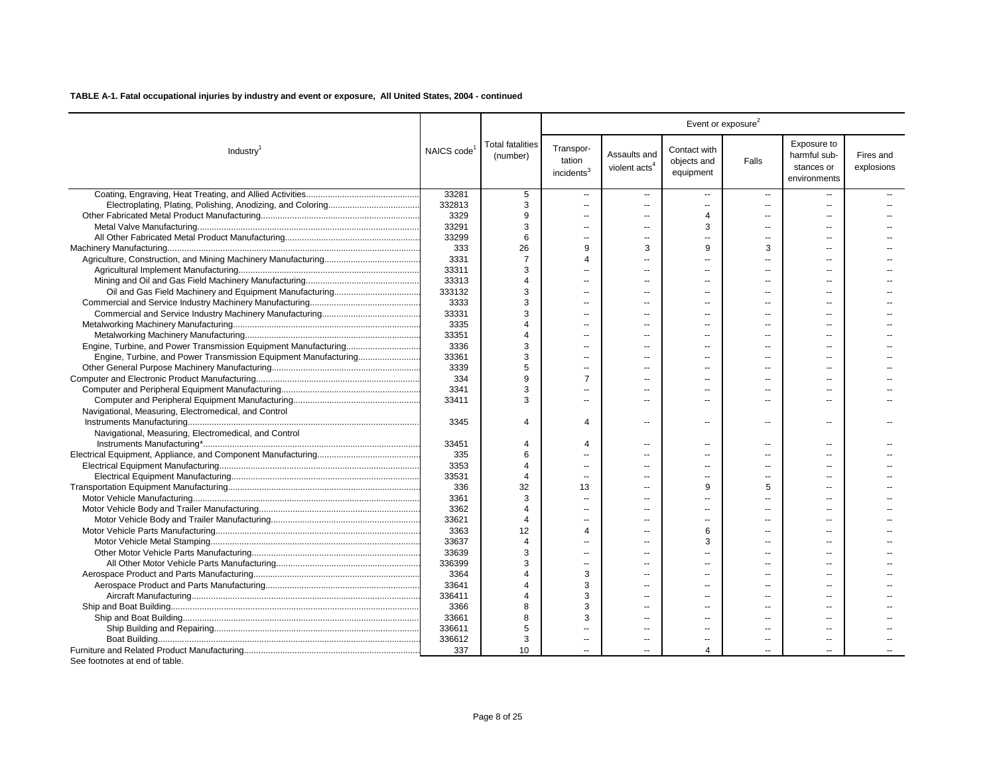|                                                                 |                         |                                     |                                               |                                           | Event or exposure <sup>2</sup>           |                          |                                                           |                         |  |  |
|-----------------------------------------------------------------|-------------------------|-------------------------------------|-----------------------------------------------|-------------------------------------------|------------------------------------------|--------------------------|-----------------------------------------------------------|-------------------------|--|--|
| Industry <sup>1</sup>                                           | NAICS code <sup>1</sup> | <b>Total fatalities</b><br>(number) | Transpor-<br>tation<br>incidents <sup>3</sup> | Assaults and<br>violent acts <sup>4</sup> | Contact with<br>objects and<br>equipment | Falls                    | Exposure to<br>harmful sub-<br>stances or<br>environments | Fires and<br>explosions |  |  |
|                                                                 | 33281                   | 5                                   | $\sim$                                        | $\overline{a}$                            | $\overline{a}$                           | $\overline{a}$           |                                                           |                         |  |  |
|                                                                 | 332813                  | 3                                   | $\sim$                                        | Ξ.                                        | $\mathbf{u}$                             | $\overline{\phantom{a}}$ | $\sim$                                                    |                         |  |  |
|                                                                 | 3329                    | 9                                   | $\sim$                                        | $\overline{a}$                            | $\boldsymbol{\Delta}$                    | $\sim$                   |                                                           |                         |  |  |
|                                                                 | 33291                   | 3                                   | $\overline{\phantom{a}}$                      | --                                        | 3                                        | --                       |                                                           |                         |  |  |
|                                                                 | 33299                   | 6                                   | $\sim$                                        | Ξ.                                        |                                          | $\overline{a}$           |                                                           |                         |  |  |
|                                                                 | 333                     | 26                                  | 9                                             | 3                                         | 9                                        | 3                        |                                                           |                         |  |  |
|                                                                 | 3331                    | 7                                   | $\overline{4}$                                | Ξ.                                        |                                          |                          |                                                           |                         |  |  |
|                                                                 | 33311                   | 3                                   |                                               |                                           |                                          |                          |                                                           |                         |  |  |
|                                                                 | 33313                   |                                     | $\sim$                                        | --                                        |                                          |                          |                                                           |                         |  |  |
|                                                                 | 333132                  | 3                                   | $\sim$                                        |                                           |                                          |                          |                                                           |                         |  |  |
|                                                                 | 3333                    | 3                                   | $\sim$                                        | $\overline{a}$                            | $\sim$                                   | --                       |                                                           |                         |  |  |
|                                                                 | 33331                   | з                                   | $\sim$                                        | $\overline{a}$                            | --                                       |                          |                                                           |                         |  |  |
|                                                                 | 3335                    | $\Delta$                            | $\sim$                                        | --                                        |                                          |                          |                                                           |                         |  |  |
|                                                                 | 33351                   | $\Delta$                            | ц.                                            | $\sim$                                    | $\sim$                                   |                          |                                                           |                         |  |  |
|                                                                 | 3336                    | 3                                   | $\sim$                                        | $\overline{a}$                            | $\overline{a}$                           | --                       |                                                           |                         |  |  |
| Engine, Turbine, and Power Transmission Equipment Manufacturing | 33361                   | 3                                   | $\sim$                                        | $\overline{a}$                            | $\overline{a}$                           | --                       |                                                           |                         |  |  |
|                                                                 | 3339                    | 5                                   | $\sim$                                        | $\overline{a}$                            |                                          | --                       |                                                           |                         |  |  |
|                                                                 | 334                     | 9                                   | $\overline{7}$                                |                                           |                                          |                          |                                                           |                         |  |  |
|                                                                 | 3341                    | 3                                   | $\sim$                                        |                                           |                                          | $\overline{a}$           |                                                           |                         |  |  |
|                                                                 | 33411                   | 3                                   | $\sim$                                        | $\overline{a}$                            |                                          | $\overline{a}$           | х.                                                        |                         |  |  |
| Navigational, Measuring, Electromedical, and Control            |                         |                                     |                                               |                                           |                                          |                          |                                                           |                         |  |  |
|                                                                 | 3345                    | $\boldsymbol{\Delta}$               | $\overline{\mathbf{A}}$                       | Ξ.                                        | $\sim$                                   | $\sim$                   | ц.                                                        |                         |  |  |
| Navigational, Measuring, Electromedical, and Control            |                         |                                     |                                               |                                           |                                          |                          |                                                           |                         |  |  |
|                                                                 | 33451                   | Δ                                   | $\overline{\mathbf{A}}$                       | $\overline{a}$                            |                                          | $\sim$                   | $\sim$                                                    |                         |  |  |
|                                                                 | 335                     | 6                                   | $\sim$                                        |                                           |                                          | --                       |                                                           |                         |  |  |
|                                                                 | 3353                    | $\boldsymbol{\Delta}$               | $\overline{\phantom{a}}$                      | --                                        | $\overline{a}$                           | $\overline{\phantom{a}}$ |                                                           |                         |  |  |
|                                                                 | 33531                   |                                     | $\sim$                                        | $\overline{a}$                            | $\sim$                                   | $\overline{\phantom{a}}$ |                                                           |                         |  |  |
|                                                                 | 336                     | 32                                  | 13                                            | $\overline{a}$                            | 9                                        | 5                        |                                                           |                         |  |  |
|                                                                 | 3361                    | 3                                   | $\overline{\phantom{a}}$                      | --                                        | $\overline{a}$                           | --                       |                                                           |                         |  |  |
|                                                                 | 3362                    |                                     |                                               | Ξ.                                        |                                          |                          |                                                           |                         |  |  |
|                                                                 | 33621                   | $\boldsymbol{\Delta}$               |                                               |                                           |                                          |                          |                                                           |                         |  |  |
|                                                                 | 3363                    | 12                                  | $\overline{4}$                                | Ξ.                                        | 6                                        | $\overline{a}$           | $\sim$                                                    |                         |  |  |
|                                                                 | 33637                   | 4                                   |                                               |                                           | 3                                        |                          |                                                           |                         |  |  |
|                                                                 | 33639                   | 3                                   | $\sim$                                        | Ξ.                                        | $\sim$                                   | $\overline{a}$           |                                                           |                         |  |  |
|                                                                 | 336399                  | 3                                   | $\sim$                                        | --                                        | $\overline{a}$                           |                          |                                                           |                         |  |  |
|                                                                 | 3364                    |                                     | 3                                             | $\overline{a}$                            | $\sim$                                   | $\sim$                   | х.                                                        |                         |  |  |
|                                                                 | 33641                   | $\boldsymbol{\Delta}$               | 3                                             |                                           |                                          |                          |                                                           |                         |  |  |
|                                                                 |                         | Δ                                   | 3                                             | $\overline{a}$                            | $\sim$                                   | $\overline{a}$           |                                                           |                         |  |  |
|                                                                 | 3366                    | 8                                   | 3                                             |                                           |                                          |                          |                                                           |                         |  |  |
|                                                                 | 33661                   | 8                                   | 3                                             | $\overline{a}$                            |                                          | --                       |                                                           |                         |  |  |
|                                                                 |                         | 5                                   |                                               | $\overline{a}$                            |                                          | $\overline{a}$           |                                                           |                         |  |  |
|                                                                 | 336612                  | 3                                   |                                               |                                           |                                          | --                       |                                                           |                         |  |  |
|                                                                 | 337                     | 10                                  |                                               |                                           | 4                                        |                          |                                                           |                         |  |  |
|                                                                 | 336411<br>336611        |                                     |                                               |                                           |                                          |                          |                                                           |                         |  |  |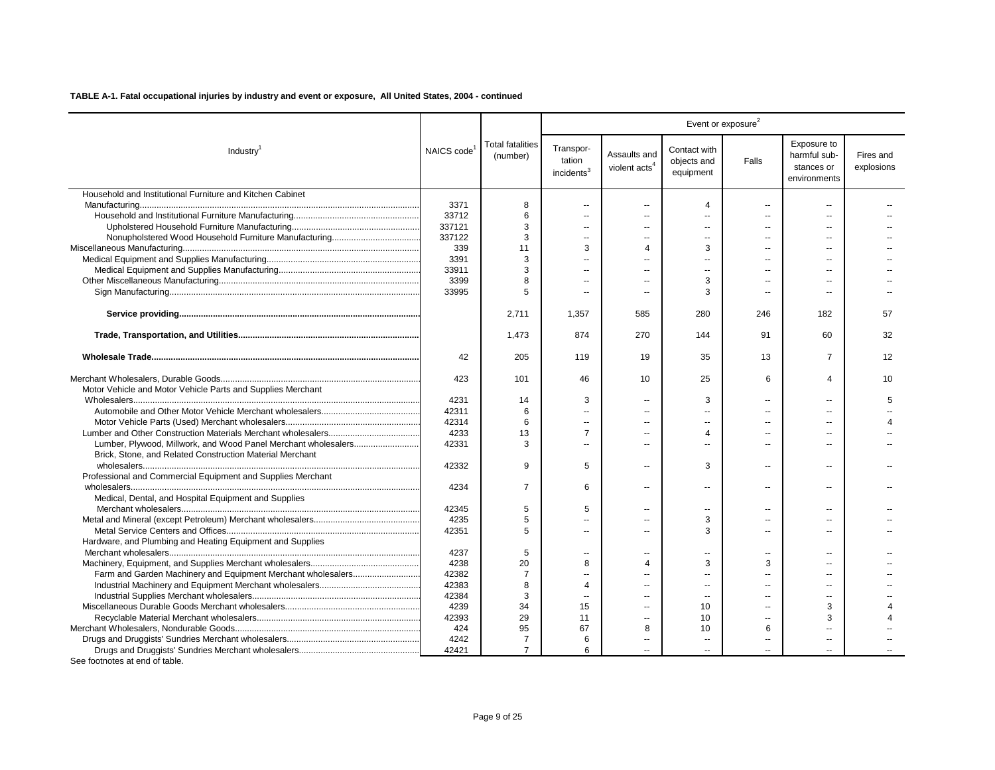|                                                                |                         |                                     |                                               |                                           |                                          | Event or exposure <sup>2</sup> |                                                           |                         |
|----------------------------------------------------------------|-------------------------|-------------------------------------|-----------------------------------------------|-------------------------------------------|------------------------------------------|--------------------------------|-----------------------------------------------------------|-------------------------|
| Industry <sup>1</sup>                                          | NAICS code <sup>1</sup> | <b>Total fatalities</b><br>(number) | Transpor-<br>tation<br>incidents <sup>3</sup> | Assaults and<br>violent acts <sup>4</sup> | Contact with<br>objects and<br>equipment | Falls                          | Exposure to<br>harmful sub-<br>stances or<br>environments | Fires and<br>explosions |
| Household and Institutional Furniture and Kitchen Cabinet      |                         |                                     |                                               |                                           |                                          |                                |                                                           |                         |
|                                                                | 3371                    | 8                                   | $\sim$ $\sim$                                 | $\ddotsc$                                 | 4                                        | $\overline{a}$                 | $\overline{a}$                                            |                         |
|                                                                | 33712                   | 6                                   | $\sim$                                        | $\overline{a}$                            | $\overline{a}$                           | $\sim$                         | $\overline{a}$                                            |                         |
|                                                                | 337121                  | 3                                   | $\sim$                                        | $\sim$                                    | $\overline{a}$                           |                                | $\sim$                                                    |                         |
|                                                                | 337122                  | 3                                   | $\overline{a}$                                | $\overline{a}$                            | $\overline{\phantom{a}}$                 | $\overline{\phantom{a}}$       | --                                                        |                         |
|                                                                | 339                     | 11                                  | 3                                             | $\Delta$                                  | 3                                        | ш.                             | $\sim$                                                    |                         |
|                                                                | 3391                    | 3                                   | $\sim$                                        | $\overline{a}$                            | $\sim$                                   | $\sim$                         |                                                           |                         |
|                                                                | 33911                   | 3                                   |                                               |                                           | $\sim$                                   |                                |                                                           |                         |
|                                                                | 3399                    | 8                                   | $\sim$                                        | $\overline{a}$                            | 3                                        | $\sim$                         | $\overline{a}$                                            |                         |
|                                                                | 33995                   | 5                                   |                                               |                                           | 3                                        | $\sim$                         |                                                           |                         |
|                                                                |                         | 2,711                               | 1,357                                         | 585                                       | 280                                      | 246                            | 182                                                       | 57                      |
|                                                                |                         | 1,473                               | 874                                           | 270                                       | 144                                      | 91                             | 60                                                        | 32                      |
|                                                                | 42                      | 205                                 | 119                                           | 19                                        | 35                                       | 13                             | $\overline{7}$                                            | 12                      |
|                                                                | 423                     | 101                                 | 46                                            | 10                                        | 25                                       | 6                              | 4                                                         | 10                      |
| Motor Vehicle and Motor Vehicle Parts and Supplies Merchant    |                         |                                     |                                               |                                           |                                          |                                |                                                           |                         |
|                                                                | 4231                    | 14                                  | 3                                             | $\sim$                                    | 3                                        | $\sim$                         | ш.                                                        | 5                       |
|                                                                | 42311                   | 6                                   | $\sim$                                        | $\overline{a}$                            | $\overline{a}$                           |                                |                                                           |                         |
|                                                                | 42314                   | 6                                   | $\sim$                                        | $\overline{a}$                            | $\overline{a}$                           | ш.                             |                                                           |                         |
|                                                                | 4233                    | 13                                  | 7                                             | $\sim$                                    | 4                                        | $\sim$                         |                                                           |                         |
| Lumber, Plywood, Millwork, and Wood Panel Merchant wholesalers | 42331                   | 3                                   | $\overline{a}$                                | $\overline{a}$                            | $\overline{a}$                           | $\overline{a}$                 | $\overline{a}$                                            |                         |
| Brick, Stone, and Related Construction Material Merchant       |                         |                                     |                                               |                                           |                                          |                                |                                                           |                         |
|                                                                | 42332                   | 9                                   | 5                                             | $\overline{a}$                            | 3                                        | $\overline{a}$                 | $\overline{a}$                                            |                         |
| Professional and Commercial Equipment and Supplies Merchant    |                         |                                     |                                               |                                           |                                          |                                |                                                           |                         |
|                                                                | 4234                    | $\overline{7}$                      | 6                                             | $\overline{\phantom{a}}$                  | $\overline{a}$                           | $\overline{a}$                 | $\sim$                                                    |                         |
| Medical, Dental, and Hospital Equipment and Supplies           |                         |                                     |                                               |                                           |                                          |                                |                                                           |                         |
|                                                                | 42345                   | 5                                   | 5                                             | $\overline{a}$                            | $\overline{a}$                           | $\sim$                         | $\overline{a}$                                            |                         |
|                                                                | 4235                    | 5                                   | $\overline{a}$                                | Ξ.                                        | 3                                        |                                |                                                           |                         |
|                                                                | 42351                   | 5                                   | $\overline{a}$                                | $\sim$                                    | 3                                        | $\overline{a}$                 | $\overline{a}$                                            |                         |
| Hardware, and Plumbing and Heating Equipment and Supplies      |                         |                                     |                                               |                                           |                                          |                                |                                                           |                         |
|                                                                | 4237                    | 5                                   | $\overline{a}$                                | $\overline{a}$                            | $\overline{a}$                           | ۵.                             | $\overline{a}$                                            |                         |
|                                                                | 4238                    | 20                                  | 8                                             | $\Delta$                                  | 3                                        | 3                              |                                                           |                         |
|                                                                | 42382                   | 7                                   | $\overline{a}$                                | $\overline{a}$                            | $\overline{a}$                           | $\sim$                         | $\overline{a}$                                            |                         |
|                                                                | 42383                   | 8                                   | 4                                             |                                           | $\sim$                                   |                                |                                                           |                         |
|                                                                | 42384                   | 3                                   | $\sim$                                        | ш.                                        | $\sim$                                   | $\overline{\phantom{a}}$       | $\overline{a}$                                            |                         |
|                                                                | 4239                    | 34                                  | 15                                            |                                           | 10                                       |                                | 3                                                         |                         |
|                                                                | 42393                   | 29                                  | 11                                            | $\overline{a}$                            | 10                                       | --                             | 3                                                         |                         |
|                                                                | 424                     | 95                                  | 67                                            | 8                                         | 10                                       | 6                              |                                                           |                         |
|                                                                | 4242                    | 7                                   | 6                                             |                                           |                                          |                                |                                                           |                         |
|                                                                | 42421                   | $\overline{7}$                      | 6                                             |                                           | $\overline{a}$                           |                                |                                                           |                         |
|                                                                |                         |                                     |                                               |                                           |                                          |                                |                                                           |                         |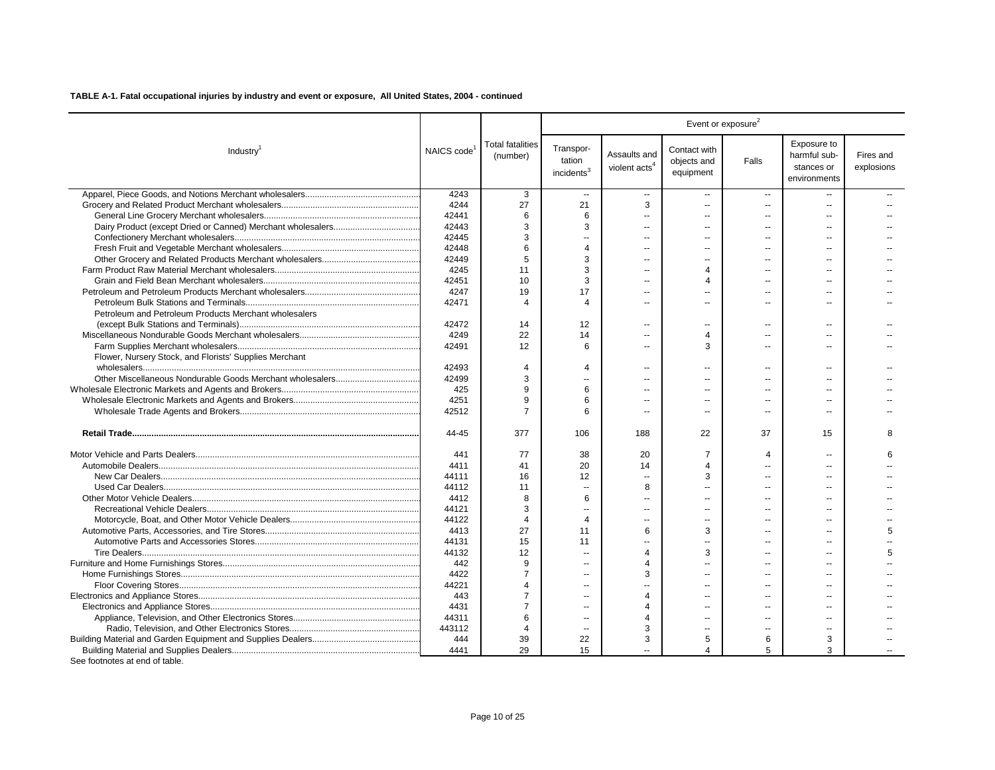|                                                        |                         |                                     |                                               |                                           | Event or exposure <sup>2</sup>           |                |                                                           |                         |  |  |
|--------------------------------------------------------|-------------------------|-------------------------------------|-----------------------------------------------|-------------------------------------------|------------------------------------------|----------------|-----------------------------------------------------------|-------------------------|--|--|
| Industry <sup>1</sup>                                  | NAICS code <sup>1</sup> | <b>Total fatalities</b><br>(number) | Transpor-<br>tation<br>incidents <sup>3</sup> | Assaults and<br>violent acts <sup>4</sup> | Contact with<br>objects and<br>equipment | Falls          | Exposure to<br>harmful sub-<br>stances or<br>environments | Fires and<br>explosions |  |  |
|                                                        | 4243                    | 3                                   | $\overline{a}$                                | $\sim$                                    | $\sim$                                   | $\sim$         |                                                           |                         |  |  |
|                                                        | 4244                    | 27                                  | 21                                            | 3                                         | $\sim$                                   | $\overline{a}$ |                                                           |                         |  |  |
|                                                        | 42441                   | 6                                   | 6                                             | $\overline{a}$                            | $\overline{a}$                           | $\overline{a}$ |                                                           |                         |  |  |
|                                                        | 42443                   | 3                                   | 3                                             |                                           |                                          |                |                                                           |                         |  |  |
|                                                        | 42445                   | 3                                   | ц,                                            | --                                        |                                          |                |                                                           |                         |  |  |
|                                                        | 42448                   | 6                                   | $\overline{4}$                                | $\sim$                                    | $\sim$                                   | $\sim$         | ست                                                        |                         |  |  |
|                                                        | 42449                   | 5                                   | 3                                             | $\overline{a}$                            |                                          | $\overline{a}$ |                                                           |                         |  |  |
|                                                        | 4245                    | 11                                  | 3                                             | $\overline{a}$                            | $\Delta$                                 |                | х.                                                        |                         |  |  |
|                                                        | 42451                   | 10                                  | 3                                             | $\overline{a}$                            | $\Delta$                                 | $\overline{a}$ |                                                           |                         |  |  |
|                                                        | 4247                    | 19                                  | 17                                            | ۰.                                        |                                          | $\overline{a}$ | $\sim$                                                    |                         |  |  |
|                                                        | 42471                   | $\boldsymbol{\Delta}$               | $\overline{4}$                                | $\overline{a}$                            | $\sim$                                   | $\overline{a}$ |                                                           |                         |  |  |
| Petroleum and Petroleum Products Merchant wholesalers  |                         |                                     |                                               |                                           |                                          |                |                                                           |                         |  |  |
|                                                        | 42472                   | 14                                  | 12                                            | ۰.                                        |                                          | $\overline{a}$ |                                                           |                         |  |  |
|                                                        | 4249                    | 22                                  | 14                                            | ä,                                        | $\overline{4}$                           | $\overline{a}$ | $\sim$                                                    |                         |  |  |
|                                                        | 42491                   | 12                                  | 6                                             | $\overline{a}$                            | 3                                        | $\overline{a}$ | $\sim$                                                    |                         |  |  |
| Flower, Nursery Stock, and Florists' Supplies Merchant |                         |                                     |                                               |                                           |                                          |                |                                                           |                         |  |  |
|                                                        | 42493                   | 4                                   | $\overline{4}$                                | $\sim$                                    |                                          | $-$            | $\sim$                                                    |                         |  |  |
|                                                        | 42499                   | 3                                   | $\overline{\phantom{a}}$                      | $\overline{a}$                            | $\sim$                                   | $\overline{a}$ |                                                           |                         |  |  |
|                                                        | 425                     | 9                                   | 6                                             |                                           |                                          |                |                                                           |                         |  |  |
|                                                        | 4251                    | 9                                   | 6                                             |                                           |                                          | $\overline{a}$ |                                                           |                         |  |  |
|                                                        | 42512                   | $\overline{7}$                      | 6                                             | $\overline{a}$                            | $\overline{a}$                           | $\overline{a}$ | $\sim$                                                    |                         |  |  |
|                                                        | 44-45                   | 377                                 | 106                                           | 188                                       | 22                                       | 37             | 15                                                        | 8                       |  |  |
|                                                        | 441                     | 77                                  | 38                                            | 20                                        | $\overline{7}$                           | 4              | $\sim$                                                    | 6                       |  |  |
|                                                        | 4411                    | 41                                  | 20                                            | 14                                        | $\overline{4}$                           |                |                                                           |                         |  |  |
|                                                        | 44111                   | 16                                  | 12                                            | ä,                                        | 3                                        | $\overline{a}$ | $\sim$                                                    |                         |  |  |
|                                                        | 44112                   | 11                                  | $\ddotsc$                                     | 8                                         |                                          |                | $\sim$                                                    |                         |  |  |
|                                                        | 4412                    | 8                                   | 6                                             | ۰.                                        | $\sim$                                   | $\overline{a}$ | $\sim$                                                    |                         |  |  |
|                                                        | 44121                   | 3                                   | $\sim$                                        |                                           | ш.                                       |                |                                                           |                         |  |  |
|                                                        | 44122                   | 4                                   | $\overline{4}$                                | ۰.                                        | $\overline{a}$                           | $\overline{a}$ | $\sim$                                                    |                         |  |  |
|                                                        | 4413                    | 27                                  | 11                                            | 6                                         | 3                                        |                |                                                           | 5                       |  |  |
|                                                        | 44131                   | 15                                  | 11                                            | $\overline{a}$                            | $\overline{a}$                           | $\overline{a}$ | $\sim$                                                    |                         |  |  |
|                                                        | 44132                   | 12                                  | $\sim$                                        | $\overline{4}$                            | 3                                        |                |                                                           | 5                       |  |  |
|                                                        | 442                     | 9                                   | $\sim$                                        | $\overline{4}$                            |                                          |                |                                                           |                         |  |  |
|                                                        | 4422                    | $\overline{7}$                      | $\sim$                                        | 3                                         | $\overline{a}$                           | $\sim$         | $\sim$                                                    |                         |  |  |
|                                                        | 44221                   | $\boldsymbol{\varDelta}$            | $\overline{a}$                                | $\overline{a}$                            | $\overline{a}$                           | $\overline{a}$ |                                                           |                         |  |  |
|                                                        | 443                     | $\overline{7}$                      | $\sim$                                        | $\boldsymbol{\Delta}$                     | ш.                                       |                | $\sim$                                                    |                         |  |  |
|                                                        | 4431                    | $\overline{7}$                      | $\sim$                                        | $\boldsymbol{4}$                          | $\sim$                                   | $\overline{a}$ |                                                           |                         |  |  |
|                                                        | 44311                   | 6                                   | $\overline{\phantom{a}}$                      | $\boldsymbol{\Delta}$                     | $\sim$                                   | $\overline{a}$ | $\sim$                                                    |                         |  |  |
|                                                        | 443112                  | $\overline{4}$                      | $\sim$ $\sim$                                 | 3                                         |                                          |                |                                                           |                         |  |  |
|                                                        | 444                     | 39                                  | 22                                            | 3                                         | 5                                        | 6              | 3                                                         |                         |  |  |
| See footnotes at end of table.                         | 4441                    | 29                                  | 15                                            |                                           | 4                                        | 5              | 3                                                         |                         |  |  |

Page 10 of 25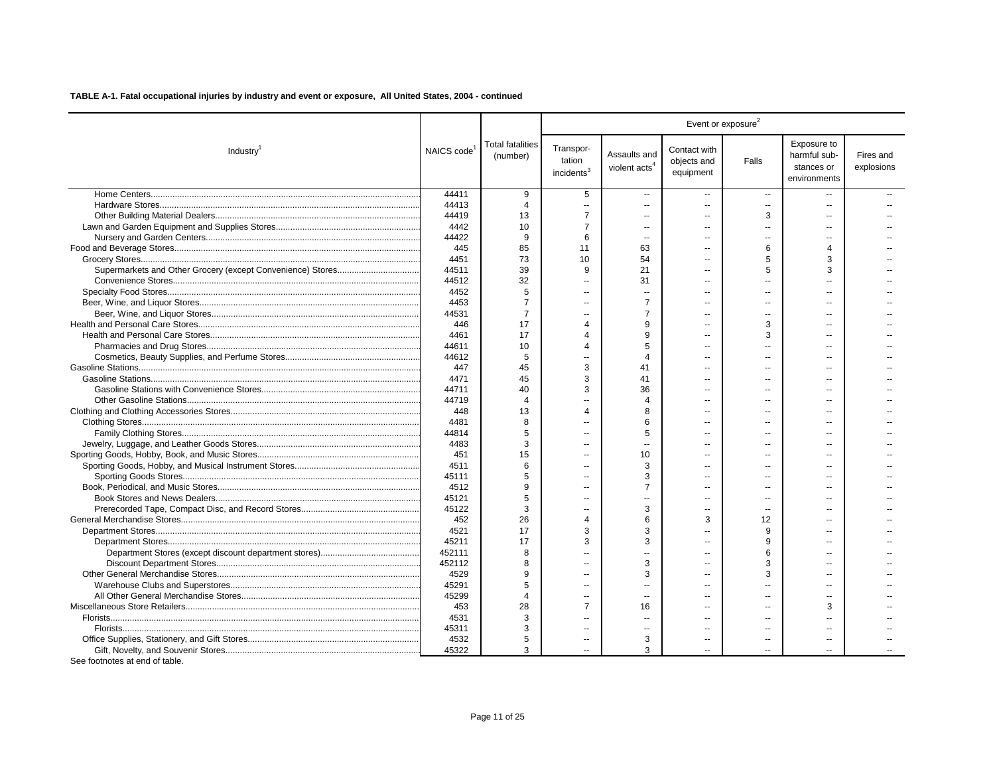|                       |                         |                                     |                                               |                                           | Event or exposure <sup>2</sup>           |                |                                                           |                         |  |
|-----------------------|-------------------------|-------------------------------------|-----------------------------------------------|-------------------------------------------|------------------------------------------|----------------|-----------------------------------------------------------|-------------------------|--|
| Industry <sup>1</sup> | NAICS code <sup>1</sup> | <b>Total fatalities</b><br>(number) | Transpor-<br>tation<br>incidents <sup>3</sup> | Assaults and<br>violent acts <sup>4</sup> | Contact with<br>objects and<br>equipment | Falls          | Exposure to<br>harmful sub-<br>stances or<br>environments | Fires and<br>explosions |  |
|                       | 44411                   | 9                                   | 5                                             | $\overline{a}$                            | $\overline{a}$                           | $\sim$         |                                                           |                         |  |
|                       | 44413                   | $\boldsymbol{\Delta}$               | $\overline{\phantom{a}}$                      | ш,                                        |                                          | $\overline{a}$ |                                                           |                         |  |
|                       | 44419                   | 13                                  | $\overline{7}$                                | $\overline{a}$                            | $\overline{a}$                           | 3              | $\sim$                                                    |                         |  |
|                       | 4442                    | 10                                  | $\overline{7}$                                | $\overline{a}$                            |                                          |                |                                                           |                         |  |
|                       | 44422                   | 9                                   | 6                                             | $\overline{a}$                            | $\overline{a}$                           | ۰.             | $\sim$                                                    |                         |  |
|                       | 445                     | 85                                  | 11                                            | 63                                        |                                          | 6              | Δ                                                         |                         |  |
|                       | 4451                    | 73                                  | 10                                            | 54                                        |                                          | 5              | 3                                                         |                         |  |
|                       | 44511                   | 39                                  | 9                                             | 21                                        |                                          | 5              | 3                                                         |                         |  |
|                       | 44512                   | 32                                  | $\sim$                                        | 31                                        | $\sim$                                   |                |                                                           |                         |  |
|                       | 4452                    | 5                                   | ш.                                            |                                           |                                          |                |                                                           |                         |  |
|                       | 4453                    | $\overline{7}$                      | $\sim$                                        | $\overline{7}$                            | $\overline{a}$                           | $\overline{a}$ |                                                           |                         |  |
|                       | 44531                   | $\overline{7}$                      | $\sim$                                        | $\overline{7}$                            |                                          |                |                                                           |                         |  |
|                       | 446                     | 17                                  | $\overline{4}$                                | 9                                         |                                          | 3              |                                                           |                         |  |
|                       | 4461                    | 17                                  | $\overline{4}$                                | 9                                         | $\overline{a}$                           | 3              |                                                           |                         |  |
|                       | 44611                   | 10                                  | $\overline{4}$                                | 5                                         |                                          |                |                                                           |                         |  |
|                       | 44612                   | 5                                   | $\overline{a}$                                | $\Delta$                                  |                                          |                |                                                           |                         |  |
|                       | 447                     | 45                                  | 3                                             | 41                                        |                                          |                |                                                           |                         |  |
|                       | 4471                    | 45                                  | 3                                             | 41                                        |                                          |                |                                                           |                         |  |
|                       | 44711                   | 40                                  | 3                                             | 36                                        |                                          |                |                                                           |                         |  |
|                       | 44719                   | $\Delta$                            |                                               | $\Delta$                                  |                                          |                |                                                           |                         |  |
|                       | 448                     | 13                                  | $\overline{4}$                                | 8                                         |                                          |                |                                                           |                         |  |
|                       | 4481                    | 8                                   | $\sim$                                        | 6                                         | $\sim$                                   | $\sim$         | ц.                                                        |                         |  |
|                       | 44814                   | 5                                   | $\sim$                                        | 5                                         |                                          |                |                                                           |                         |  |
|                       | 4483                    | 3                                   | $\sim$                                        | $\overline{a}$                            |                                          |                |                                                           |                         |  |
|                       | 451                     | 15                                  | $\sim$                                        | 10                                        |                                          |                |                                                           |                         |  |
|                       | 4511                    | 6                                   | $\sim$                                        | 3                                         |                                          |                |                                                           |                         |  |
|                       | 45111                   | 5                                   | $\sim$                                        | 3                                         |                                          |                |                                                           |                         |  |
|                       | 4512                    | 9                                   | $\overline{a}$                                | $\overline{7}$                            |                                          |                |                                                           |                         |  |
|                       | 45121                   | 5                                   | $\sim$                                        |                                           | $\sim$                                   | $\overline{a}$ |                                                           |                         |  |
|                       | 45122                   | 3                                   | $\overline{\phantom{a}}$                      | 3                                         | $\overline{a}$                           | $\overline{a}$ |                                                           |                         |  |
|                       | 452                     | 26                                  | $\overline{4}$                                | 6                                         | 3                                        | 12             |                                                           |                         |  |
|                       | 4521                    | 17                                  | 3                                             | 3                                         |                                          | 9              |                                                           |                         |  |
|                       | 45211                   | 17                                  | 3                                             | 3                                         |                                          | 9              |                                                           |                         |  |
|                       | 452111                  | 8                                   | $\overline{a}$                                | $\overline{a}$                            |                                          | 6              |                                                           |                         |  |
|                       | 452112                  | 8                                   | $\overline{\phantom{a}}$                      | 3                                         |                                          | 3              |                                                           |                         |  |
|                       | 4529                    | 9                                   |                                               | 3                                         |                                          | 3              |                                                           |                         |  |
|                       | 45291                   | 5                                   | $\overline{\phantom{a}}$                      |                                           |                                          |                |                                                           |                         |  |
|                       | 45299                   | $\boldsymbol{\Delta}$               | $\overline{\phantom{a}}$                      | $\overline{a}$                            | $\sim$                                   |                | $\sim$                                                    |                         |  |
|                       | 453                     | 28                                  | $\overline{7}$                                | 16                                        |                                          |                | 3                                                         |                         |  |
|                       | 4531                    | 3                                   | $\overline{\phantom{a}}$                      | $\overline{a}$                            | $\sim$                                   | $\sim$         |                                                           |                         |  |
|                       | 45311                   | 3                                   | $\sim$                                        | $\overline{a}$                            |                                          | $\sim$         |                                                           |                         |  |
|                       | 4532                    | 5                                   | $\overline{\phantom{a}}$                      | 3                                         | $\overline{\phantom{a}}$                 | --             |                                                           |                         |  |
|                       | 45322                   | 3                                   | $\sim$                                        | 3                                         |                                          |                |                                                           |                         |  |
|                       |                         |                                     |                                               |                                           |                                          |                |                                                           |                         |  |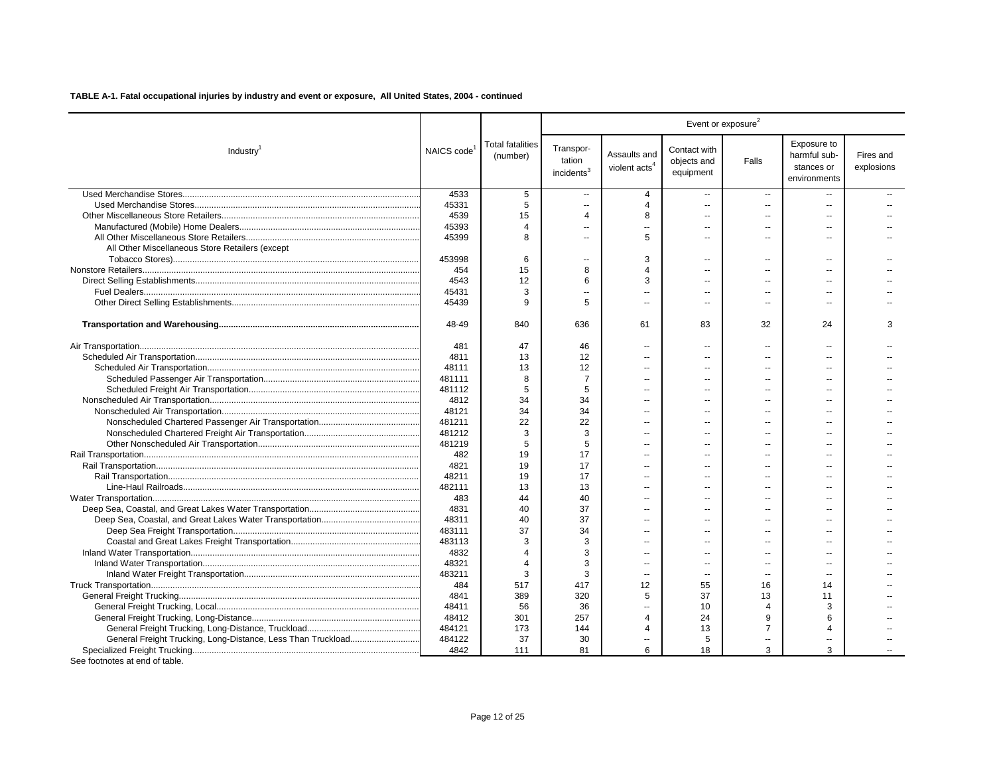|                                                 |                         |                                     |                                               |                                           |                                          | Event or exposure <sup>2</sup> |                                                           |                         |
|-------------------------------------------------|-------------------------|-------------------------------------|-----------------------------------------------|-------------------------------------------|------------------------------------------|--------------------------------|-----------------------------------------------------------|-------------------------|
| Industry <sup>1</sup>                           | NAICS code <sup>1</sup> | <b>Total fatalities</b><br>(number) | Transpor-<br>tation<br>incidents <sup>3</sup> | Assaults and<br>violent acts <sup>4</sup> | Contact with<br>objects and<br>equipment | Falls                          | Exposure to<br>harmful sub-<br>stances or<br>environments | Fires and<br>explosions |
|                                                 | 4533                    | 5                                   | $\sim$                                        | $\overline{4}$                            | $\sim$                                   | $\sim$                         | $\sim$                                                    |                         |
|                                                 | 45331                   | 5                                   | $\overline{\phantom{a}}$                      | $\overline{4}$                            | $\overline{a}$                           | $\overline{\phantom{a}}$       |                                                           |                         |
|                                                 | 4539                    | 15                                  | $\overline{4}$                                | 8                                         | ÷.                                       | $\overline{\phantom{a}}$       |                                                           |                         |
|                                                 | 45393                   | 4                                   | $\overline{\phantom{a}}$                      | Ξ.                                        | $\overline{a}$                           |                                | $\sim$                                                    |                         |
|                                                 | 45399                   | 8                                   | $\sim$                                        | 5                                         | $\overline{a}$                           | $\overline{a}$                 | $\sim$                                                    |                         |
| All Other Miscellaneous Store Retailers (except |                         |                                     |                                               |                                           |                                          |                                |                                                           |                         |
|                                                 | 453998                  | 6                                   | $\sim$                                        | 3                                         | $\sim$                                   | $\overline{a}$                 | $\sim$                                                    |                         |
|                                                 | 454                     | 15                                  | 8                                             | $\Delta$                                  | $\overline{a}$                           | $\overline{a}$                 | $\sim$                                                    |                         |
|                                                 | 4543                    | 12                                  | 6                                             | 3                                         | $\overline{a}$                           | $\overline{a}$                 | $\sim$                                                    |                         |
|                                                 | 45431                   | 3                                   | $\sim$                                        | $\sim$                                    | $\sim$                                   | $\sim$                         | $\sim$                                                    |                         |
|                                                 | 45439                   | 9                                   | 5                                             | $\overline{a}$                            | $\sim$                                   | $\overline{a}$                 | $\sim$                                                    |                         |
|                                                 | 48-49                   | 840                                 | 636                                           | 61                                        | 83                                       | 32                             | 24                                                        | 3                       |
|                                                 | 481                     | 47                                  | 46                                            | $\overline{a}$                            | $\overline{a}$                           | $\overline{a}$                 | $\sim$                                                    |                         |
|                                                 | 4811                    | 13                                  | 12                                            |                                           |                                          |                                |                                                           |                         |
|                                                 | 48111                   | 13                                  | 12                                            | --                                        |                                          | $\overline{a}$                 |                                                           |                         |
|                                                 | 481111                  | 8                                   | $\overline{7}$                                |                                           |                                          |                                |                                                           |                         |
|                                                 | 481112                  | 5                                   | 5                                             |                                           |                                          |                                |                                                           |                         |
|                                                 | 4812                    | 34                                  | 34                                            | $\overline{a}$                            | ш.                                       | $\sim$                         | ست                                                        |                         |
|                                                 | 48121                   | 34                                  | 34                                            | $\overline{a}$                            |                                          | $\overline{a}$                 |                                                           |                         |
|                                                 | 481211                  | 22                                  | 22                                            | --                                        |                                          |                                | $\sim$                                                    |                         |
|                                                 | 481212                  | 3                                   | 3                                             | $\overline{a}$                            |                                          | $\overline{a}$                 |                                                           |                         |
|                                                 | 481219                  | 5                                   | 5                                             | $\overline{a}$                            | ш.                                       | $-$                            | $\sim$                                                    |                         |
|                                                 | 482                     | 19                                  | 17                                            | $\overline{a}$                            | $\sim$                                   | $-$                            |                                                           |                         |
|                                                 | 4821                    | 19                                  | 17                                            | Ξ.                                        |                                          | $\overline{a}$                 | $\sim$                                                    |                         |
|                                                 | 48211                   | 19                                  | 17                                            | --                                        | $\overline{a}$                           | --                             |                                                           |                         |
|                                                 | 482111                  | 13                                  | 13                                            |                                           |                                          |                                |                                                           |                         |
|                                                 | 483                     | 44                                  | 40                                            |                                           |                                          |                                |                                                           |                         |
|                                                 | 4831                    | 40                                  | 37                                            | Ξ.                                        | $\sim$                                   |                                | $\sim$                                                    |                         |
|                                                 | 48311                   | 40                                  | 37                                            | $\sim$                                    | $\sim$                                   |                                |                                                           |                         |
|                                                 | 483111                  | 37                                  | 34                                            | Ξ.                                        | $\sim$                                   | $\overline{a}$                 | $\sim$                                                    |                         |
|                                                 | 483113                  | 3                                   | 3                                             |                                           |                                          |                                |                                                           |                         |
|                                                 | 4832                    | $\Delta$                            | 3                                             | $\overline{a}$                            | $\sim$                                   | $\overline{a}$                 | $\sim$                                                    |                         |
|                                                 | 48321                   | $\Delta$                            | 3                                             | $\overline{a}$                            | $\overline{a}$                           | $\overline{a}$                 | $\sim$                                                    |                         |
|                                                 | 483211                  | 3                                   | 3                                             | $\overline{a}$                            | $\sim$                                   | $\overline{a}$                 | $\sim$                                                    |                         |
|                                                 | 484                     | 517                                 | 417                                           | 12                                        | 55                                       | 16                             | 14                                                        |                         |
|                                                 | 4841                    | 389                                 | 320                                           | 5                                         | 37                                       | 13                             | 11                                                        |                         |
|                                                 | 48411                   | 56                                  | 36                                            | Ξ.                                        | 10                                       | 4                              | 3                                                         |                         |
|                                                 | 48412                   | 301                                 | 257                                           | $\overline{4}$                            | 24                                       | 9                              | 6                                                         |                         |
|                                                 | 484121                  | 173                                 | 144                                           | Δ                                         | 13                                       | $\overline{7}$                 |                                                           |                         |
|                                                 | 484122                  | 37                                  | 30                                            | --                                        | 5                                        |                                |                                                           |                         |
|                                                 | 4842                    | 111                                 | 81                                            | 6                                         | 18                                       | 3                              | 3                                                         |                         |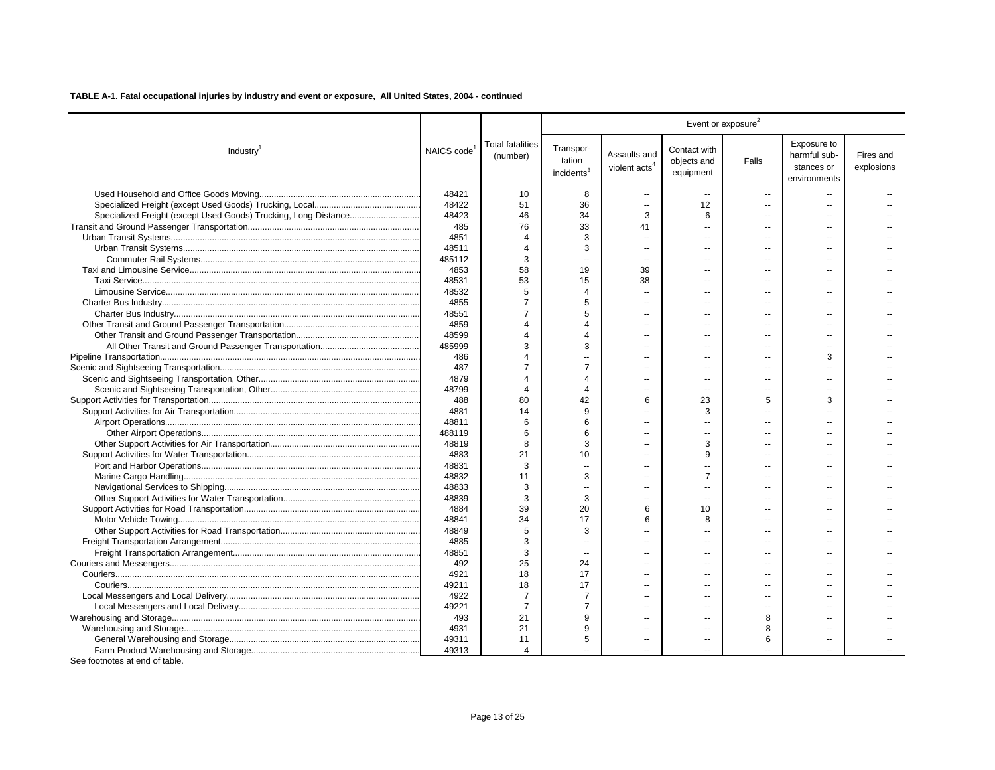|                                                                 |            |                                     |                                               |                                           | Event or exposure <sup>2</sup>           |                          |                                                           |                         |
|-----------------------------------------------------------------|------------|-------------------------------------|-----------------------------------------------|-------------------------------------------|------------------------------------------|--------------------------|-----------------------------------------------------------|-------------------------|
| Industry <sup>1</sup>                                           | NAICS code | <b>Total fatalities</b><br>(number) | Transpor-<br>tation<br>incidents <sup>3</sup> | Assaults and<br>violent acts <sup>4</sup> | Contact with<br>objects and<br>equipment | Falls                    | Exposure to<br>harmful sub-<br>stances or<br>environments | Fires and<br>explosions |
|                                                                 | 48421      | 10                                  | 8                                             | $\overline{a}$                            | $\sim$                                   | $\mathbf{u}$             |                                                           |                         |
|                                                                 | 48422      | 51                                  | 36                                            | $\sim$                                    | 12                                       |                          |                                                           |                         |
| Specialized Freight (except Used Goods) Trucking, Long-Distance | 48423      | 46                                  | 34                                            | 3                                         | 6                                        | $\sim$                   | $\overline{a}$                                            |                         |
|                                                                 | 485        | 76                                  | 33                                            | 41                                        | $\overline{a}$                           |                          |                                                           |                         |
|                                                                 | 4851       | Δ                                   | 3                                             | $\overline{a}$                            | $\overline{a}$                           |                          | --                                                        |                         |
|                                                                 | 48511      | $\overline{4}$                      | 3                                             | ш.                                        | $\sim$                                   |                          | $\sim$                                                    |                         |
|                                                                 | 485112     | 3                                   | $\sim$                                        | $\overline{a}$                            |                                          |                          |                                                           |                         |
|                                                                 | 4853       | 58                                  | 19                                            | 39                                        |                                          |                          |                                                           |                         |
|                                                                 | 48531      | 53                                  | 15                                            | 38                                        | $\overline{a}$                           | $\overline{\phantom{a}}$ | $\overline{a}$                                            |                         |
|                                                                 | 48532      | 5                                   | 4                                             | $\sim$                                    | $\sim$                                   |                          |                                                           |                         |
|                                                                 | 4855       | 7                                   | 5                                             | ш.                                        | $-$                                      | $\overline{a}$           | $\sim$                                                    |                         |
|                                                                 | 48551      | $\overline{7}$                      | 5                                             |                                           | $\sim$                                   |                          |                                                           |                         |
|                                                                 | 4859       | $\Delta$                            | Δ                                             |                                           |                                          |                          |                                                           |                         |
|                                                                 | 48599      | Δ                                   |                                               |                                           |                                          |                          |                                                           |                         |
|                                                                 | 485999     | 3                                   | 3                                             |                                           |                                          |                          |                                                           |                         |
|                                                                 | 486        | 4                                   |                                               |                                           |                                          |                          | 3                                                         |                         |
|                                                                 | 487        | 7                                   | $\overline{7}$                                | $\overline{a}$                            |                                          |                          |                                                           |                         |
|                                                                 | 4879       | $\overline{4}$                      | 4                                             | $\overline{a}$                            | $\overline{a}$                           |                          |                                                           |                         |
|                                                                 | 48799      | $\overline{4}$                      | 4                                             | $\overline{a}$                            | $\overline{a}$                           |                          | --                                                        |                         |
|                                                                 | 488        | 80                                  | 42                                            | 6                                         | 23                                       | 5                        | 3                                                         |                         |
|                                                                 | 4881       | 14                                  | 9                                             |                                           | 3                                        |                          |                                                           |                         |
|                                                                 | 48811      | 6                                   | 6                                             | $\sim$                                    | $\overline{a}$                           |                          |                                                           |                         |
|                                                                 | 488119     | 6                                   | 6                                             | ш.                                        | $\sim$                                   |                          |                                                           |                         |
|                                                                 | 48819      | 8                                   | 3                                             | ÷.                                        | 3                                        |                          | --                                                        |                         |
|                                                                 | 4883       | 21                                  | 10                                            |                                           | 9                                        |                          |                                                           |                         |
|                                                                 | 48831      | 3                                   | $\overline{a}$                                | $\overline{a}$                            | $\overline{a}$                           |                          | --                                                        |                         |
|                                                                 | 48832      | 11                                  | 3                                             |                                           | $\overline{7}$                           |                          |                                                           |                         |
|                                                                 | 48833      | 3                                   |                                               | $\sim$                                    | $\overline{\phantom{a}}$                 |                          |                                                           |                         |
|                                                                 | 48839      | 3                                   | 3                                             |                                           |                                          |                          |                                                           |                         |
|                                                                 | 4884       | 39                                  | 20                                            | 6                                         | 10                                       | $\overline{a}$           | $\overline{a}$                                            |                         |
|                                                                 | 48841      | 34                                  | 17                                            | 6                                         | 8                                        |                          |                                                           |                         |
|                                                                 | 48849      | 5                                   | 3                                             | $\overline{a}$                            |                                          |                          | --                                                        |                         |
|                                                                 | 4885       | 3                                   | $\overline{a}$                                |                                           |                                          |                          |                                                           |                         |
|                                                                 | 48851      | 3                                   | $\sim$                                        | $\overline{a}$                            | $\overline{a}$                           |                          | $\overline{a}$                                            |                         |
|                                                                 | 492        | 25                                  | 24                                            |                                           |                                          |                          |                                                           |                         |
|                                                                 | 4921       | 18                                  | 17                                            | $\overline{a}$                            | $\overline{a}$                           | --                       | --                                                        |                         |
|                                                                 | 49211      | 18                                  | 17                                            |                                           |                                          |                          |                                                           |                         |
|                                                                 | 4922       | -7                                  | 7                                             | ш.                                        | $-$                                      | $\sim$                   |                                                           |                         |
|                                                                 | 49221      | $\overline{7}$                      | $\overline{7}$                                |                                           |                                          |                          |                                                           |                         |
|                                                                 | 493        | 21                                  | 9                                             |                                           |                                          | 8                        |                                                           |                         |
|                                                                 | 4931       | 21                                  | 9                                             |                                           | $\overline{a}$                           | 8                        |                                                           |                         |
|                                                                 | 49311      | 11                                  | 5                                             |                                           |                                          | 6                        |                                                           |                         |
|                                                                 | 49313      | 4                                   |                                               |                                           | $\overline{a}$                           |                          |                                                           |                         |
|                                                                 |            |                                     |                                               |                                           |                                          |                          |                                                           |                         |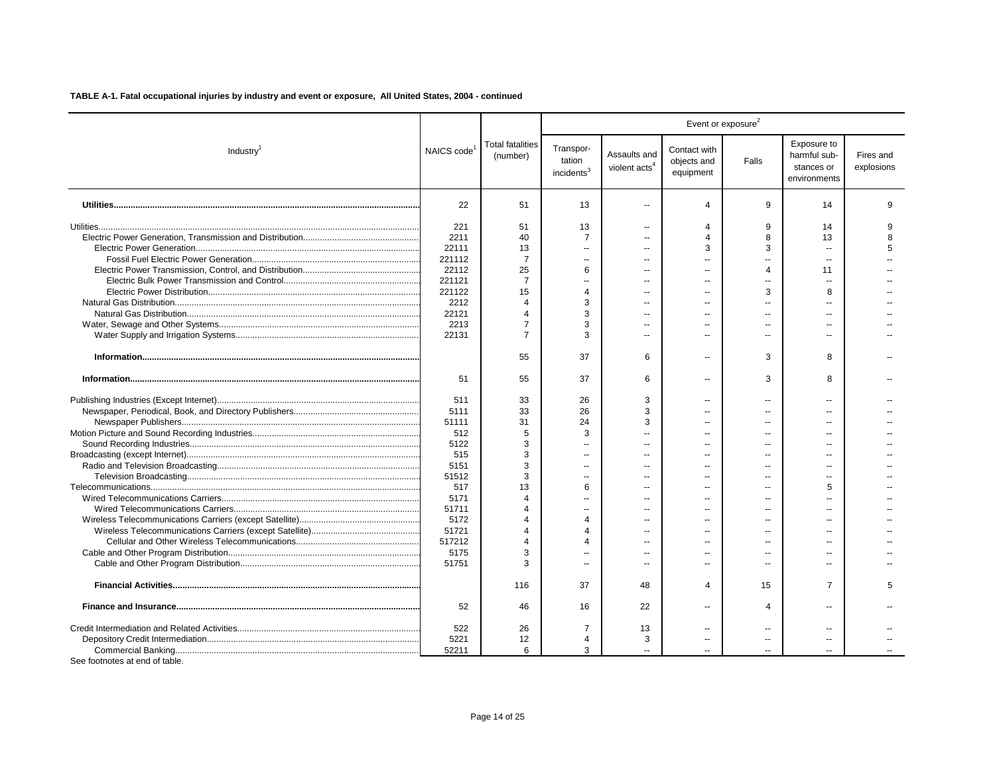|                       |                         |                                     |                                               |                                           |                                          | Event or exposure <sup>2</sup> |                                                           |                         |
|-----------------------|-------------------------|-------------------------------------|-----------------------------------------------|-------------------------------------------|------------------------------------------|--------------------------------|-----------------------------------------------------------|-------------------------|
| Industry <sup>1</sup> | NAICS code <sup>1</sup> | <b>Total fatalities</b><br>(number) | Transpor-<br>tation<br>incidents <sup>3</sup> | Assaults and<br>violent acts <sup>4</sup> | Contact with<br>objects and<br>equipment | Falls                          | Exposure to<br>harmful sub-<br>stances or<br>environments | Fires and<br>explosions |
|                       | 22                      | 51                                  | 13                                            | $\sim$                                    | 4                                        | 9                              | 14                                                        | 9                       |
|                       | 221                     | 51                                  | 13                                            | $\overline{a}$                            | 4                                        | 9                              | 14                                                        |                         |
|                       | 2211                    | 40                                  | $\overline{7}$                                | $\sim$                                    | 4                                        | 8                              | 13                                                        | R                       |
|                       | 22111                   | 13                                  | $\sim$                                        |                                           | 3                                        | 3                              |                                                           | 5                       |
|                       | 221112                  | 7                                   | $\sim$                                        | $\overline{a}$                            | $\overline{a}$                           | $\overline{a}$                 | $\overline{a}$                                            |                         |
|                       | 22112                   | 25                                  | 6                                             |                                           | $\sim$                                   | $\Delta$                       | 11                                                        |                         |
|                       | 221121                  | $\overline{7}$                      |                                               |                                           | $-$                                      |                                |                                                           |                         |
|                       | 221122                  | 15                                  | 4                                             |                                           | $\overline{a}$                           | 3                              | 8                                                         |                         |
|                       | 2212                    | $\Delta$                            | 3                                             |                                           | $\overline{a}$                           |                                |                                                           |                         |
|                       | 22121                   | 4                                   | 3                                             |                                           | $\overline{a}$                           |                                |                                                           |                         |
|                       | 2213                    | $\overline{7}$                      | 3                                             |                                           |                                          |                                |                                                           |                         |
|                       | 22131                   | $\overline{7}$                      | 3                                             | $\overline{a}$                            | $\overline{a}$                           |                                |                                                           |                         |
|                       |                         |                                     |                                               |                                           |                                          |                                |                                                           |                         |
|                       |                         | 55                                  | 37                                            | 6                                         | $\overline{a}$                           | 3                              | 8                                                         |                         |
|                       | 51                      | 55                                  | 37                                            | 6                                         | $\overline{a}$                           | 3                              | 8                                                         |                         |
|                       | 511                     | 33                                  | 26                                            | 3                                         | $\overline{a}$                           | $\overline{a}$                 | $\overline{a}$                                            |                         |
|                       | 5111                    | 33                                  | 26                                            | 3                                         | $\overline{a}$                           |                                |                                                           |                         |
|                       | 51111                   | 31                                  | 24                                            | 3                                         | $\overline{a}$                           |                                |                                                           |                         |
|                       | 512                     | 5                                   | 3                                             |                                           |                                          |                                |                                                           |                         |
|                       | 5122                    | 3                                   |                                               | $\overline{\phantom{a}}$                  |                                          |                                |                                                           |                         |
|                       | 515                     | 3                                   |                                               | $\overline{a}$                            |                                          |                                |                                                           |                         |
|                       | 5151                    | 3                                   |                                               | $\sim$                                    | ۵.                                       |                                |                                                           |                         |
|                       | 51512                   | 3                                   | $\sim$                                        | $\sim$                                    | $\sim$                                   |                                |                                                           |                         |
|                       | 517                     | 13                                  | 6                                             | $\overline{a}$                            | $\overline{a}$                           |                                | 5                                                         |                         |
|                       | 5171                    | $\Delta$                            |                                               |                                           | $\overline{a}$                           |                                |                                                           |                         |
|                       | 51711                   | $\Delta$                            |                                               | $\sim$                                    | $\sim$                                   |                                |                                                           |                         |
|                       | 5172                    |                                     | 4                                             |                                           | $\overline{a}$                           |                                |                                                           |                         |
|                       | 51721                   |                                     | 4                                             |                                           | $\overline{a}$                           |                                |                                                           |                         |
|                       | 517212                  | Δ                                   | Δ                                             |                                           | $\sim$                                   |                                |                                                           |                         |
|                       | 5175                    | 3                                   |                                               | $\overline{a}$                            | $\overline{a}$                           |                                |                                                           |                         |
|                       | 51751                   | 3                                   | $\sim$                                        |                                           | $\overline{a}$                           |                                |                                                           |                         |
|                       |                         | 116                                 | 37                                            | 48                                        | 4                                        | 15                             | 7                                                         | 5                       |
|                       | 52                      | 46                                  | 16                                            | 22                                        | --                                       | 4                              |                                                           |                         |
|                       | 522                     | 26                                  | $\overline{7}$                                | 13                                        | $\overline{a}$                           |                                | $\overline{a}$                                            |                         |
|                       | 5221                    | 12                                  | 4                                             | 3                                         |                                          | --                             | $-$                                                       |                         |
|                       | 52211                   | 6                                   | 3                                             | $\overline{a}$                            |                                          |                                | $\overline{a}$                                            |                         |
|                       |                         |                                     |                                               |                                           |                                          |                                |                                                           |                         |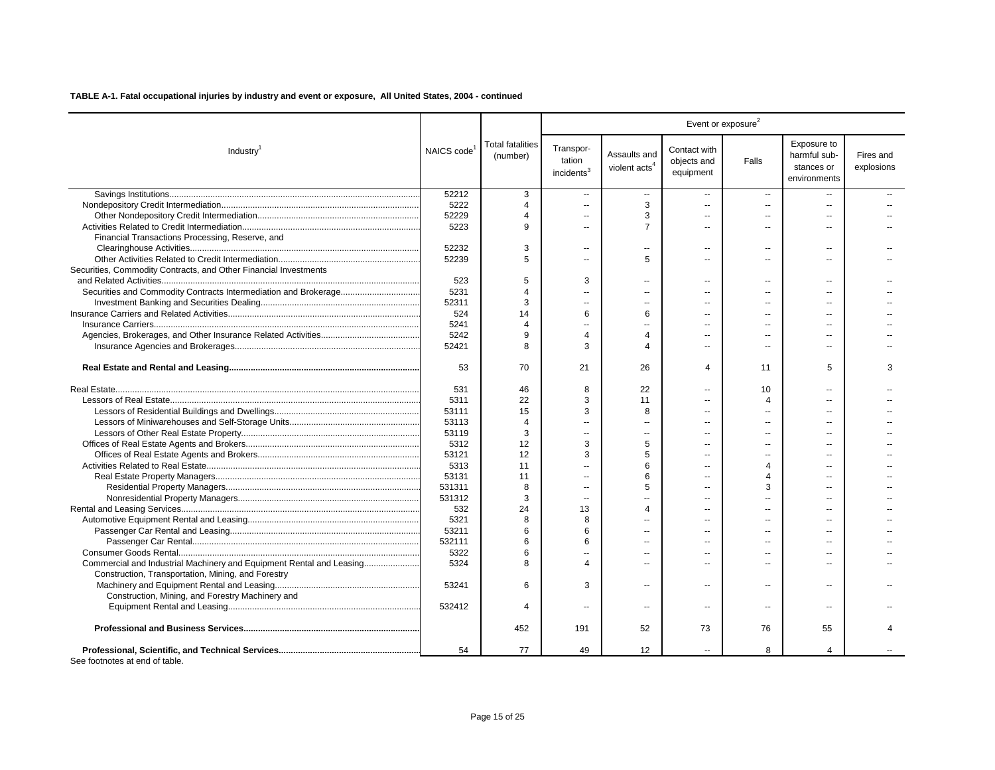|                                                                      |                         |                                     |                                               |                                           | Event or exposure <sup>2</sup>           |                          |                                                           |                         |
|----------------------------------------------------------------------|-------------------------|-------------------------------------|-----------------------------------------------|-------------------------------------------|------------------------------------------|--------------------------|-----------------------------------------------------------|-------------------------|
| Industry <sup>1</sup>                                                | NAICS code <sup>1</sup> | <b>Total fatalities</b><br>(number) | Transpor-<br>tation<br>incidents <sup>3</sup> | Assaults and<br>violent acts <sup>4</sup> | Contact with<br>objects and<br>equipment | Falls                    | Exposure to<br>harmful sub-<br>stances or<br>environments | Fires and<br>explosions |
|                                                                      | 52212                   | 3                                   | $\sim$                                        | $\overline{\phantom{a}}$                  | $\sim$                                   | $\sim$                   |                                                           |                         |
|                                                                      | 5222                    | 4                                   | $\sim$                                        | 3                                         | $\mathbf{u}$                             | $\sim$                   | $\overline{a}$                                            |                         |
|                                                                      | 52229                   | $\Delta$                            | $\overline{a}$                                | 3                                         | $\sim$                                   |                          |                                                           |                         |
|                                                                      | 5223                    | 9                                   |                                               | $\overline{7}$                            |                                          |                          |                                                           |                         |
| Financial Transactions Processing, Reserve, and                      |                         |                                     |                                               |                                           |                                          |                          |                                                           |                         |
|                                                                      | 52232                   | 3                                   | $\sim$                                        | ä.                                        | $\mathbf{r}$                             | $\sim$                   | $\sim$                                                    |                         |
|                                                                      | 52239                   | 5                                   | $\sim$                                        | 5                                         | $\sim$                                   | $\overline{a}$           | $\sim$                                                    |                         |
| Securities, Commodity Contracts, and Other Financial Investments     |                         |                                     |                                               |                                           |                                          |                          |                                                           |                         |
|                                                                      | 523                     | 5                                   | 3                                             | $\overline{a}$                            | $\sim$                                   | $\sim$                   | $\sim$                                                    |                         |
|                                                                      | 5231                    | $\Delta$                            | $\sim$                                        | $\overline{a}$                            | $\overline{a}$                           | $\overline{\phantom{a}}$ | $\overline{a}$                                            |                         |
|                                                                      | 52311                   | 3                                   |                                               |                                           | $\overline{a}$                           |                          |                                                           |                         |
|                                                                      | 524                     | 14                                  | 6                                             | 6                                         | $\overline{\phantom{a}}$                 | $\overline{a}$           | $\overline{a}$                                            |                         |
|                                                                      | 5241                    | Δ                                   |                                               |                                           |                                          |                          |                                                           |                         |
|                                                                      | 5242                    | 9                                   | 4                                             | $\overline{4}$                            | $\overline{a}$                           | $\overline{a}$           | $\overline{a}$                                            |                         |
|                                                                      | 52421                   | 8                                   | 3                                             | $\boldsymbol{\Lambda}$                    | $\overline{\phantom{a}}$                 | $\overline{a}$           | $\overline{a}$                                            |                         |
|                                                                      | 53                      | 70                                  | 21                                            | 26                                        | 4                                        | 11                       | 5                                                         | 3                       |
|                                                                      | 531                     | 46                                  | 8                                             | 22                                        |                                          | 10                       |                                                           |                         |
|                                                                      | 5311                    | 22                                  | 3                                             | 11                                        |                                          | 4                        |                                                           |                         |
|                                                                      | 53111                   | 15                                  | 3                                             | 8                                         | $\overline{a}$                           |                          | $\sim$                                                    |                         |
|                                                                      | 53113                   | $\overline{4}$                      | $\overline{a}$                                |                                           | --                                       |                          |                                                           |                         |
|                                                                      | 53119                   | 3                                   | $\overline{a}$                                |                                           | $\sim$                                   |                          |                                                           |                         |
|                                                                      | 5312                    | 12                                  | 3                                             | 5                                         | $\overline{a}$                           |                          |                                                           |                         |
|                                                                      | 53121                   | 12                                  | 3                                             | 5                                         | $\overline{a}$                           | $\overline{a}$           |                                                           |                         |
|                                                                      | 5313                    | 11                                  |                                               | 6                                         |                                          | Δ                        |                                                           |                         |
|                                                                      | 53131                   | 11                                  |                                               | 6                                         | $\overline{a}$                           | $\overline{4}$           |                                                           |                         |
|                                                                      | 531311                  | 8                                   | $\sim$                                        | 5                                         | $\sim$                                   | 3                        | $\sim$                                                    |                         |
|                                                                      | 531312                  | 3                                   | $\overline{a}$                                |                                           | $\overline{a}$                           |                          | $\overline{a}$                                            |                         |
|                                                                      | 532                     | 24                                  | 13                                            | $\boldsymbol{\Lambda}$                    | $\sim$                                   |                          |                                                           |                         |
|                                                                      | 5321                    | 8                                   | 8                                             |                                           | $\overline{a}$                           |                          |                                                           |                         |
|                                                                      | 53211                   | 6                                   | 6                                             |                                           |                                          |                          |                                                           |                         |
|                                                                      | 532111                  | 6                                   | 6                                             |                                           | $\sim$                                   | $\overline{a}$           | $\sim$                                                    |                         |
|                                                                      | 5322                    | 6                                   |                                               |                                           |                                          |                          |                                                           |                         |
| Commercial and Industrial Machinery and Equipment Rental and Leasing | 5324                    | $\mathsf{R}$                        | 4                                             |                                           |                                          |                          |                                                           |                         |
| Construction, Transportation, Mining, and Forestry                   |                         |                                     |                                               |                                           |                                          |                          |                                                           |                         |
|                                                                      | 53241                   | 6                                   | 3                                             | $\overline{a}$                            | $\overline{a}$                           | $\sim$                   | $\overline{a}$                                            |                         |
| Construction, Mining, and Forestry Machinery and                     |                         |                                     |                                               |                                           |                                          |                          |                                                           |                         |
|                                                                      | 532412                  | $\Delta$                            | $\overline{\phantom{a}}$                      | $\overline{a}$                            | $\sim$                                   | $\overline{a}$           | $\sim$                                                    |                         |
|                                                                      |                         | 452                                 | 191                                           | 52                                        | 73                                       | 76                       | 55                                                        |                         |
| See footnotes at end of table.                                       | 54                      | 77                                  | 49                                            | 12                                        |                                          | 8                        | 4                                                         |                         |

Page 15 of 25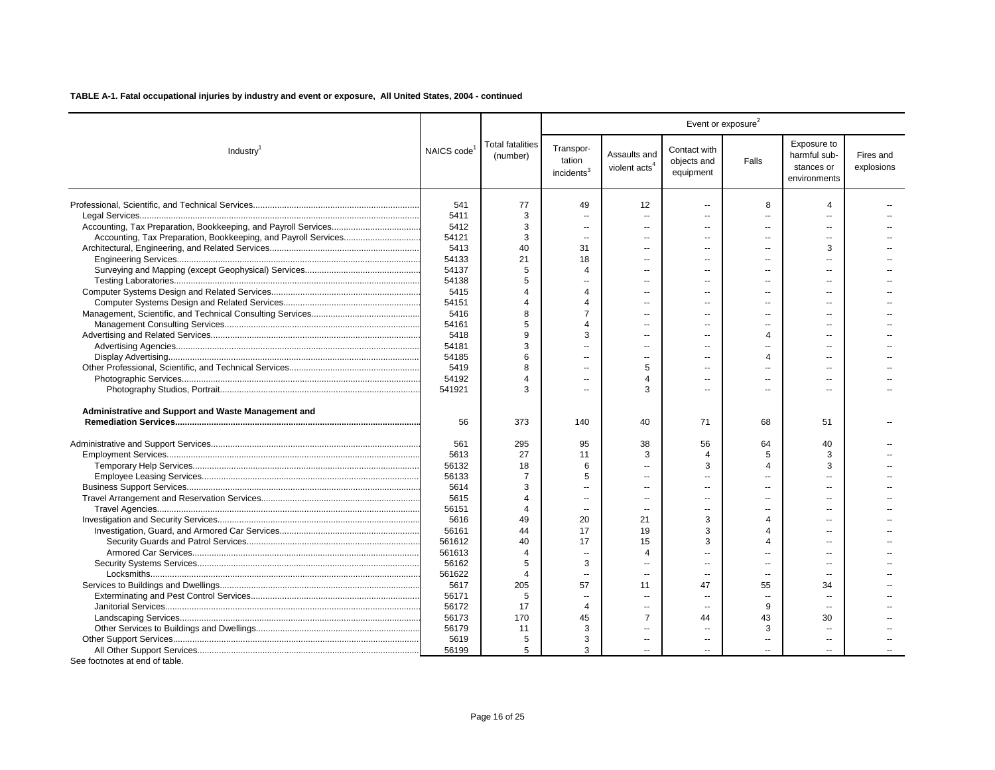|                                                     |                         |                                     |                                               |                                           | Event or exposure <sup>2</sup>           | Exposure to<br>Fires and<br>harmful sub-<br>Falls<br>explosions<br>stances or<br>environments<br>8<br>4<br>Ξ.<br>$\overline{\phantom{a}}$<br>$\overline{a}$<br>3<br>$\sim$<br>$\overline{a}$<br>$\overline{a}$<br>$\overline{a}$<br>--<br>$\sim$<br>$-$<br>$\overline{a}$<br>$\overline{a}$<br>$\overline{a}$<br>$\overline{a}$<br>4<br>$\overline{a}$<br>$\overline{a}$<br>$\overline{4}$<br>$\overline{a}$<br>51<br>68<br>64<br>40<br>5<br>3<br>3<br>4<br>$\overline{a}$<br>$\boldsymbol{\Delta}$<br>$\overline{a}$<br>$\overline{4}$<br>$\sim$<br>Δ<br>$\overline{a}$<br>$\overline{a}$<br>$\sim$<br>$\sim$<br>$\overline{a}$<br>--<br>55<br>34 |                |  |  |
|-----------------------------------------------------|-------------------------|-------------------------------------|-----------------------------------------------|-------------------------------------------|------------------------------------------|----------------------------------------------------------------------------------------------------------------------------------------------------------------------------------------------------------------------------------------------------------------------------------------------------------------------------------------------------------------------------------------------------------------------------------------------------------------------------------------------------------------------------------------------------------------------------------------------------------------------------------------------------|----------------|--|--|
| Industry <sup>1</sup>                               | NAICS code <sup>1</sup> | <b>Total fatalities</b><br>(number) | Transpor-<br>tation<br>incidents <sup>3</sup> | Assaults and<br>violent acts <sup>4</sup> | Contact with<br>objects and<br>equipment |                                                                                                                                                                                                                                                                                                                                                                                                                                                                                                                                                                                                                                                    |                |  |  |
|                                                     | 541                     | 77                                  | 49                                            | 12                                        | --                                       |                                                                                                                                                                                                                                                                                                                                                                                                                                                                                                                                                                                                                                                    |                |  |  |
|                                                     | 5411                    | 3                                   | $\sim$                                        | $\overline{a}$                            | u.                                       |                                                                                                                                                                                                                                                                                                                                                                                                                                                                                                                                                                                                                                                    |                |  |  |
|                                                     | 5412                    | 3                                   | $\overline{a}$                                |                                           |                                          |                                                                                                                                                                                                                                                                                                                                                                                                                                                                                                                                                                                                                                                    |                |  |  |
|                                                     | 54121                   | 3                                   | $\sim$                                        | $\overline{\phantom{a}}$                  | $\overline{a}$                           |                                                                                                                                                                                                                                                                                                                                                                                                                                                                                                                                                                                                                                                    |                |  |  |
|                                                     | 5413                    | 40                                  | 31                                            | $\sim$                                    | $\sim$                                   |                                                                                                                                                                                                                                                                                                                                                                                                                                                                                                                                                                                                                                                    |                |  |  |
|                                                     | 54133                   | 21                                  | 18                                            | $\overline{a}$                            | $\overline{a}$                           |                                                                                                                                                                                                                                                                                                                                                                                                                                                                                                                                                                                                                                                    |                |  |  |
|                                                     | 54137                   | 5                                   | $\overline{4}$                                | $\overline{a}$                            | $\overline{a}$                           |                                                                                                                                                                                                                                                                                                                                                                                                                                                                                                                                                                                                                                                    |                |  |  |
|                                                     | 54138                   | 5                                   | $\sim$                                        | $\overline{a}$                            | $\overline{a}$                           |                                                                                                                                                                                                                                                                                                                                                                                                                                                                                                                                                                                                                                                    |                |  |  |
|                                                     | 5415                    | $\Delta$                            | $\overline{4}$                                | $\sim$                                    | $-$                                      |                                                                                                                                                                                                                                                                                                                                                                                                                                                                                                                                                                                                                                                    |                |  |  |
|                                                     | 54151                   | $\overline{4}$                      | $\overline{4}$                                | $\overline{a}$                            | $\overline{a}$                           |                                                                                                                                                                                                                                                                                                                                                                                                                                                                                                                                                                                                                                                    |                |  |  |
|                                                     | 5416                    | 8                                   | $\overline{7}$                                |                                           |                                          |                                                                                                                                                                                                                                                                                                                                                                                                                                                                                                                                                                                                                                                    |                |  |  |
|                                                     | 54161                   | 5                                   | 4                                             | $\overline{a}$                            | $\sim$                                   |                                                                                                                                                                                                                                                                                                                                                                                                                                                                                                                                                                                                                                                    |                |  |  |
|                                                     | 5418                    | 9                                   | 3                                             |                                           | $\overline{a}$                           |                                                                                                                                                                                                                                                                                                                                                                                                                                                                                                                                                                                                                                                    |                |  |  |
|                                                     | 54181                   | 3                                   | $\sim$                                        | $\overline{a}$                            | $\overline{a}$                           |                                                                                                                                                                                                                                                                                                                                                                                                                                                                                                                                                                                                                                                    |                |  |  |
|                                                     | 54185                   | 6                                   |                                               |                                           |                                          |                                                                                                                                                                                                                                                                                                                                                                                                                                                                                                                                                                                                                                                    |                |  |  |
|                                                     | 5419                    | 8                                   | $\sim$                                        | 5                                         |                                          |                                                                                                                                                                                                                                                                                                                                                                                                                                                                                                                                                                                                                                                    |                |  |  |
|                                                     | 54192                   |                                     |                                               | $\overline{4}$                            |                                          |                                                                                                                                                                                                                                                                                                                                                                                                                                                                                                                                                                                                                                                    |                |  |  |
|                                                     | 541921                  | 3                                   | $\overline{\phantom{a}}$                      | 3                                         |                                          |                                                                                                                                                                                                                                                                                                                                                                                                                                                                                                                                                                                                                                                    |                |  |  |
| Administrative and Support and Waste Management and | 56                      | 373                                 | 140                                           | 40                                        | 71                                       |                                                                                                                                                                                                                                                                                                                                                                                                                                                                                                                                                                                                                                                    |                |  |  |
|                                                     | 561                     | 295                                 | 95                                            | 38                                        | 56                                       |                                                                                                                                                                                                                                                                                                                                                                                                                                                                                                                                                                                                                                                    |                |  |  |
|                                                     | 5613                    | 27                                  | 11                                            | 3                                         | 4                                        |                                                                                                                                                                                                                                                                                                                                                                                                                                                                                                                                                                                                                                                    |                |  |  |
|                                                     | 56132                   | 18                                  | 6                                             | $\overline{a}$                            | 3                                        |                                                                                                                                                                                                                                                                                                                                                                                                                                                                                                                                                                                                                                                    |                |  |  |
|                                                     | 56133                   | 7                                   | 5                                             |                                           | $\overline{a}$                           |                                                                                                                                                                                                                                                                                                                                                                                                                                                                                                                                                                                                                                                    |                |  |  |
|                                                     | 5614                    | 3                                   | $\sim$                                        | $\overline{\phantom{a}}$                  | $\overline{a}$                           |                                                                                                                                                                                                                                                                                                                                                                                                                                                                                                                                                                                                                                                    |                |  |  |
|                                                     | 5615                    | $\Delta$                            | $\sim$                                        |                                           |                                          |                                                                                                                                                                                                                                                                                                                                                                                                                                                                                                                                                                                                                                                    |                |  |  |
|                                                     | 56151                   | $\Delta$                            | $\sim$                                        | $\overline{\phantom{a}}$                  | $\overline{a}$                           |                                                                                                                                                                                                                                                                                                                                                                                                                                                                                                                                                                                                                                                    |                |  |  |
|                                                     | 5616                    | 49                                  | 20                                            | 21                                        | 3                                        |                                                                                                                                                                                                                                                                                                                                                                                                                                                                                                                                                                                                                                                    |                |  |  |
|                                                     | 56161                   | 44                                  | 17                                            | 19                                        | 3                                        |                                                                                                                                                                                                                                                                                                                                                                                                                                                                                                                                                                                                                                                    |                |  |  |
|                                                     | 561612                  | 40                                  | 17                                            | 15                                        | 3                                        |                                                                                                                                                                                                                                                                                                                                                                                                                                                                                                                                                                                                                                                    |                |  |  |
|                                                     | 561613                  | $\Delta$                            | $\overline{\phantom{a}}$                      | $\overline{4}$                            | $\overline{a}$                           |                                                                                                                                                                                                                                                                                                                                                                                                                                                                                                                                                                                                                                                    |                |  |  |
|                                                     | 56162                   | 5                                   | 3                                             | $\overline{a}$                            | $\overline{a}$                           |                                                                                                                                                                                                                                                                                                                                                                                                                                                                                                                                                                                                                                                    |                |  |  |
|                                                     | 561622                  | $\overline{4}$                      |                                               | $\overline{a}$                            |                                          |                                                                                                                                                                                                                                                                                                                                                                                                                                                                                                                                                                                                                                                    |                |  |  |
|                                                     | 5617                    | 205                                 | $\overline{\phantom{a}}$<br>57                | 11                                        | $\overline{\phantom{a}}$<br>47           |                                                                                                                                                                                                                                                                                                                                                                                                                                                                                                                                                                                                                                                    |                |  |  |
|                                                     |                         | 5                                   | $\sim$                                        | $\overline{a}$                            | $\sim$                                   | Ξ.                                                                                                                                                                                                                                                                                                                                                                                                                                                                                                                                                                                                                                                 |                |  |  |
|                                                     | 56171<br>56172          | 17                                  | $\overline{4}$                                | $\overline{a}$                            | $\sim$                                   | 9                                                                                                                                                                                                                                                                                                                                                                                                                                                                                                                                                                                                                                                  | $\sim$         |  |  |
|                                                     |                         | 170                                 | 45                                            | $\overline{7}$                            | 44                                       |                                                                                                                                                                                                                                                                                                                                                                                                                                                                                                                                                                                                                                                    | 30             |  |  |
|                                                     | 56173                   |                                     | 3                                             | $\overline{a}$                            | $\overline{a}$                           | 43                                                                                                                                                                                                                                                                                                                                                                                                                                                                                                                                                                                                                                                 | $\overline{a}$ |  |  |
|                                                     | 56179                   | 11<br>5                             | 3                                             |                                           |                                          | 3                                                                                                                                                                                                                                                                                                                                                                                                                                                                                                                                                                                                                                                  |                |  |  |
|                                                     | 5619                    | 5                                   | 3                                             | $\overline{a}$                            |                                          |                                                                                                                                                                                                                                                                                                                                                                                                                                                                                                                                                                                                                                                    |                |  |  |
|                                                     | 56199                   |                                     |                                               |                                           |                                          |                                                                                                                                                                                                                                                                                                                                                                                                                                                                                                                                                                                                                                                    |                |  |  |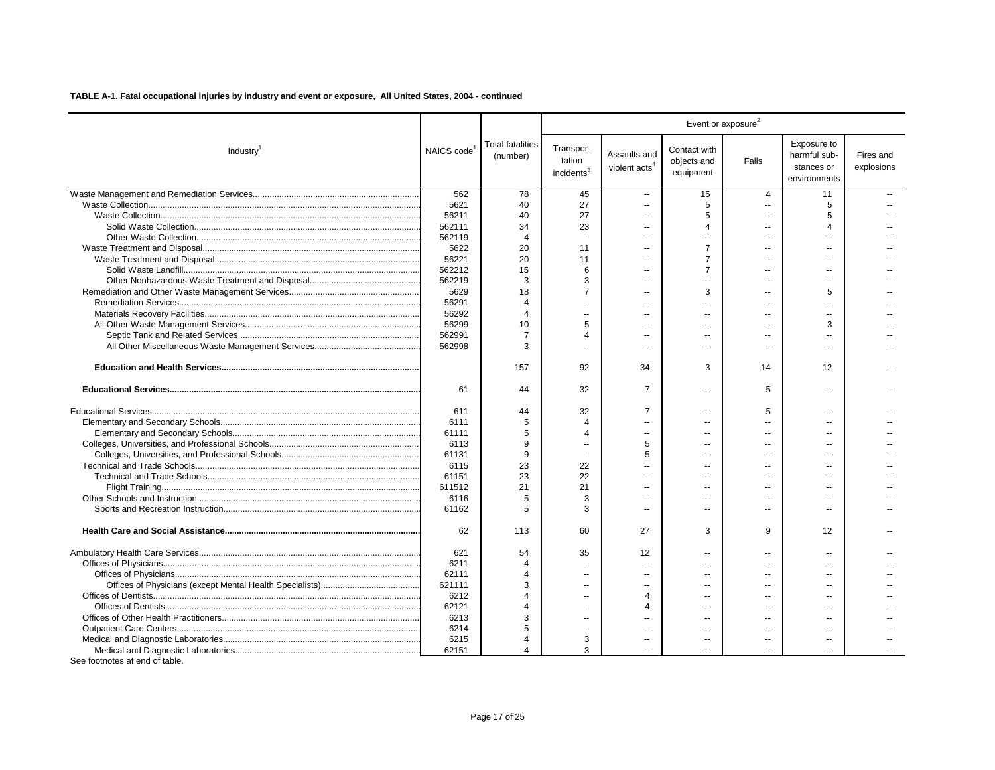|                       |                         |                                     |                                               |                                           | Event or exposure <sup>2</sup>           |                          |                                                           |                         |
|-----------------------|-------------------------|-------------------------------------|-----------------------------------------------|-------------------------------------------|------------------------------------------|--------------------------|-----------------------------------------------------------|-------------------------|
| Industry <sup>1</sup> | NAICS code <sup>1</sup> | <b>Total fatalities</b><br>(number) | Transpor-<br>tation<br>incidents <sup>3</sup> | Assaults and<br>violent acts <sup>4</sup> | Contact with<br>objects and<br>equipment | Falls                    | Exposure to<br>harmful sub-<br>stances or<br>environments | Fires and<br>explosions |
|                       | 562                     | 78                                  | 45                                            | $\overline{a}$                            | 15                                       | $\overline{4}$           | 11                                                        |                         |
|                       | 5621                    | 40                                  | 27                                            | Ξ.                                        | 5                                        | $\overline{a}$           | 5                                                         |                         |
|                       | 56211                   | 40                                  | 27                                            | Ξ.                                        | 5                                        | $\overline{a}$           | 5                                                         |                         |
|                       | 562111                  | 34                                  | 23                                            | $\sim$                                    | 4                                        | $\sim$                   | $\boldsymbol{\Lambda}$                                    |                         |
|                       | 562119                  | $\overline{4}$                      | $\overline{\phantom{a}}$                      | --                                        | $\overline{\phantom{a}}$                 | --                       |                                                           |                         |
|                       | 5622                    | 20                                  | 11                                            | $\sim$                                    | $\overline{7}$                           | $\sim$                   |                                                           |                         |
|                       | 56221                   | 20                                  | 11                                            | $\overline{a}$                            | 7                                        | $\sim$                   |                                                           |                         |
|                       | 562212                  | 15                                  | 6                                             | $\sim$                                    | $\overline{7}$                           |                          | ц.                                                        |                         |
|                       | 562219                  | 3                                   | 3                                             | $\overline{a}$                            | $\sim$                                   | --                       | $\sim$                                                    |                         |
|                       | 5629                    | 18                                  | $\overline{7}$                                |                                           | 3                                        |                          | 5                                                         |                         |
|                       | 56291                   | $\Delta$                            | $\sim$                                        | $\overline{a}$                            | $-$                                      | $\overline{a}$           |                                                           |                         |
|                       | 56292                   | $\Delta$                            | $\sim$                                        | $\overline{a}$                            |                                          |                          |                                                           |                         |
|                       | 56299                   | 10                                  | 5                                             | $\overline{a}$                            |                                          | $\overline{a}$           | 3                                                         |                         |
|                       | 562991                  | 7                                   | $\Delta$                                      | $\overline{a}$                            | $\overline{a}$                           | --                       |                                                           |                         |
|                       | 562998                  | 3                                   | ä.                                            |                                           |                                          |                          |                                                           |                         |
|                       |                         | 157                                 | 92                                            | 34                                        | 3                                        | 14                       | 12                                                        |                         |
|                       | 61                      | 44                                  | 32                                            | $\overline{7}$                            | $\sim$                                   | 5                        | $\sim$                                                    |                         |
|                       | 611                     | 44                                  | 32                                            | $\overline{7}$                            |                                          | 5                        |                                                           |                         |
|                       | 6111                    | 5                                   | $\overline{4}$                                | Ξ.                                        |                                          | $\sim$                   | $\sim$                                                    |                         |
|                       | 61111                   | 5                                   | $\overline{4}$                                |                                           |                                          | $-$                      |                                                           |                         |
|                       | 6113                    | 9                                   | $\sim$                                        | 5                                         | $\overline{a}$                           | $\overline{a}$           |                                                           |                         |
|                       | 61131                   | 9                                   | $\overline{\phantom{a}}$                      | 5                                         |                                          | $\overline{a}$           |                                                           |                         |
|                       | 6115                    | 23                                  | 22                                            | $\overline{a}$                            | $\overline{a}$                           | --                       |                                                           |                         |
|                       | 61151                   | 23                                  | 22                                            |                                           | $\overline{a}$                           |                          |                                                           |                         |
|                       | 611512                  | 21                                  | 21                                            | ۵.                                        |                                          |                          |                                                           |                         |
|                       | 6116                    | 5                                   | 3                                             |                                           |                                          |                          |                                                           |                         |
|                       | 61162                   | 5                                   | 3                                             | $\overline{a}$                            | $\sim$                                   | $\overline{\phantom{a}}$ | $\sim$                                                    |                         |
|                       | 62                      | 113                                 | 60                                            | 27                                        | 3                                        | 9                        | 12                                                        |                         |
|                       | 621                     | 54                                  | 35                                            | 12                                        | $\overline{a}$                           | $\overline{\phantom{a}}$ | $\sim$                                                    |                         |
|                       | 6211                    | 4                                   | $\overline{\phantom{a}}$                      | $\overline{a}$                            | --                                       | --                       |                                                           |                         |
|                       | 62111                   | $\overline{4}$                      | $\sim$                                        | $\overline{a}$                            | $\sim$                                   | $\overline{a}$           | х.                                                        |                         |
|                       | 621111                  | 3                                   | $\sim$                                        |                                           |                                          |                          |                                                           |                         |
|                       | 6212                    |                                     | $\sim$                                        | $\overline{\mathcal{A}}$                  | $\overline{a}$                           | $-$                      |                                                           |                         |
|                       | 62121                   | Δ                                   | $\sim$                                        | $\Delta$                                  | $\overline{a}$                           |                          |                                                           |                         |
|                       | 6213                    | 3                                   | $\sim$                                        | $\overline{a}$                            |                                          | $\overline{a}$           |                                                           |                         |
|                       | 6214                    | 5                                   | $\sim$                                        | $\overline{a}$                            |                                          |                          |                                                           |                         |
|                       | 6215                    | Δ                                   | 3                                             | --                                        |                                          | --                       |                                                           |                         |
|                       | 62151                   | 4                                   | 3                                             |                                           |                                          |                          |                                                           |                         |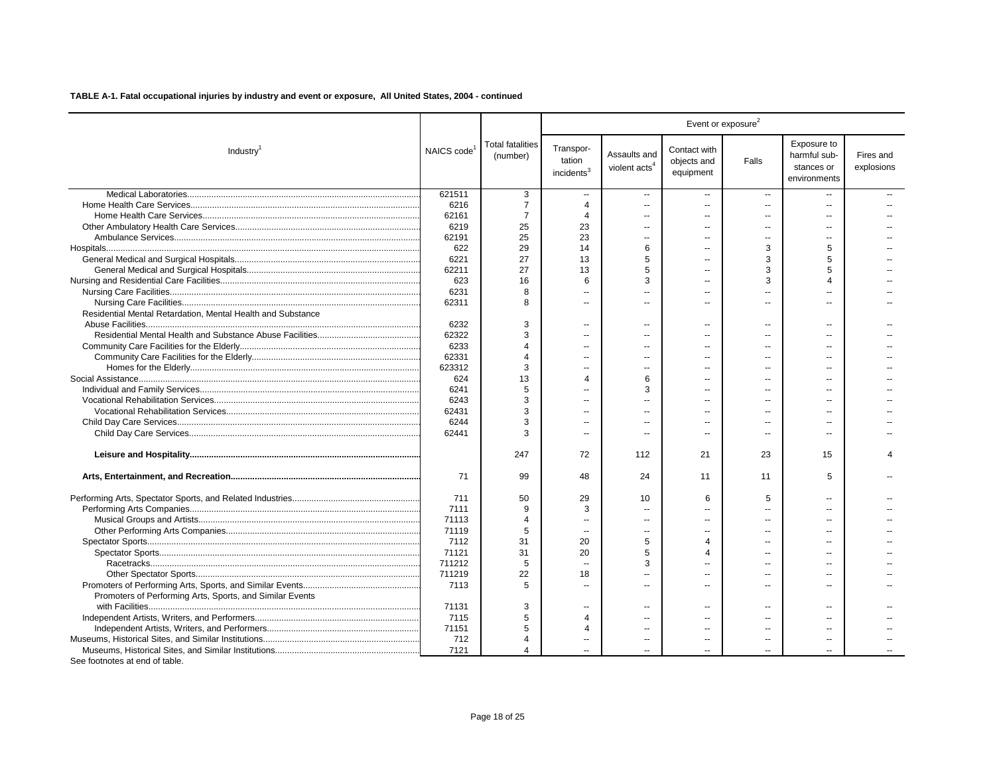|                                                             |                         |                                     |                                               |                                           | Event or exposure <sup>2</sup>           |                          |                                                           |                         |
|-------------------------------------------------------------|-------------------------|-------------------------------------|-----------------------------------------------|-------------------------------------------|------------------------------------------|--------------------------|-----------------------------------------------------------|-------------------------|
| Industry <sup>1</sup>                                       | NAICS code <sup>1</sup> | <b>Total fatalities</b><br>(number) | Transpor-<br>tation<br>incidents <sup>3</sup> | Assaults and<br>violent acts <sup>4</sup> | Contact with<br>objects and<br>equipment | Falls                    | Exposure to<br>harmful sub-<br>stances or<br>environments | Fires and<br>explosions |
|                                                             | 621511                  | 3                                   | $\overline{\phantom{a}}$                      | $\overline{a}$                            | $\overline{\phantom{a}}$                 | $\overline{\phantom{a}}$ |                                                           |                         |
|                                                             | 6216                    | $\overline{7}$                      | $\overline{4}$                                | $\overline{a}$                            | $\overline{a}$                           | $\sim$                   |                                                           |                         |
|                                                             | 62161                   | 7                                   | $\overline{4}$                                | $\overline{a}$                            | $\overline{a}$                           | $\overline{a}$           |                                                           |                         |
|                                                             | 6219                    | 25                                  | 23                                            | $\overline{a}$                            |                                          |                          |                                                           |                         |
|                                                             | 62191                   | 25                                  | 23                                            | ۰.                                        |                                          | $\overline{a}$           |                                                           |                         |
|                                                             | 622                     | 29                                  | 14                                            | 6                                         |                                          | 3                        | 5                                                         |                         |
|                                                             | 6221                    | 27                                  | 13                                            | 5                                         |                                          | 3                        | 5                                                         |                         |
|                                                             | 62211                   | 27                                  | 13                                            | 5                                         |                                          | 3                        | 5                                                         |                         |
|                                                             | 623                     | 16                                  | 6                                             | 3                                         |                                          | 3                        | $\boldsymbol{\Lambda}$                                    |                         |
|                                                             | 6231                    | 8                                   | $\sim$                                        | $\overline{a}$                            |                                          |                          |                                                           |                         |
|                                                             | 62311                   | R                                   | $\sim$                                        | $\overline{a}$                            |                                          | $\overline{a}$           |                                                           |                         |
| Residential Mental Retardation, Mental Health and Substance |                         |                                     |                                               |                                           |                                          |                          |                                                           |                         |
|                                                             | 6232                    | 3                                   | $\overline{\phantom{a}}$                      | $\overline{a}$                            |                                          | $\overline{\phantom{a}}$ |                                                           |                         |
|                                                             | 62322                   | 3                                   | $\overline{\phantom{a}}$                      | ۰.                                        |                                          |                          |                                                           |                         |
|                                                             | 6233                    | $\boldsymbol{\Delta}$               | $\sim$                                        | $\sim$                                    | $\sim$                                   |                          |                                                           |                         |
|                                                             | 62331                   | 4                                   | $\overline{a}$                                | --                                        |                                          | $\overline{a}$           |                                                           |                         |
|                                                             | 623312                  | 3                                   | $\sim$                                        | $\overline{a}$                            |                                          |                          |                                                           |                         |
|                                                             | 624                     | 13                                  | $\overline{4}$                                | 6                                         |                                          |                          |                                                           |                         |
|                                                             | 6241                    | 5                                   | $\overline{a}$                                | 3                                         |                                          |                          |                                                           |                         |
|                                                             | 6243                    | 3                                   | $\overline{\phantom{a}}$                      |                                           |                                          |                          |                                                           |                         |
|                                                             | 62431                   | 3                                   | $\overline{a}$                                | $\overline{a}$                            |                                          |                          |                                                           |                         |
|                                                             | 6244                    | 3                                   | $\sim$                                        | $\overline{a}$                            |                                          | $\overline{a}$           | х.                                                        |                         |
|                                                             | 62441                   | 3                                   | $\overline{a}$                                | $\overline{a}$                            | $\sim$                                   | $\overline{a}$           | $\sim$                                                    |                         |
|                                                             |                         | 247                                 | 72                                            | 112                                       | 21                                       | 23                       | 15                                                        |                         |
|                                                             | 71                      | 99                                  | 48                                            | 24                                        | 11                                       | 11                       | 5                                                         |                         |
|                                                             | 711                     | 50                                  | 29                                            | 10                                        | 6                                        | 5                        | $\sim$                                                    |                         |
|                                                             | 7111                    | 9                                   | 3                                             | $\sim$                                    |                                          |                          |                                                           |                         |
|                                                             | 71113                   | 4                                   | $\sim$                                        | $\overline{a}$                            |                                          | $\overline{a}$           |                                                           |                         |
|                                                             | 71119                   | 5                                   | $\overline{\phantom{a}}$                      | $\overline{a}$                            |                                          |                          |                                                           |                         |
|                                                             | 7112                    | 31                                  | 20                                            | 5                                         | Δ                                        | $-$                      |                                                           |                         |
|                                                             | 71121                   | 31                                  | 20                                            | 5                                         | Δ                                        |                          |                                                           |                         |
|                                                             | 711212                  | 5                                   | $\sim$                                        | 3                                         |                                          |                          |                                                           |                         |
|                                                             | 711219                  | 22                                  | 18                                            | $\overline{a}$                            |                                          | $\overline{a}$           | $\sim$                                                    |                         |
|                                                             | 7113                    | 5                                   | $\sim$                                        | $\overline{a}$                            |                                          | $\overline{a}$           |                                                           |                         |
| Promoters of Performing Arts, Sports, and Similar Events    |                         |                                     |                                               |                                           |                                          |                          |                                                           |                         |
|                                                             | 71131                   | 3                                   | $\overline{a}$                                | --                                        |                                          | $\overline{\phantom{a}}$ |                                                           |                         |
|                                                             | 7115                    | 5                                   | $\overline{4}$                                | $\overline{a}$                            | $\overline{a}$                           | $\overline{a}$           | $\sim$                                                    |                         |
|                                                             | 71151                   | 5                                   | $\overline{4}$                                |                                           |                                          |                          |                                                           |                         |
|                                                             | 712                     | $\Delta$                            | $\overline{\phantom{a}}$                      | $\overline{a}$                            | $\overline{\phantom{a}}$                 | $\overline{a}$           | $\overline{\phantom{a}}$                                  |                         |
|                                                             | 7121                    | 4                                   |                                               |                                           |                                          |                          |                                                           |                         |
| See footnotes at end of table.                              |                         |                                     |                                               |                                           |                                          |                          |                                                           |                         |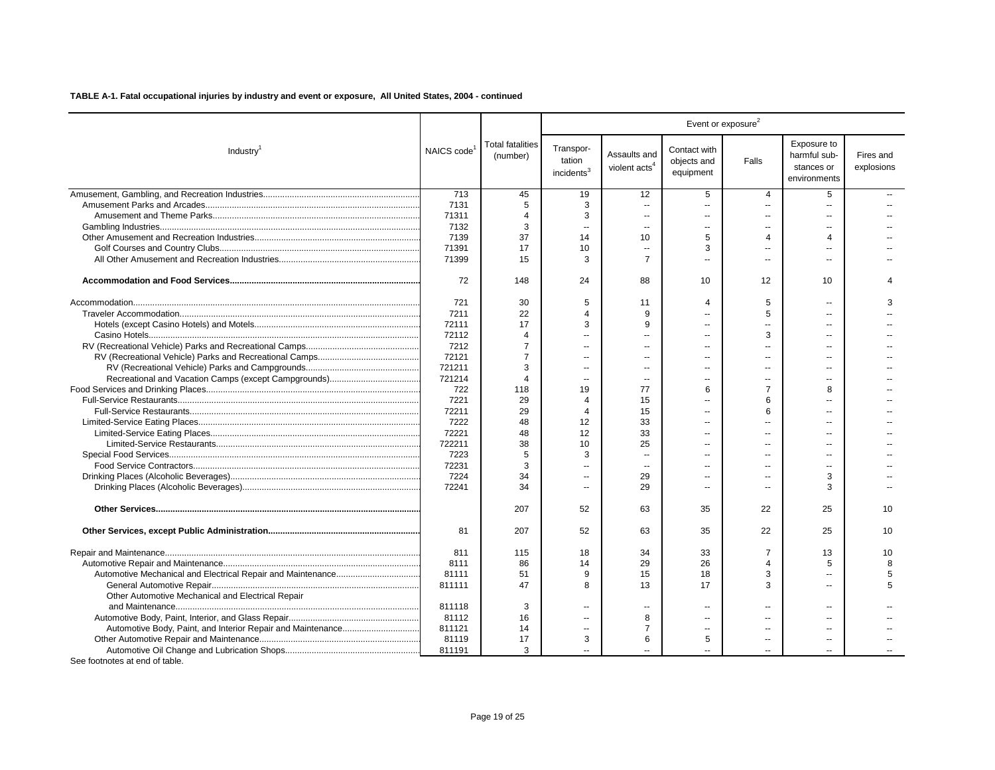|                                                   |            |                                     |                                               |                                           |                                          | Event or exposure <sup>2</sup> |                                                           |                         |
|---------------------------------------------------|------------|-------------------------------------|-----------------------------------------------|-------------------------------------------|------------------------------------------|--------------------------------|-----------------------------------------------------------|-------------------------|
| Industry <sup>1</sup>                             | NAICS code | <b>Total fatalities</b><br>(number) | Transpor-<br>tation<br>incidents <sup>3</sup> | Assaults and<br>violent acts <sup>4</sup> | Contact with<br>objects and<br>equipment | Falls                          | Exposure to<br>harmful sub-<br>stances or<br>environments | Fires and<br>explosions |
|                                                   | 713        | 45                                  | 19                                            | 12                                        | 5                                        | $\overline{4}$                 | 5                                                         |                         |
|                                                   | 7131       | 5                                   | 3                                             | $\overline{a}$                            | $\overline{\phantom{a}}$                 | $\overline{a}$                 | $\overline{\phantom{a}}$                                  |                         |
|                                                   | 71311      | 4                                   | 3                                             | $\overline{a}$                            | $\overline{a}$                           | $\overline{a}$                 | $\sim$                                                    |                         |
|                                                   | 7132       | 3                                   | $\overline{a}$                                | $\overline{a}$                            | $\overline{a}$                           | $\overline{a}$                 |                                                           |                         |
|                                                   | 7139       | 37                                  | 14                                            | 10                                        | 5                                        | 4                              | $\mathbf 4$                                               |                         |
|                                                   | 71391      | 17                                  | 10                                            | $\ddotsc$                                 | 3                                        |                                |                                                           |                         |
|                                                   | 71399      | 15                                  | 3                                             | $\overline{7}$                            | Ξ.                                       | $\overline{a}$                 |                                                           |                         |
|                                                   | 72         | 148                                 | 24                                            | 88                                        | 10                                       | 12                             | 10                                                        |                         |
|                                                   | 721        | 30                                  | 5                                             | 11                                        | $\overline{4}$                           | 5                              | $\overline{a}$                                            | 3                       |
|                                                   | 7211       | 22                                  | 4                                             | 9                                         | $\overline{a}$                           | 5                              |                                                           |                         |
|                                                   | 72111      | 17                                  | 3                                             | 9                                         | --                                       | ٠.                             |                                                           |                         |
|                                                   | 72112      | 4                                   |                                               |                                           | $\overline{\phantom{a}}$                 | 3                              |                                                           |                         |
|                                                   | 7212       | $\overline{7}$                      |                                               |                                           | $\overline{a}$                           |                                |                                                           |                         |
|                                                   | 72121      | $\overline{7}$                      |                                               | $\sim$                                    | $\overline{\phantom{a}}$                 |                                |                                                           |                         |
|                                                   | 721211     | 3                                   | $\overline{a}$                                | ш.                                        | $\overline{\phantom{a}}$                 | $\overline{a}$                 |                                                           |                         |
|                                                   | 721214     | 4                                   | $\overline{a}$                                | $\sim$                                    | $\overline{a}$                           | $\overline{a}$                 |                                                           |                         |
|                                                   | 722        | 118                                 | 19                                            | 77                                        | 6                                        | 7                              | 8                                                         |                         |
|                                                   | 7221       | 29                                  | $\overline{4}$                                | 15                                        | $\overline{a}$                           | 6                              |                                                           |                         |
|                                                   | 72211      | 29                                  | 4                                             | 15                                        | $\overline{a}$                           | 6                              |                                                           |                         |
|                                                   | 7222       | 48                                  | 12                                            | 33                                        | $\overline{a}$                           | $\overline{a}$                 | $\overline{a}$                                            |                         |
|                                                   | 72221      | 48                                  | 12                                            | 33                                        | $\overline{\phantom{a}}$                 | $\overline{a}$                 |                                                           |                         |
|                                                   | 722211     | 38                                  | 10                                            | 25                                        | ÷.                                       | $\sim$                         | $\overline{a}$                                            |                         |
|                                                   | 7223       | 5                                   | 3                                             | $\overline{a}$                            | $\overline{a}$                           |                                |                                                           |                         |
|                                                   | 72231      | 3                                   | $\overline{\phantom{a}}$                      | $\overline{a}$                            | $\overline{\phantom{a}}$                 | --                             |                                                           |                         |
|                                                   | 7224       | 34                                  | $\overline{\phantom{a}}$                      | 29                                        | $\overline{\phantom{a}}$                 |                                | 3                                                         |                         |
|                                                   | 72241      | 34                                  | $\overline{a}$                                | 29                                        | $\overline{\phantom{a}}$                 | $\overline{a}$                 | 3                                                         |                         |
|                                                   |            | 207                                 | 52                                            | 63                                        | 35                                       | 22                             | 25                                                        | 10                      |
|                                                   | 81         | 207                                 | 52                                            | 63                                        | 35                                       | 22                             | 25                                                        | 10                      |
|                                                   | 811        | 115                                 | 18                                            | 34                                        | 33                                       | 7                              | 13                                                        | 10                      |
|                                                   | 8111       | 86                                  | 14                                            | 29                                        | 26                                       | 4                              | 5                                                         | 8                       |
|                                                   | 81111      | 51                                  | 9                                             | 15                                        | 18                                       | 3                              | $\overline{a}$                                            | 5                       |
|                                                   | 811111     | 47                                  | 8                                             | 13                                        | 17                                       | 3                              |                                                           | 5                       |
| Other Automotive Mechanical and Electrical Repair |            |                                     |                                               |                                           |                                          |                                |                                                           |                         |
|                                                   | 811118     | 3                                   | $\overline{a}$                                |                                           | $\overline{a}$                           | $\overline{a}$                 |                                                           |                         |
|                                                   | 81112      | 16                                  | $\sim$                                        | 8                                         | $\overline{a}$                           | --                             |                                                           |                         |
|                                                   | 811121     | 14                                  | $\overline{a}$                                | $\overline{7}$                            | $\overline{a}$                           | $\overline{a}$                 |                                                           |                         |
|                                                   | 81119      | 17                                  | 3                                             | 6                                         | 5                                        |                                |                                                           |                         |
|                                                   | 811191     | 3                                   |                                               |                                           | 44                                       |                                |                                                           |                         |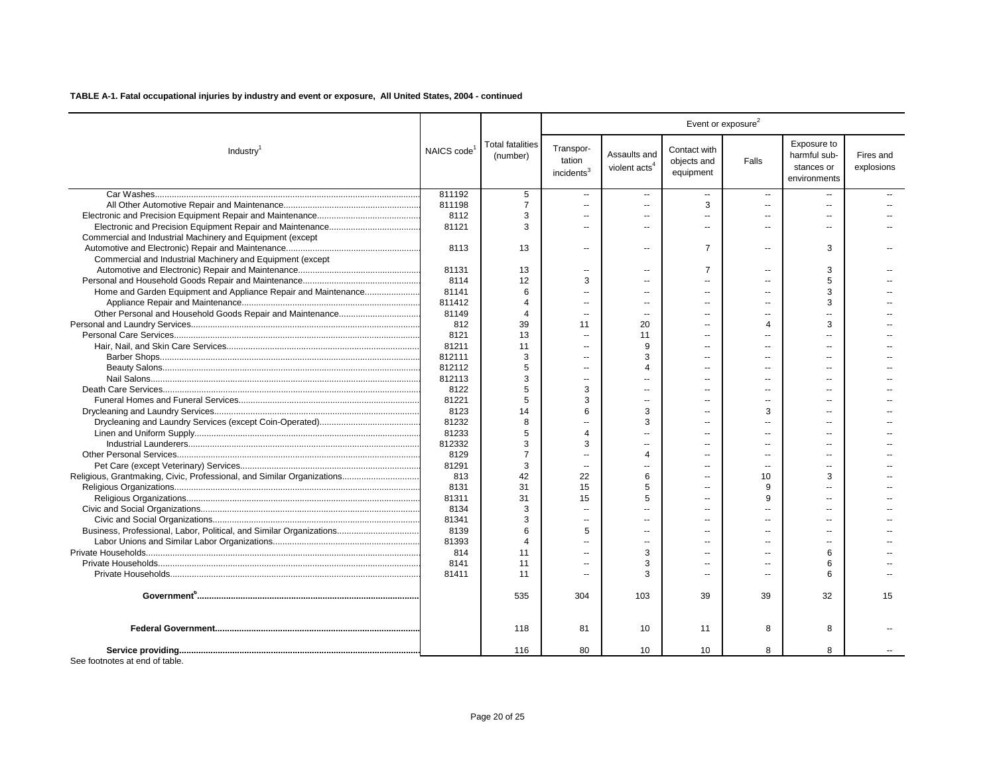|                                                                        |                         |                                     |                                               |                                           | Event or exposure <sup>2</sup>           |                          |                                                           |                         |
|------------------------------------------------------------------------|-------------------------|-------------------------------------|-----------------------------------------------|-------------------------------------------|------------------------------------------|--------------------------|-----------------------------------------------------------|-------------------------|
| Industry <sup>1</sup>                                                  | NAICS code <sup>1</sup> | <b>Total fatalities</b><br>(number) | Transpor-<br>tation<br>incidents <sup>3</sup> | Assaults and<br>violent acts <sup>4</sup> | Contact with<br>objects and<br>equipment | Falls                    | Exposure to<br>harmful sub-<br>stances or<br>environments | Fires and<br>explosions |
|                                                                        | 811192                  | 5                                   | $\sim$                                        | $\overline{a}$                            | $\overline{a}$                           | $\overline{\phantom{a}}$ |                                                           |                         |
|                                                                        | 811198                  | $\overline{7}$                      | $\sim$                                        | $\overline{a}$                            | 3                                        | $\sim$                   | $\overline{a}$                                            |                         |
|                                                                        | 8112                    | 3                                   | $\sim$                                        | $\sim$                                    | $\sim$                                   | ш.                       | ш.                                                        |                         |
|                                                                        | 81121                   | 3                                   | $\sim$                                        | $\overline{a}$                            | $\sim$                                   | $\sim$                   | $\overline{a}$                                            |                         |
| Commercial and Industrial Machinery and Equipment (except              |                         |                                     |                                               |                                           |                                          |                          |                                                           |                         |
|                                                                        | 8113                    | 13                                  | $\sim$                                        | $\overline{a}$                            | $\overline{7}$                           | $\sim$                   | 3                                                         |                         |
| Commercial and Industrial Machinery and Equipment (except              |                         |                                     |                                               |                                           |                                          |                          |                                                           |                         |
|                                                                        | 81131                   | 13                                  | $\sim$                                        | $\sim$                                    | $\overline{7}$                           | $\sim$                   | 3                                                         |                         |
|                                                                        | 8114                    | 12                                  | 3                                             |                                           | $\overline{a}$                           |                          | 5                                                         |                         |
| Home and Garden Equipment and Appliance Repair and Maintenance         | 81141                   | 6                                   |                                               |                                           | $\overline{a}$                           |                          | 3                                                         |                         |
|                                                                        | 811412                  | 4                                   |                                               |                                           |                                          |                          | 3                                                         |                         |
|                                                                        | 81149                   | $\overline{4}$                      |                                               |                                           |                                          |                          |                                                           |                         |
|                                                                        | 812                     | 39                                  | 11                                            | 20                                        |                                          | Δ                        | 3                                                         |                         |
|                                                                        | 8121                    | 13                                  | $\sim$                                        | 11                                        | $\sim$                                   |                          |                                                           |                         |
|                                                                        | 81211                   | 11                                  | $\overline{\phantom{a}}$                      | 9                                         |                                          |                          |                                                           |                         |
|                                                                        | 812111                  | 3                                   | $\sim$                                        | 3                                         | $\sim$                                   |                          | $\overline{a}$                                            |                         |
|                                                                        | 812112                  | 5                                   | $\sim$                                        | $\boldsymbol{\Delta}$                     | $\overline{a}$                           |                          |                                                           |                         |
|                                                                        | 812113                  | 3                                   | $\sim$                                        | $\sim$                                    | $\sim$                                   | ш.                       | $\sim$                                                    |                         |
|                                                                        | 8122                    | 5                                   | 3                                             |                                           | $\sim$                                   |                          |                                                           |                         |
|                                                                        | 81221                   | 5                                   | 3                                             | $\overline{\phantom{a}}$                  | $\sim$                                   |                          | $\overline{a}$                                            |                         |
|                                                                        | 8123                    | 14                                  | 6                                             | 3                                         |                                          | 3                        |                                                           |                         |
|                                                                        | 81232                   | 8                                   |                                               | 3                                         | $\overline{\phantom{a}}$                 |                          |                                                           |                         |
|                                                                        | 81233                   | 5                                   | Δ                                             |                                           |                                          |                          |                                                           |                         |
|                                                                        | 812332                  | 3                                   | 3                                             | $\overline{a}$                            | $\overline{a}$                           | $\overline{a}$           | $\sim$                                                    |                         |
|                                                                        | 8129                    | $\overline{7}$                      | $\overline{a}$                                | $\boldsymbol{\Lambda}$                    | $\overline{\phantom{a}}$                 |                          | --                                                        |                         |
|                                                                        | 81291                   | 3                                   | $\sim$                                        | $\sim$                                    | $\sim$                                   | $\sim$                   | $\overline{a}$                                            |                         |
| Religious, Grantmaking, Civic, Professional, and Similar Organizations | 813                     | 42                                  | 22                                            | 6                                         | $\sim$                                   | 10                       | 3                                                         |                         |
|                                                                        | 8131                    | 31                                  | 15                                            | 5                                         | $\sim$                                   | 9                        |                                                           |                         |
|                                                                        | 81311                   | 31                                  | 15                                            | 5                                         | $\sim$                                   | 9                        |                                                           |                         |
|                                                                        | 8134                    | 3                                   | $\overline{a}$                                |                                           | $\overline{a}$                           |                          |                                                           |                         |
|                                                                        | 81341                   | 3                                   |                                               |                                           |                                          |                          |                                                           |                         |
| Business, Professional, Labor, Political, and Similar Organizations    | 8139                    | 6                                   | 5                                             |                                           |                                          |                          |                                                           |                         |
|                                                                        | 81393                   | $\boldsymbol{\Delta}$               |                                               |                                           | $\overline{a}$                           |                          |                                                           |                         |
|                                                                        | 814                     | 11                                  |                                               | 3                                         |                                          |                          | 6                                                         |                         |
|                                                                        | 8141                    | 11                                  |                                               | 3                                         |                                          |                          | 6                                                         |                         |
|                                                                        | 81411                   | 11                                  |                                               | З                                         | $\sim$                                   |                          | ี                                                         |                         |
|                                                                        |                         | 535                                 | 304                                           | 103                                       | 39                                       | 39                       | 32                                                        | 15                      |
|                                                                        |                         | 118                                 | 81                                            | 10                                        | 11                                       | 8                        | 8                                                         |                         |
|                                                                        |                         | 116                                 | 80                                            | 10                                        | 10                                       | 8                        | 8                                                         |                         |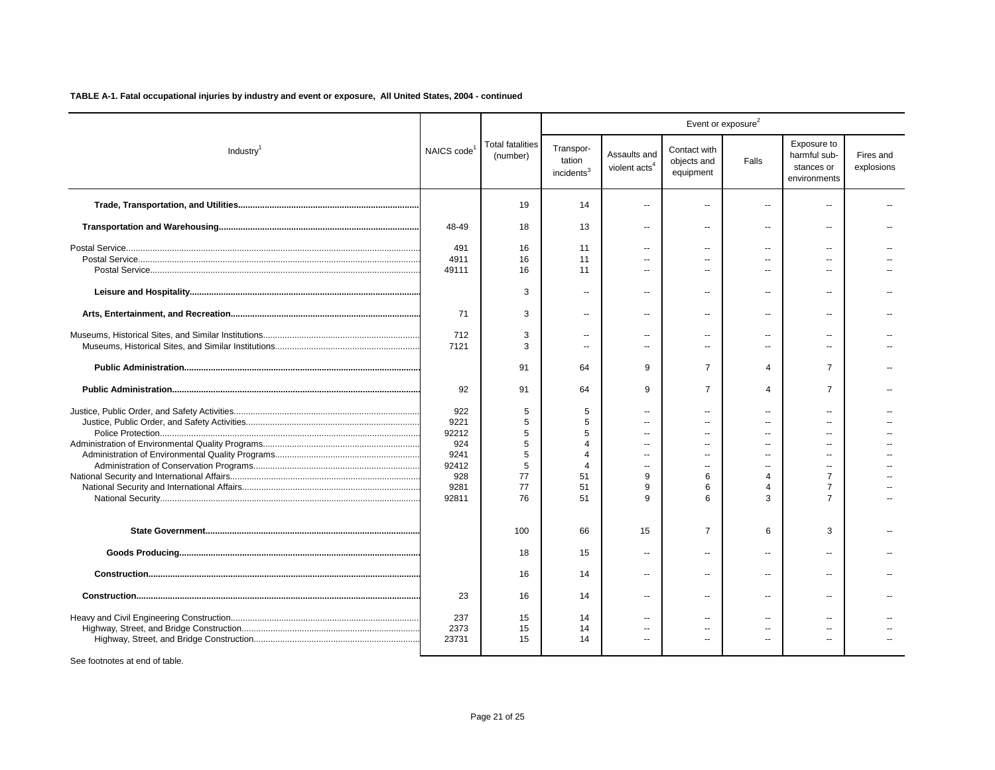|                       |                         |                                     |                                               |                                           |                                          | Event or exposure <sup>2</sup> |                                                           |                         |
|-----------------------|-------------------------|-------------------------------------|-----------------------------------------------|-------------------------------------------|------------------------------------------|--------------------------------|-----------------------------------------------------------|-------------------------|
| Industry <sup>1</sup> | NAICS code <sup>1</sup> | <b>Total fatalities</b><br>(number) | Transpor-<br>tation<br>incidents <sup>3</sup> | Assaults and<br>violent acts <sup>4</sup> | Contact with<br>objects and<br>equipment | Falls                          | Exposure to<br>harmful sub-<br>stances or<br>environments | Fires and<br>explosions |
|                       |                         | 19                                  | 14                                            | $\overline{a}$                            | $\overline{a}$                           | $\sim$                         | $\overline{a}$                                            |                         |
|                       | 48-49                   | 18                                  | 13                                            | $\overline{a}$                            | $\overline{a}$                           | $\overline{a}$                 | $\overline{\phantom{a}}$                                  |                         |
|                       | 491                     | 16                                  | 11                                            | $\overline{a}$                            | $\overline{a}$                           | $\sim$                         | $\overline{\phantom{a}}$                                  |                         |
|                       | 4911                    | 16                                  | 11                                            | $\sim$                                    | $\sim$                                   | $\overline{a}$                 | $\overline{a}$                                            |                         |
|                       | 49111                   | 16                                  | 11                                            | ш.                                        | $\sim$                                   | $\sim$                         | $-$                                                       |                         |
|                       |                         | 3                                   | $\overline{a}$                                | $\overline{a}$                            | $\overline{a}$                           | $\sim$                         | $\overline{a}$                                            |                         |
|                       | 71                      | 3                                   | $\overline{\phantom{a}}$                      | $\overline{\phantom{a}}$                  | $\overline{a}$                           | $\overline{a}$                 | --                                                        |                         |
|                       | 712                     | 3                                   | $\overline{\phantom{a}}$                      | $\sim$                                    | $\overline{a}$                           | $\sim$                         | $\overline{a}$                                            |                         |
|                       | 7121                    | 3                                   | $\overline{a}$                                | $\overline{a}$                            | $\overline{a}$                           | $\overline{a}$                 | $\overline{a}$                                            |                         |
|                       |                         | 91                                  | 64                                            | 9                                         | $\overline{7}$                           | $\overline{4}$                 | $\overline{7}$                                            |                         |
|                       | 92                      | 91                                  | 64                                            | 9                                         | $\overline{7}$                           | $\overline{4}$                 | $\overline{7}$                                            |                         |
|                       | 922                     | 5                                   | 5                                             | $\overline{a}$                            | $\overline{a}$                           | $\overline{a}$                 | $\overline{a}$                                            |                         |
|                       | 9221                    | 5                                   | 5                                             | $\overline{a}$                            | $\overline{a}$                           |                                |                                                           |                         |
|                       | 92212                   | 5                                   | 5                                             | $\overline{a}$                            | $\overline{a}$                           | $\overline{a}$                 | $\overline{a}$                                            |                         |
|                       | 924                     | 5                                   | Δ                                             | $\sim$                                    | $\overline{a}$                           |                                |                                                           |                         |
|                       | 9241                    | 5                                   | Δ                                             | $\sim$                                    | $\overline{a}$                           |                                |                                                           |                         |
|                       | 92412                   | 5                                   | $\overline{4}$                                | $\overline{a}$                            | $\overline{a}$                           | $\overline{a}$                 | $\overline{a}$                                            |                         |
|                       | 928                     | 77                                  | 51                                            | 9                                         | 6                                        | $\overline{4}$                 | $\overline{7}$                                            |                         |
|                       | 9281                    | 77                                  | 51                                            | 9                                         | 6                                        | $\Delta$                       | $\overline{7}$                                            |                         |
|                       | 92811                   | 76                                  | 51                                            | q                                         | 6                                        | 3                              | $\overline{7}$                                            |                         |
|                       |                         | 100                                 | 66                                            | 15                                        | $\overline{7}$                           | 6                              | 3                                                         |                         |
|                       |                         | 18                                  | 15                                            | $\overline{a}$                            | $\overline{a}$                           | $\sim$                         | $\overline{a}$                                            |                         |
|                       |                         | 16                                  | 14                                            | $\sim$                                    | $\overline{a}$                           | $\sim$                         | $\overline{a}$                                            |                         |
|                       | 23                      | 16                                  | 14                                            | $\sim$                                    | $\overline{a}$                           | $\sim$                         | $\overline{a}$                                            |                         |
|                       | 237                     | 15                                  | 14                                            | $\sim$                                    | $\overline{a}$                           |                                |                                                           |                         |
|                       | 2373                    | 15                                  | 14                                            | $\overline{a}$                            | $\overline{a}$                           |                                |                                                           |                         |
|                       | 23731                   | 15                                  | 14                                            | Ξ.                                        | --                                       |                                |                                                           |                         |
|                       |                         |                                     |                                               |                                           |                                          |                                |                                                           |                         |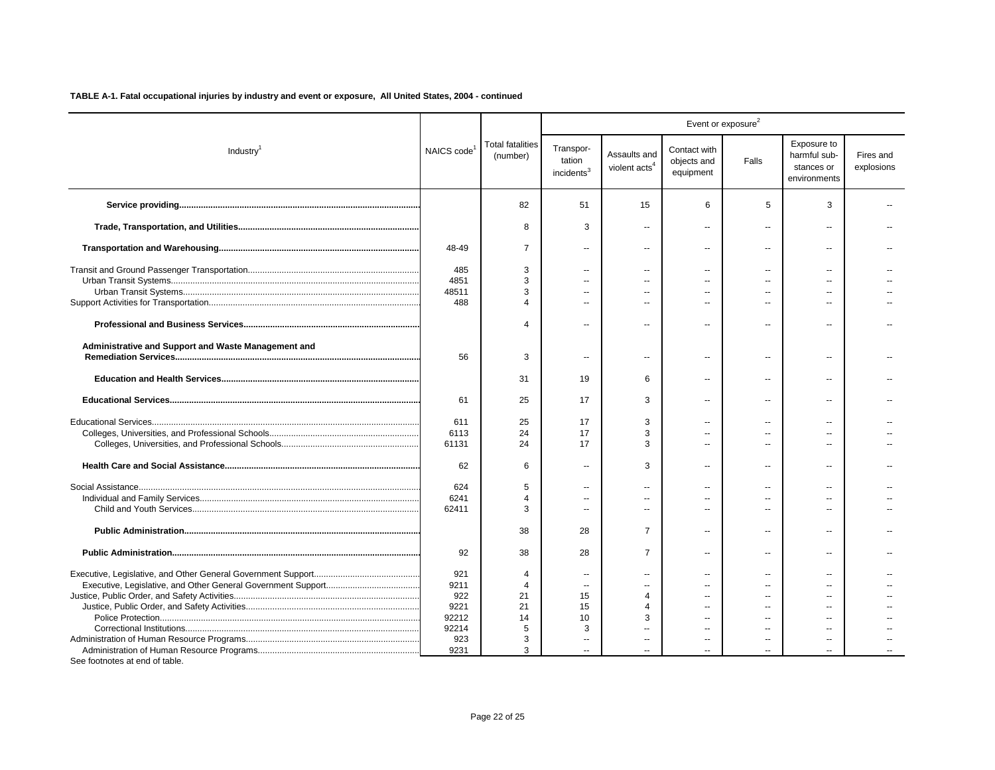|                                                     |                         |                                     |                                               |                                           | Event or exposure <sup>2</sup>           |                          |                                                           |                         |
|-----------------------------------------------------|-------------------------|-------------------------------------|-----------------------------------------------|-------------------------------------------|------------------------------------------|--------------------------|-----------------------------------------------------------|-------------------------|
| Industry <sup>1</sup>                               | NAICS code <sup>1</sup> | <b>Total fatalities</b><br>(number) | Transpor-<br>tation<br>incidents <sup>3</sup> | Assaults and<br>violent acts <sup>4</sup> | Contact with<br>objects and<br>equipment | Falls                    | Exposure to<br>harmful sub-<br>stances or<br>environments | Fires and<br>explosions |
|                                                     |                         | 82                                  | 51                                            | 15                                        | 6                                        | 5                        | 3                                                         |                         |
|                                                     |                         | 8                                   | 3                                             | $\overline{a}$                            | ÷.                                       | $\overline{\phantom{a}}$ | $\sim$                                                    |                         |
|                                                     | 48-49                   | $\overline{7}$                      | $\overline{a}$                                | $\sim$                                    | $\overline{\phantom{a}}$                 | $\overline{\phantom{a}}$ | $\overline{a}$                                            |                         |
|                                                     | 485                     | 3                                   | --                                            |                                           |                                          | $\overline{a}$           |                                                           |                         |
|                                                     | 4851                    | 3                                   | $\sim$                                        |                                           | $\sim$                                   |                          |                                                           |                         |
|                                                     | 48511                   | 3                                   | $\overline{a}$                                |                                           | $\sim$                                   | $\overline{a}$           |                                                           |                         |
|                                                     | 488                     | $\Delta$                            | $\overline{a}$                                |                                           |                                          | $\overline{a}$           | $\overline{a}$                                            |                         |
|                                                     |                         | $\Delta$                            | $\overline{a}$                                | $\overline{\phantom{a}}$                  |                                          | $\overline{a}$           | $\overline{\phantom{a}}$                                  |                         |
| Administrative and Support and Waste Management and | 56                      | 3                                   | --                                            | $\overline{\phantom{a}}$                  | $\overline{\phantom{a}}$                 | $\overline{\phantom{a}}$ | --                                                        |                         |
|                                                     |                         | 31                                  | 19                                            | 6                                         | $\overline{a}$                           | $\overline{\phantom{a}}$ | $\overline{a}$                                            |                         |
|                                                     | 61                      | 25                                  | 17                                            | 3                                         |                                          | $\sim$                   | ä.                                                        |                         |
|                                                     | 611                     | 25                                  | 17                                            | 3                                         |                                          | $\overline{a}$           | $\overline{a}$                                            |                         |
|                                                     | 6113                    | 24                                  | 17                                            | 3                                         | $\sim$                                   | $\overline{a}$           | $\sim$                                                    |                         |
|                                                     | 61131                   | 24                                  | 17                                            | 3                                         |                                          |                          | $\sim$                                                    |                         |
|                                                     | 62                      | 6                                   | $\overline{a}$                                | 3                                         |                                          | $\overline{a}$           | $\overline{a}$                                            |                         |
|                                                     | 624                     | 5                                   | $\overline{a}$                                | $\sim$                                    | $\sim$                                   | $\overline{a}$           | $\overline{a}$                                            |                         |
|                                                     | 6241                    | $\overline{4}$                      | $-$                                           | ш.                                        | $\sim$                                   | $\overline{a}$           | $\sim$                                                    |                         |
|                                                     | 62411                   | 3                                   | $\overline{a}$                                |                                           | $\sim$                                   | $\overline{a}$           | $\overline{a}$                                            |                         |
|                                                     |                         | 38                                  | 28                                            | $\overline{7}$                            | $\sim$                                   | $\sim$                   | $\overline{a}$                                            |                         |
|                                                     | 92                      | 38                                  | 28                                            | $\overline{7}$                            | $\overline{a}$                           | $\overline{\phantom{a}}$ | $\overline{\phantom{a}}$                                  |                         |
|                                                     | 921                     | 4                                   | $\overline{\phantom{a}}$                      | $\overline{a}$                            | $\overline{\phantom{a}}$                 | $\overline{a}$           |                                                           |                         |
|                                                     | 9211                    | $\overline{4}$                      | $\overline{a}$                                |                                           | $\sim$                                   |                          |                                                           |                         |
|                                                     | 922                     | 21                                  | 15                                            | 4                                         | $\sim$                                   |                          |                                                           |                         |
|                                                     | 9221                    | 21                                  | 15                                            | 4                                         | $\overline{a}$                           |                          |                                                           |                         |
|                                                     | 92212                   | 14                                  | 10                                            | 3                                         | $\sim$                                   | $\overline{a}$           | $\overline{a}$                                            |                         |
|                                                     | 92214                   | 5                                   | 3                                             |                                           |                                          |                          |                                                           |                         |
|                                                     | 923                     | 3                                   | $\overline{\phantom{a}}$                      | $\mathbf{u}$                              | $\mathbf{u}$                             | $\overline{\phantom{a}}$ | $\overline{\phantom{a}}$                                  |                         |
|                                                     | 9231                    | 3                                   |                                               |                                           |                                          |                          |                                                           |                         |
| See footnotes at end of table.                      |                         |                                     |                                               |                                           |                                          |                          |                                                           |                         |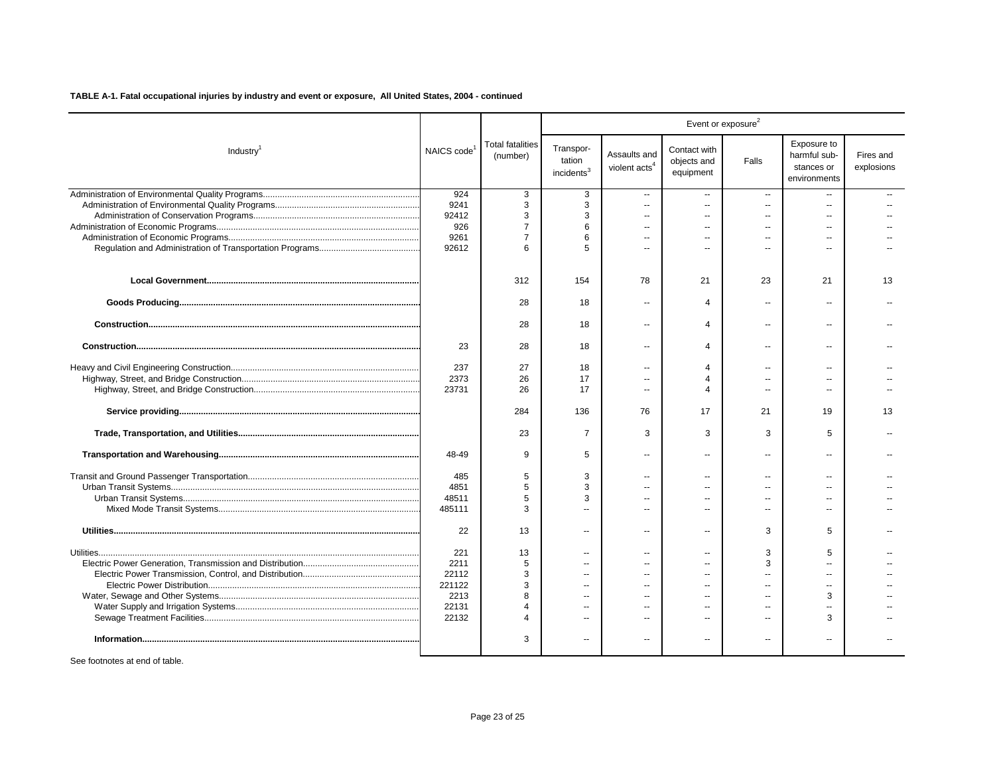|                       |               |                                     |                                               |                                           | Event or exposure <sup>2</sup>           |                |                                                           |                         |
|-----------------------|---------------|-------------------------------------|-----------------------------------------------|-------------------------------------------|------------------------------------------|----------------|-----------------------------------------------------------|-------------------------|
| Industry <sup>1</sup> | NAICS code    | <b>Total fatalities</b><br>(number) | Transpor-<br>tation<br>incidents <sup>3</sup> | Assaults and<br>violent acts <sup>4</sup> | Contact with<br>objects and<br>equipment | Falls          | Exposure to<br>harmful sub-<br>stances or<br>environments | Fires and<br>explosions |
|                       | 924           | 3                                   | 3                                             | $\sim$                                    | $\overline{\phantom{a}}$                 | $\mathbf{u}$   | $\overline{a}$                                            |                         |
|                       | 9241          | 3                                   | 3                                             | $\overline{a}$                            | ÷.                                       | $\overline{a}$ | $\overline{a}$                                            |                         |
|                       | 92412         | 3                                   | 3                                             | $\mathbf{u}$                              | $\overline{a}$                           | $\overline{a}$ | $\overline{a}$                                            |                         |
|                       | 926           | $\overline{7}$<br>$\overline{7}$    | 6                                             | $\sim$ $\sim$                             | $\overline{a}$                           |                | $\overline{a}$                                            |                         |
|                       | 9261<br>92612 | 6                                   | 6                                             | $\overline{a}$                            |                                          |                | $\overline{a}$                                            |                         |
|                       |               | 312                                 | 154                                           | 78                                        | 21                                       | 23             | 21                                                        | 13                      |
|                       |               | 28                                  | 18                                            | $\overline{a}$                            | $\Delta$                                 | $\sim$         |                                                           |                         |
|                       |               | 28                                  | 18                                            | $\overline{\phantom{a}}$                  | $\overline{4}$                           | --             | $\overline{a}$                                            |                         |
|                       | 23            | 28                                  | 18                                            | $\overline{a}$                            | $\Delta$                                 | $\sim$         | $\overline{a}$                                            |                         |
|                       | 237           | 27                                  | 18                                            | $\mathbf{u}$                              | $\Delta$                                 |                |                                                           |                         |
|                       | 2373          | 26                                  | 17                                            | $\sim$                                    | $\overline{4}$                           |                |                                                           |                         |
|                       | 23731         | 26                                  | 17                                            | $\overline{a}$                            | $\Delta$                                 | $\sim$         | $\overline{a}$                                            |                         |
|                       |               | 284                                 | 136                                           | 76                                        | 17                                       | 21             | 19                                                        | 13                      |
|                       |               | 23                                  | $\overline{7}$                                | 3                                         | 3                                        | 3              | 5                                                         |                         |
|                       | 48-49         | 9                                   | 5                                             | $\overline{a}$                            | $\sim$                                   | $\sim$         | $\sim$                                                    |                         |
|                       | 485           | 5                                   | 3                                             | $\sim$                                    | $\sim$                                   | $\overline{a}$ | $\overline{a}$                                            |                         |
|                       | 4851          | 5                                   | 3                                             |                                           | $\sim$                                   |                | $-$                                                       |                         |
|                       | 48511         | 5                                   | 3                                             | $\overline{a}$                            | $\overline{a}$                           |                |                                                           |                         |
|                       | 485111        | 3                                   | $\overline{a}$                                | $\sim$                                    | $\overline{a}$                           | $\overline{a}$ |                                                           |                         |
|                       | 22            | 13                                  | $\overline{a}$                                | $\overline{a}$                            | $\overline{a}$                           | 3              | 5                                                         |                         |
|                       | 221           | 13                                  | $\overline{a}$                                | $\sim$                                    | $\sim$                                   | 3              | 5                                                         |                         |
|                       | 2211          | 5                                   | $\overline{a}$                                | $\sim$                                    | $\sim$                                   | 3              |                                                           |                         |
|                       | 22112         | 3                                   | $\overline{a}$                                |                                           | $\overline{a}$                           |                |                                                           |                         |
|                       | 221122        | 3                                   | $\overline{a}$                                | $\overline{a}$                            | $\sim$                                   | $\overline{a}$ | $\overline{a}$                                            |                         |
|                       | 2213          | 8                                   |                                               |                                           | $=$                                      |                | 3                                                         |                         |
|                       | 22131         | 4                                   | $\overline{a}$                                | $\sim$                                    | $\overline{a}$                           | $\overline{a}$ |                                                           |                         |
|                       | 22132         | 4                                   | $\overline{a}$                                | $\overline{a}$                            | $\sim$                                   |                | 3                                                         |                         |
|                       |               | 3                                   | --                                            | $\overline{\phantom{a}}$                  | $\overline{a}$                           | $\overline{a}$ | --                                                        |                         |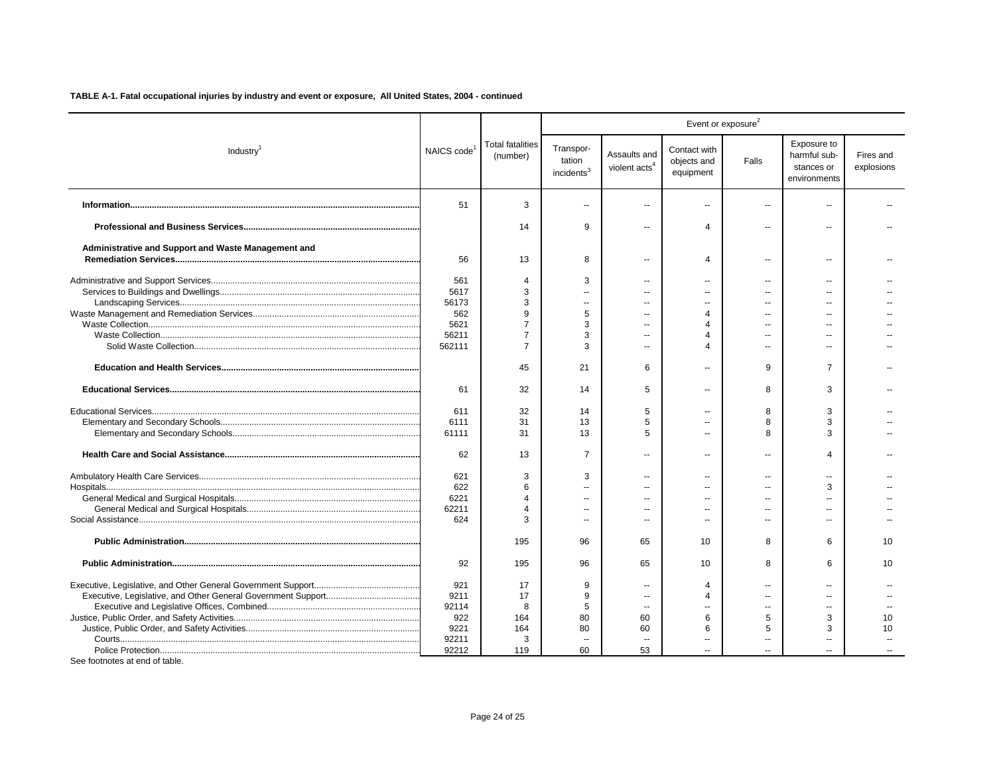|                                                     |                         |                                     |                                               |                                           |                                          | Event or exposure <sup>2</sup> |                                                           |                         |
|-----------------------------------------------------|-------------------------|-------------------------------------|-----------------------------------------------|-------------------------------------------|------------------------------------------|--------------------------------|-----------------------------------------------------------|-------------------------|
| Industry <sup>1</sup>                               | NAICS code <sup>1</sup> | <b>Total fatalities</b><br>(number) | Transpor-<br>tation<br>incidents <sup>3</sup> | Assaults and<br>violent acts <sup>4</sup> | Contact with<br>objects and<br>equipment | Falls                          | Exposure to<br>harmful sub-<br>stances or<br>environments | Fires and<br>explosions |
|                                                     | 51                      | 3                                   | $\overline{\phantom{a}}$                      | $\overline{\phantom{a}}$                  | Ш.                                       | $\overline{a}$                 |                                                           |                         |
|                                                     |                         | 14                                  | 9                                             | $\overline{a}$                            | 4                                        | $\overline{a}$                 |                                                           |                         |
| Administrative and Support and Waste Management and | 56                      | 13                                  | 8                                             | $\overline{a}$                            | 4                                        | $\sim$                         | $\overline{a}$                                            |                         |
|                                                     | 561                     | $\overline{4}$                      | 3                                             | $\sim$                                    | $\overline{a}$                           | $\overline{a}$                 | $\overline{a}$                                            |                         |
|                                                     | 5617                    | 3                                   |                                               |                                           | $\overline{a}$                           |                                |                                                           |                         |
|                                                     | 56173                   | 3                                   | $\overline{a}$                                | $\sim$                                    | $\overline{a}$                           | $-$                            |                                                           |                         |
|                                                     | 562                     | 9                                   | 5                                             |                                           | $\overline{\mathbf{4}}$                  |                                |                                                           |                         |
|                                                     | 5621                    | 7                                   | 3                                             |                                           | 4                                        |                                |                                                           |                         |
|                                                     | 56211                   | $\overline{7}$                      | 3                                             |                                           | 4                                        |                                |                                                           |                         |
|                                                     | 562111                  | $\overline{7}$                      | 3                                             |                                           | 4                                        |                                |                                                           |                         |
|                                                     |                         | 45                                  | 21                                            | 6                                         | --                                       | 9                              | $\overline{7}$                                            |                         |
|                                                     | 61                      | 32                                  | 14                                            | 5                                         | $\overline{a}$                           | 8                              | 3                                                         |                         |
|                                                     | 611                     | 32                                  | 14                                            | 5                                         | $\overline{a}$                           | 8                              | 3                                                         |                         |
|                                                     | 6111                    | 31                                  | 13                                            | 5                                         | $\overline{a}$                           | 8                              | 3                                                         |                         |
|                                                     | 61111                   | 31                                  | 13                                            | 5                                         | $\sim$                                   | 8                              | 3                                                         |                         |
|                                                     | 62                      | 13                                  | $\overline{7}$                                | $\overline{a}$                            | $\overline{a}$                           | $\sim$                         |                                                           |                         |
|                                                     | 621                     | 3                                   | 3                                             | $\overline{a}$                            | --                                       |                                |                                                           |                         |
|                                                     | 622                     | 6                                   |                                               | $\sim$                                    | Ш.                                       |                                | 3                                                         |                         |
|                                                     | 6221                    |                                     |                                               |                                           | $\overline{a}$                           |                                |                                                           |                         |
|                                                     | 62211                   | $\Delta$                            |                                               | $\overline{a}$                            | $\overline{a}$                           |                                |                                                           |                         |
|                                                     | 624                     | 3                                   | $\overline{a}$                                | $\sim$                                    | $\overline{a}$                           | $\overline{a}$                 | $\sim$                                                    |                         |
|                                                     |                         | 195                                 | 96                                            | 65                                        | 10                                       | 8                              | 6                                                         | 10                      |
|                                                     | 92                      | 195                                 | 96                                            | 65                                        | 10 <sup>1</sup>                          | 8                              | 6                                                         | 10                      |
|                                                     | 921                     | 17                                  | 9                                             | $\sim$                                    | 4                                        | $\overline{a}$                 |                                                           |                         |
|                                                     | 9211                    | 17                                  | 9                                             | $\sim$                                    | 4                                        | $\overline{a}$                 |                                                           |                         |
|                                                     | 92114                   | 8                                   | 5                                             |                                           | $\overline{a}$                           | $\overline{a}$                 |                                                           |                         |
|                                                     | 922                     | 164                                 | 80                                            | 60                                        | 6                                        | 5                              | 3                                                         | 10                      |
|                                                     | 9221                    | 164                                 | 80                                            | 60                                        | 6                                        | 5                              | 3                                                         | 10                      |
|                                                     | 92211                   | 3                                   |                                               |                                           |                                          |                                |                                                           |                         |
|                                                     | 92212                   | 119                                 | 60                                            | 53                                        |                                          |                                |                                                           |                         |